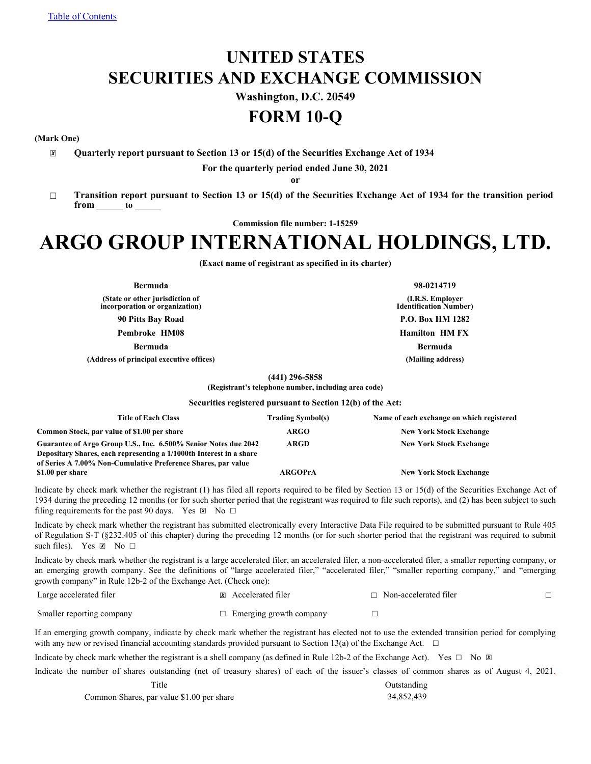# **UNITED STATES SECURITIES AND EXCHANGE COMMISSION Washington, D.C. 20549**

# **FORM 10-Q**

#### **(Mark One)**

☒ **Quarterly report pursuant to Section 13 or 15(d) of the Securities Exchange Act of 1934**

**For the quarterly period ended June 30, 2021**

**or**

☐ **Transition report pursuant to Section 13 or 15(d) of the Securities Exchange Act of 1934 for the transition period**  from <u>\_\_\_\_\_\_</u> to \_\_\_\_\_\_

**Commission file number: 1-15259**

# **ARGO GROUP INTERNATIONAL HOLDINGS, LTD.**

**(Exact name of registrant as specified in its charter)**

**(I.R.S. Employer Identification Number)**

**Bermuda 98-0214719 (State or other jurisdiction of incorporation or organization) 90 Pitts Bay Road P.O. Box HM 1282 Pembroke HM08 Hamilton HM FX Bermuda Bermuda**

**(Address of principal executive offices) (Mailing address)**

**(441) 296-5858**

**(Registrant's telephone number, including area code)**

**Securities registered pursuant to Section 12(b) of the Act:**

| <b>Title of Each Class</b>                                                                                                                                                                              | <b>Trading Symbol(s)</b> | Name of each exchange on which registered |
|---------------------------------------------------------------------------------------------------------------------------------------------------------------------------------------------------------|--------------------------|-------------------------------------------|
| Common Stock, par value of \$1.00 per share                                                                                                                                                             | <b>ARGO</b>              | <b>New York Stock Exchange</b>            |
| Guarantee of Argo Group U.S., Inc. 6.500% Senior Notes due 2042<br>Depositary Shares, each representing a 1/1000th Interest in a share<br>of Series A 7.00% Non-Cumulative Preference Shares, par value | <b>ARGD</b>              | <b>New York Stock Exchange</b>            |
| \$1.00 per share                                                                                                                                                                                        | <b>ARGOPrA</b>           | <b>New York Stock Exchange</b>            |

Indicate by check mark whether the registrant (1) has filed all reports required to be filed by Section 13 or 15(d) of the Securities Exchange Act of 1934 during the preceding 12 months (or for such shorter period that the registrant was required to file such reports), and (2) has been subject to such filing requirements for the past 90 days. Yes  $\boxtimes$  No  $\Box$ 

Indicate by check mark whether the registrant has submitted electronically every Interactive Data File required to be submitted pursuant to Rule 405 of Regulation S-T (§232.405 of this chapter) during the preceding 12 months (or for such shorter period that the registrant was required to submit such files). Yes  $X \cap N$ o  $\Box$ 

Indicate by check mark whether the registrant is a large accelerated filer, an accelerated filer, a non-accelerated filer, a smaller reporting company, or an emerging growth company. See the definitions of "large accelerated filer," "accelerated filer," "smaller reporting company," and "emerging growth company" in Rule 12b-2 of the Exchange Act. (Check one):

| Large accelerated filer   | <b>EX</b> Accelerated filer    | $\Box$ Non-accelerated filer |  |
|---------------------------|--------------------------------|------------------------------|--|
| Smaller reporting company | $\Box$ Emerging growth company |                              |  |

If an emerging growth company, indicate by check mark whether the registrant has elected not to use the extended transition period for complying with any new or revised financial accounting standards provided pursuant to Section 13(a) of the Exchange Act.  $\Box$ 

Indicate by check mark whether the registrant is a shell company (as defined in Rule 12b-2 of the Exchange Act). Yes  $\Box$  No  $\Box$ 

Indicate the number of shares outstanding (net of treasury shares) of each of the issuer's classes of common shares as of August 4, 2021.

| Title                                     | Outstanding |
|-------------------------------------------|-------------|
| Common Shares, par value \$1.00 per share | 34,852,439  |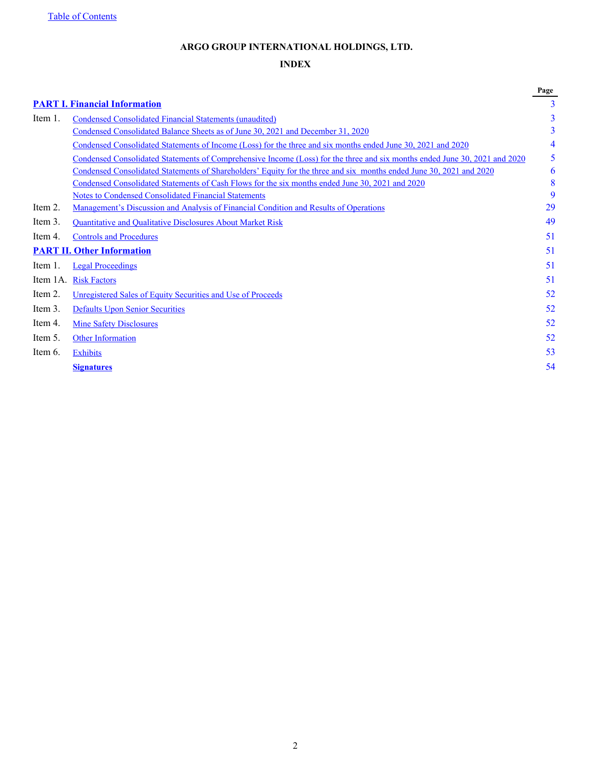# **ARGO GROUP INTERNATIONAL HOLDINGS, LTD.**

# **INDEX**

<span id="page-1-0"></span>

|         |                                                                                                                            | Page |
|---------|----------------------------------------------------------------------------------------------------------------------------|------|
|         | <b>PART I. Financial Information</b>                                                                                       | 3    |
| Item 1. | <b>Condensed Consolidated Financial Statements (unaudited)</b>                                                             | 3    |
|         | Condensed Consolidated Balance Sheets as of June 30, 2021 and December 31, 2020                                            | 3    |
|         | Condensed Consolidated Statements of Income (Loss) for the three and six months ended June 30, 2021 and 2020               | 4    |
|         | Condensed Consolidated Statements of Comprehensive Income (Loss) for the three and six months ended June 30, 2021 and 2020 | 5    |
|         | Condensed Consolidated Statements of Shareholders' Equity for the three and six months ended June 30, 2021 and 2020        | 6    |
|         | Condensed Consolidated Statements of Cash Flows for the six months ended June 30, 2021 and 2020                            | 8    |
|         | <b>Notes to Condensed Consolidated Financial Statements</b>                                                                | 9    |
| Item 2. | <u>Management's Discussion and Analysis of Financial Condition and Results of Operations</u>                               | 29   |
| Item 3. | <b>Quantitative and Qualitative Disclosures About Market Risk</b>                                                          | 49   |
| Item 4. | <b>Controls and Procedures</b>                                                                                             | 51   |
|         | <b>PART II. Other Information</b>                                                                                          | 51   |
| Item 1. | <b>Legal Proceedings</b>                                                                                                   | 51   |
|         | Item 1A. Risk Factors                                                                                                      | 51   |
| Item 2. | Unregistered Sales of Equity Securities and Use of Proceeds                                                                | 52   |
| Item 3. | <b>Defaults Upon Senior Securities</b>                                                                                     | 52   |
| Item 4. | <b>Mine Safety Disclosures</b>                                                                                             | 52   |
| Item 5. | <b>Other Information</b>                                                                                                   | 52   |
| Item 6. | <b>Exhibits</b>                                                                                                            | 53   |
|         | <b>Signatures</b>                                                                                                          | 54   |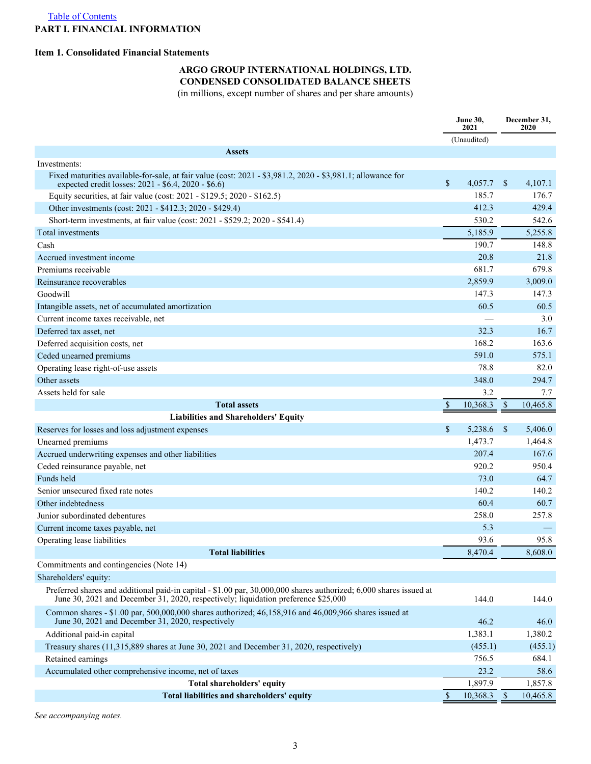# <span id="page-2-0"></span>**PART I. FINANCIAL INFORMATION** [Table of Contents](#page-1-0)

# **Item 1. Consolidated Financial Statements**

# **ARGO GROUP INTERNATIONAL HOLDINGS, LTD. CONDENSED CONSOLIDATED BALANCE SHEETS**

(in millions, except number of shares and per share amounts)

|                                                                                                                                                                                                          | <b>June 30,</b><br>2021   |             |               | December 31,<br>2020 |
|----------------------------------------------------------------------------------------------------------------------------------------------------------------------------------------------------------|---------------------------|-------------|---------------|----------------------|
|                                                                                                                                                                                                          |                           | (Unaudited) |               |                      |
| <b>Assets</b>                                                                                                                                                                                            |                           |             |               |                      |
| Investments:                                                                                                                                                                                             |                           |             |               |                      |
| Fixed maturities available-for-sale, at fair value (cost: 2021 - \$3,981.2, 2020 - \$3,981.1; allowance for<br>expected credit losses: 2021 - \$6.4, 2020 - \$6.6)                                       | $\mathsf{\$}$             | 4,057.7     | -S            | 4,107.1              |
| Equity securities, at fair value (cost: 2021 - \$129.5; 2020 - \$162.5)                                                                                                                                  |                           | 185.7       |               | 176.7                |
| Other investments (cost: 2021 - \$412.3; 2020 - \$429.4)                                                                                                                                                 |                           | 412.3       |               | 429.4                |
| Short-term investments, at fair value (cost: 2021 - \$529.2; 2020 - \$541.4)                                                                                                                             |                           | 530.2       |               | 542.6                |
| Total investments                                                                                                                                                                                        |                           | 5,185.9     |               | 5,255.8              |
| Cash                                                                                                                                                                                                     |                           | 190.7       |               | 148.8                |
| Accrued investment income                                                                                                                                                                                |                           | 20.8        |               | 21.8                 |
| Premiums receivable                                                                                                                                                                                      |                           | 681.7       |               | 679.8                |
| Reinsurance recoverables                                                                                                                                                                                 |                           | 2,859.9     |               | 3,009.0              |
| Goodwill                                                                                                                                                                                                 |                           | 147.3       |               | 147.3                |
| Intangible assets, net of accumulated amortization                                                                                                                                                       |                           | 60.5        |               | 60.5                 |
| Current income taxes receivable, net                                                                                                                                                                     |                           |             |               | 3.0                  |
| Deferred tax asset, net                                                                                                                                                                                  |                           | 32.3        |               | 16.7                 |
| Deferred acquisition costs, net                                                                                                                                                                          |                           | 168.2       |               | 163.6                |
| Ceded unearned premiums                                                                                                                                                                                  |                           | 591.0       |               | 575.1                |
| Operating lease right-of-use assets                                                                                                                                                                      |                           | 78.8        |               | 82.0                 |
| Other assets                                                                                                                                                                                             |                           | 348.0       |               | 294.7                |
| Assets held for sale                                                                                                                                                                                     |                           | 3.2         |               | 7.7                  |
| <b>Total assets</b>                                                                                                                                                                                      | $\mathbb{S}$              | 10,368.3    | <sup>\$</sup> | 10,465.8             |
| <b>Liabilities and Shareholders' Equity</b>                                                                                                                                                              |                           |             |               |                      |
| Reserves for losses and loss adjustment expenses                                                                                                                                                         | $\mathbb{S}$              | 5,238.6     | \$            | 5,406.0              |
| Unearned premiums                                                                                                                                                                                        |                           | 1,473.7     |               | 1,464.8              |
| Accrued underwriting expenses and other liabilities                                                                                                                                                      |                           | 207.4       |               | 167.6                |
| Ceded reinsurance payable, net                                                                                                                                                                           |                           | 920.2       |               | 950.4                |
| Funds held                                                                                                                                                                                               |                           | 73.0        |               | 64.7                 |
| Senior unsecured fixed rate notes                                                                                                                                                                        |                           | 140.2       |               | 140.2                |
| Other indebtedness                                                                                                                                                                                       |                           | 60.4        |               | 60.7                 |
| Junior subordinated debentures                                                                                                                                                                           |                           | 258.0       |               | 257.8                |
| Current income taxes payable, net                                                                                                                                                                        |                           | 5.3         |               |                      |
| Operating lease liabilities                                                                                                                                                                              |                           | 93.6        |               | 95.8                 |
| <b>Total liabilities</b>                                                                                                                                                                                 |                           | 8,470.4     |               | 8,608.0              |
| Commitments and contingencies (Note 14)                                                                                                                                                                  |                           |             |               |                      |
| Shareholders' equity:                                                                                                                                                                                    |                           |             |               |                      |
| Preferred shares and additional paid-in capital - \$1.00 par, 30,000,000 shares authorized; 6,000 shares issued at<br>June 30, 2021 and December 31, 2020, respectively; liquidation preference \$25,000 |                           | 144.0       |               | 144.0                |
| Common shares - \$1.00 par, 500,000,000 shares authorized; 46,158,916 and 46,009,966 shares issued at<br>June 30, 2021 and December 31, 2020, respectively                                               |                           | 46.2        |               | 46.0                 |
| Additional paid-in capital                                                                                                                                                                               |                           | 1,383.1     |               | 1,380.2              |
| Treasury shares (11,315,889 shares at June 30, 2021 and December 31, 2020, respectively)                                                                                                                 |                           | (455.1)     |               | (455.1)              |
| Retained earnings                                                                                                                                                                                        |                           | 756.5       |               | 684.1                |
| Accumulated other comprehensive income, net of taxes                                                                                                                                                     |                           | 23.2        |               | 58.6                 |
| Total shareholders' equity                                                                                                                                                                               |                           | 1,897.9     |               | 1,857.8              |
| Total liabilities and shareholders' equity                                                                                                                                                               | $\boldsymbol{\mathsf{S}}$ | 10,368.3    | - \$          | 10,465.8             |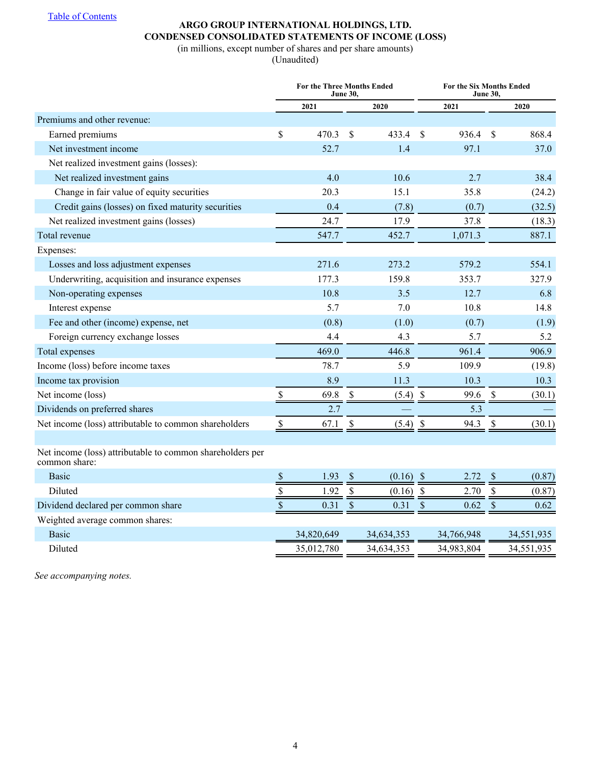# **ARGO GROUP INTERNATIONAL HOLDINGS, LTD. CONDENSED CONSOLIDATED STATEMENTS OF INCOME (LOSS)**  (in millions, except number of shares and per share amounts)

(Unaudited)

<span id="page-3-0"></span>

|                                                                            |                            | <b>For the Three Months Ended</b><br><b>June 30.</b> |               |            |                           | <b>For the Six Months Ended</b> | <b>June 30.</b>           |            |
|----------------------------------------------------------------------------|----------------------------|------------------------------------------------------|---------------|------------|---------------------------|---------------------------------|---------------------------|------------|
|                                                                            |                            | 2021                                                 |               | 2020       |                           | 2021                            |                           | 2020       |
| Premiums and other revenue:                                                |                            |                                                      |               |            |                           |                                 |                           |            |
| Earned premiums                                                            | \$                         | 470.3                                                | \$            | 433.4      | \$                        | 936.4                           | \$                        | 868.4      |
| Net investment income                                                      |                            | 52.7                                                 |               | 1.4        |                           | 97.1                            |                           | 37.0       |
| Net realized investment gains (losses):                                    |                            |                                                      |               |            |                           |                                 |                           |            |
| Net realized investment gains                                              |                            | 4.0                                                  |               | 10.6       |                           | 2.7                             |                           | 38.4       |
| Change in fair value of equity securities                                  |                            | 20.3                                                 |               | 15.1       |                           | 35.8                            |                           | (24.2)     |
| Credit gains (losses) on fixed maturity securities                         |                            | 0.4                                                  |               | (7.8)      |                           | (0.7)                           |                           | (32.5)     |
| Net realized investment gains (losses)                                     |                            | 24.7                                                 |               | 17.9       |                           | 37.8                            |                           | (18.3)     |
| Total revenue                                                              |                            | 547.7                                                |               | 452.7      |                           | 1,071.3                         |                           | 887.1      |
| Expenses:                                                                  |                            |                                                      |               |            |                           |                                 |                           |            |
| Losses and loss adjustment expenses                                        |                            | 271.6                                                |               | 273.2      |                           | 579.2                           |                           | 554.1      |
| Underwriting, acquisition and insurance expenses                           |                            | 177.3                                                |               | 159.8      |                           | 353.7                           |                           | 327.9      |
| Non-operating expenses                                                     |                            | 10.8                                                 |               | 3.5        |                           | 12.7                            |                           | 6.8        |
| Interest expense                                                           |                            | 5.7                                                  |               | 7.0        |                           | 10.8                            |                           | 14.8       |
| Fee and other (income) expense, net                                        |                            | (0.8)                                                |               | (1.0)      |                           | (0.7)                           |                           | (1.9)      |
| Foreign currency exchange losses                                           |                            | 4.4                                                  |               | 4.3        |                           | 5.7                             |                           | 5.2        |
| Total expenses                                                             |                            | 469.0                                                |               | 446.8      |                           | 961.4                           |                           | 906.9      |
| Income (loss) before income taxes                                          |                            | 78.7                                                 |               | 5.9        |                           | 109.9                           |                           | (19.8)     |
| Income tax provision                                                       |                            | 8.9                                                  |               | 11.3       |                           | 10.3                            |                           | 10.3       |
| Net income (loss)                                                          | \$                         | 69.8                                                 | \$            | (5.4)      | -\$                       | 99.6                            | $\mathcal{S}$             | (30.1)     |
| Dividends on preferred shares                                              |                            | 2.7                                                  |               |            |                           | 5.3                             |                           |            |
| Net income (loss) attributable to common shareholders                      | $\boldsymbol{\mathsf{S}}$  | 67.1                                                 | \$            | (5.4)      | $\boldsymbol{\mathsf{S}}$ | 94.3                            | \$                        | (30.1)     |
|                                                                            |                            |                                                      |               |            |                           |                                 |                           |            |
| Net income (loss) attributable to common shareholders per<br>common share: |                            |                                                      |               |            |                           |                                 |                           |            |
| <b>Basic</b>                                                               | $\boldsymbol{\mathcal{S}}$ | 1.93                                                 | $\mathcal{S}$ | (0.16)     | $\mathbf{\hat{s}}$        | 2.72                            | $\sqrt{\frac{2}{5}}$      | (0.87)     |
| Diluted                                                                    | $\boldsymbol{\$\}$         | 1.92                                                 | \$            | (0.16)     | $\mathcal{S}$             | 2.70                            | \$                        | (0.87)     |
| Dividend declared per common share                                         | $\mathcal{S}$              | 0.31                                                 | $\$$          | 0.31       | $\boldsymbol{\mathsf{S}}$ | 0.62                            | $\boldsymbol{\mathsf{S}}$ | 0.62       |
| Weighted average common shares:                                            |                            |                                                      |               |            |                           |                                 |                           |            |
| <b>Basic</b>                                                               |                            | 34,820,649                                           |               | 34,634,353 |                           | 34,766,948                      |                           | 34,551,935 |
| Diluted                                                                    |                            | 35,012,780                                           |               | 34,634,353 |                           | 34,983,804                      |                           | 34,551,935 |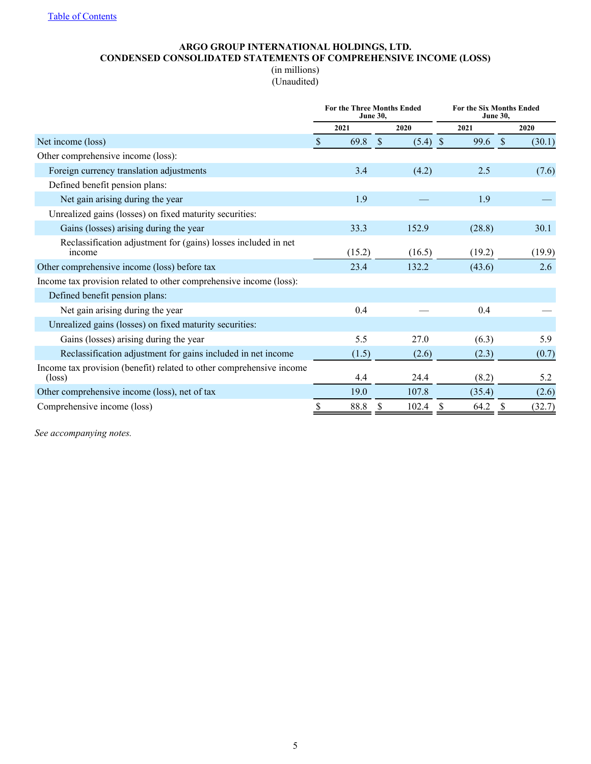# <span id="page-4-0"></span>**ARGO GROUP INTERNATIONAL HOLDINGS, LTD. CONDENSED CONSOLIDATED STATEMENTS OF COMPREHENSIVE INCOME (LOSS)**

(in millions) (Unaudited)

|                                                                                         |     | <b>For the Three Months Ended</b> | <b>June 30,</b> |            |   | <b>For the Six Months Ended</b> |               |        |  |
|-----------------------------------------------------------------------------------------|-----|-----------------------------------|-----------------|------------|---|---------------------------------|---------------|--------|--|
|                                                                                         |     | 2021                              |                 | 2020       |   | 2021                            | 2020          |        |  |
| Net income (loss)                                                                       | \$. | 69.8                              | $\mathcal{S}$   | $(5.4)$ \$ |   | 99.6                            | $\mathcal{S}$ | (30.1) |  |
| Other comprehensive income (loss):                                                      |     |                                   |                 |            |   |                                 |               |        |  |
| Foreign currency translation adjustments                                                |     | 3.4                               |                 | (4.2)      |   | 2.5                             |               | (7.6)  |  |
| Defined benefit pension plans:                                                          |     |                                   |                 |            |   |                                 |               |        |  |
| Net gain arising during the year                                                        |     | 1.9                               |                 |            |   | 1.9                             |               |        |  |
| Unrealized gains (losses) on fixed maturity securities:                                 |     |                                   |                 |            |   |                                 |               |        |  |
| Gains (losses) arising during the year                                                  |     | 33.3                              |                 | 152.9      |   | (28.8)                          |               | 30.1   |  |
| Reclassification adjustment for (gains) losses included in net<br>income                |     | (15.2)                            |                 | (16.5)     |   | (19.2)                          |               | (19.9) |  |
| Other comprehensive income (loss) before tax                                            |     | 23.4                              |                 | 132.2      |   | (43.6)                          |               | 2.6    |  |
| Income tax provision related to other comprehensive income (loss):                      |     |                                   |                 |            |   |                                 |               |        |  |
| Defined benefit pension plans:                                                          |     |                                   |                 |            |   |                                 |               |        |  |
| Net gain arising during the year                                                        |     | 0.4                               |                 |            |   | 0.4                             |               |        |  |
| Unrealized gains (losses) on fixed maturity securities:                                 |     |                                   |                 |            |   |                                 |               |        |  |
| Gains (losses) arising during the year                                                  |     | 5.5                               |                 | 27.0       |   | (6.3)                           |               | 5.9    |  |
| Reclassification adjustment for gains included in net income                            |     | (1.5)                             |                 | (2.6)      |   | (2.3)                           |               | (0.7)  |  |
| Income tax provision (benefit) related to other comprehensive income<br>$(\text{loss})$ |     | 4.4                               |                 | 24.4       |   | (8.2)                           |               | 5.2    |  |
| Other comprehensive income (loss), net of tax                                           |     | 19.0                              |                 | 107.8      |   | (35.4)                          |               | (2.6)  |  |
| Comprehensive income (loss)                                                             | \$  | 88.8                              | \$              | 102.4      | S | 64.2                            | S             | (32.7) |  |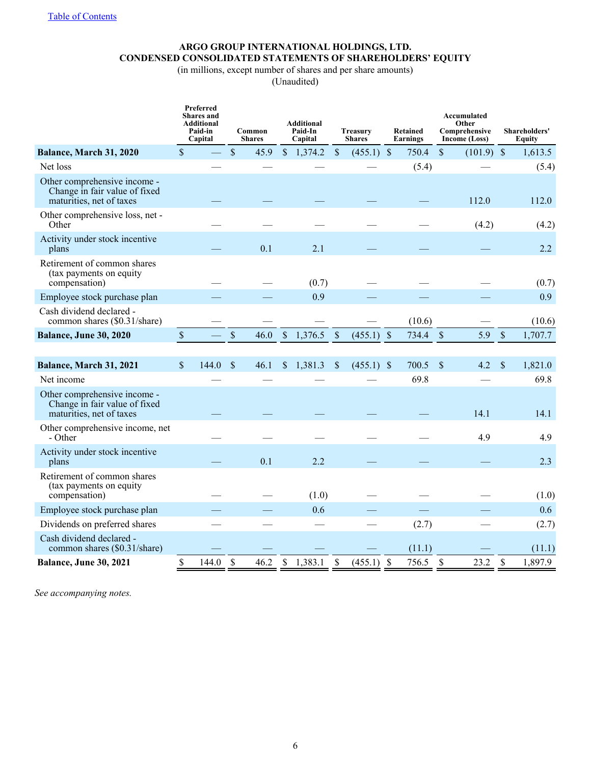# **ARGO GROUP INTERNATIONAL HOLDINGS, LTD. CONDENSED CONSOLIDATED STATEMENTS OF SHAREHOLDERS' EQUITY**

(in millions, except number of shares and per share amounts)

(Unaudited)

<span id="page-5-0"></span>

|                                                                                           |               | Preferred<br><b>Shares</b> and<br>Additional<br>Paid-in<br>Capital |                           | Common<br><b>Shares</b> |                    | <b>Additional</b><br>Paid-In<br>Capital |                           | <b>Treasury</b><br><b>Shares</b> |               | <b>Retained</b><br><b>Earnings</b> |                           | Accumulated<br>Other<br>Comprehensive<br>Income (Loss) |                           | Shareholders'<br>Equity |
|-------------------------------------------------------------------------------------------|---------------|--------------------------------------------------------------------|---------------------------|-------------------------|--------------------|-----------------------------------------|---------------------------|----------------------------------|---------------|------------------------------------|---------------------------|--------------------------------------------------------|---------------------------|-------------------------|
| Balance, March 31, 2020                                                                   | \$            |                                                                    | $\mathsf{\$}$             | 45.9                    | $\mathbf{\hat{S}}$ | 1,374.2                                 | $\mathbb{S}$              | $(455.1)$ \$                     |               | 750.4                              | $\boldsymbol{\mathsf{S}}$ | (101.9)                                                | $\mathcal{S}$             | 1,613.5                 |
| Net loss                                                                                  |               |                                                                    |                           |                         |                    |                                         |                           |                                  |               | (5.4)                              |                           |                                                        |                           | (5.4)                   |
| Other comprehensive income -<br>Change in fair value of fixed<br>maturities, net of taxes |               |                                                                    |                           |                         |                    |                                         |                           |                                  |               |                                    |                           | 112.0                                                  |                           | 112.0                   |
| Other comprehensive loss, net -<br>Other                                                  |               |                                                                    |                           |                         |                    |                                         |                           |                                  |               |                                    |                           | (4.2)                                                  |                           | (4.2)                   |
| Activity under stock incentive<br>plans                                                   |               |                                                                    |                           | 0.1                     |                    | 2.1                                     |                           |                                  |               |                                    |                           |                                                        |                           | 2.2                     |
| Retirement of common shares<br>(tax payments on equity<br>compensation)                   |               |                                                                    |                           |                         |                    | (0.7)                                   |                           |                                  |               |                                    |                           |                                                        |                           | (0.7)                   |
| Employee stock purchase plan                                                              |               |                                                                    |                           |                         |                    | 0.9                                     |                           |                                  |               |                                    |                           |                                                        |                           | 0.9                     |
| Cash dividend declared -<br>common shares (\$0.31/share)                                  |               |                                                                    |                           |                         |                    |                                         |                           |                                  |               | (10.6)                             |                           |                                                        |                           | (10.6)                  |
| <b>Balance, June 30, 2020</b>                                                             | $\mathsf{\$}$ |                                                                    | $\boldsymbol{\mathsf{S}}$ | 46.0                    | $\mathsf{\$}$      | 1,376.5                                 | $\boldsymbol{\mathsf{S}}$ | $(455.1)$ \$                     |               | 734.4                              | $\mathcal{S}$             | 5.9                                                    | \$                        | 1,707.7                 |
|                                                                                           |               |                                                                    |                           |                         |                    |                                         |                           |                                  |               |                                    |                           |                                                        |                           |                         |
| Balance, March 31, 2021                                                                   | \$            | 144.0                                                              | <sup>\$</sup>             | 46.1                    | $\mathbb{S}$       | 1,381.3                                 | \$                        | $(455.1)$ \$                     |               | 700.5                              | \$                        | 4.2                                                    | $\mathsf{\$}$             | 1,821.0                 |
| Net income                                                                                |               |                                                                    |                           |                         |                    |                                         |                           |                                  |               | 69.8                               |                           |                                                        |                           | 69.8                    |
| Other comprehensive income -<br>Change in fair value of fixed<br>maturities, net of taxes |               |                                                                    |                           |                         |                    |                                         |                           |                                  |               |                                    |                           | 14.1                                                   |                           | 14.1                    |
| Other comprehensive income, net<br>- Other                                                |               |                                                                    |                           |                         |                    |                                         |                           |                                  |               |                                    |                           | 4.9                                                    |                           | 4.9                     |
| Activity under stock incentive<br>plans                                                   |               |                                                                    |                           | 0.1                     |                    | 2.2                                     |                           |                                  |               |                                    |                           |                                                        |                           | 2.3                     |
| Retirement of common shares<br>(tax payments on equity)<br>compensation)                  |               |                                                                    |                           |                         |                    | (1.0)                                   |                           |                                  |               |                                    |                           |                                                        |                           | (1.0)                   |
| Employee stock purchase plan                                                              |               |                                                                    |                           |                         |                    | 0.6                                     |                           |                                  |               |                                    |                           |                                                        |                           | 0.6                     |
| Dividends on preferred shares                                                             |               |                                                                    |                           |                         |                    |                                         |                           |                                  |               | (2.7)                              |                           |                                                        |                           | (2.7)                   |
| Cash dividend declared -<br>common shares (\$0.31/share)                                  |               |                                                                    |                           |                         |                    |                                         |                           |                                  |               | (11.1)                             |                           |                                                        |                           | (11.1)                  |
| Balance, June 30, 2021                                                                    | $\mathbb S$   | 144.0                                                              | \$                        | 46.2                    |                    | \$1,383.1                               | \$                        | (455.1)                          | $\mathcal{S}$ | 756.5                              | $\mathcal{S}$             | 23.2                                                   | $\boldsymbol{\mathsf{S}}$ | 1,897.9                 |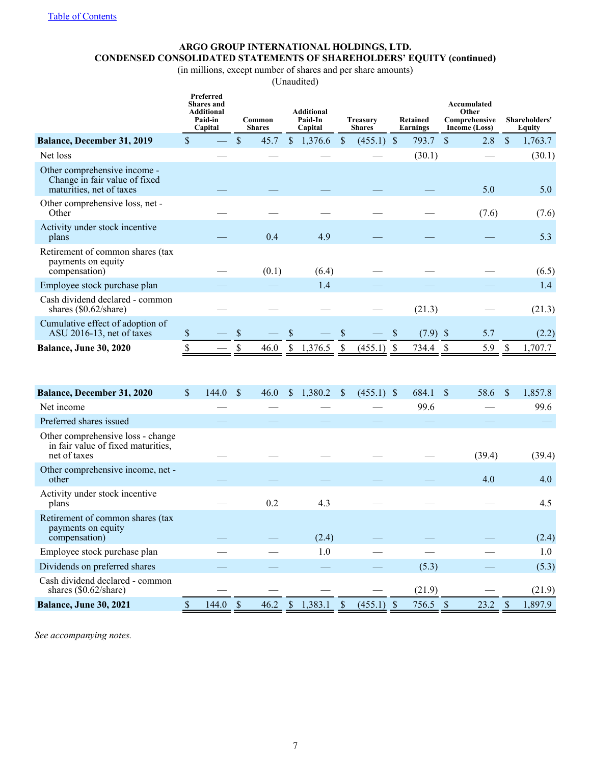#### **ARGO GROUP INTERNATIONAL HOLDINGS, LTD. CONDENSED CONSOLIDATED STATEMENTS OF SHAREHOLDERS' EQUITY (continued)**

(in millions, except number of shares and per share amounts)

(Unaudited)

|                                                                                           |               | Preferred<br><b>Shares</b> and<br><b>Additional</b><br>Paid-in<br>Capital |                           | Common<br><b>Shares</b> |                           | <b>Additional</b><br>Paid-In<br>Capital |               | <b>Treasury</b><br><b>Shares</b> |                      | <b>Retained</b><br><b>Earnings</b> |               | Accumulated<br>Other<br>Comprehensive<br>Income (Loss) |               | Shareholders'<br><b>Equity</b> |
|-------------------------------------------------------------------------------------------|---------------|---------------------------------------------------------------------------|---------------------------|-------------------------|---------------------------|-----------------------------------------|---------------|----------------------------------|----------------------|------------------------------------|---------------|--------------------------------------------------------|---------------|--------------------------------|
| Balance, December 31, 2019                                                                | $\mathsf{\$}$ |                                                                           | \$                        | 45.7                    |                           | \$1,376.6                               | $\mathcal{S}$ | (455.1)                          | $\mathcal{S}$        | 793.7                              | \$            | 2.8                                                    | $\mathsf{\$}$ | 1,763.7                        |
| Net loss                                                                                  |               |                                                                           |                           |                         |                           |                                         |               |                                  |                      | (30.1)                             |               |                                                        |               | (30.1)                         |
| Other comprehensive income -<br>Change in fair value of fixed<br>maturities, net of taxes |               |                                                                           |                           |                         |                           |                                         |               |                                  |                      |                                    |               | 5.0                                                    |               | 5.0                            |
| Other comprehensive loss, net -<br>Other                                                  |               |                                                                           |                           |                         |                           |                                         |               |                                  |                      |                                    |               | (7.6)                                                  |               | (7.6)                          |
| Activity under stock incentive<br>plans                                                   |               |                                                                           |                           | 0.4                     |                           | 4.9                                     |               |                                  |                      |                                    |               |                                                        |               | 5.3                            |
| Retirement of common shares (tax<br>payments on equity<br>compensation)                   |               |                                                                           |                           | (0.1)                   |                           | (6.4)                                   |               |                                  |                      |                                    |               |                                                        |               | (6.5)                          |
| Employee stock purchase plan                                                              |               |                                                                           |                           |                         |                           | 1.4                                     |               |                                  |                      |                                    |               |                                                        |               | 1.4                            |
| Cash dividend declared - common<br>shares (\$0.62/share)                                  |               |                                                                           |                           |                         |                           |                                         |               |                                  |                      | (21.3)                             |               |                                                        |               | (21.3)                         |
| Cumulative effect of adoption of<br>ASU 2016-13, net of taxes                             | $\mathbb{S}$  |                                                                           | $\boldsymbol{\mathsf{S}}$ |                         | $\mathcal{S}$             |                                         | $\mathcal{S}$ |                                  | $\mathbb{S}$         | $(7.9)$ \$                         |               | 5.7                                                    |               | (2.2)                          |
| <b>Balance, June 30, 2020</b>                                                             | \$            |                                                                           | \$                        | 46.0                    |                           | \$1,376.5                               | $\mathbb{S}$  | (455.1)                          | $\mathcal{S}$        | 734.4                              | $\mathcal{S}$ | 5.9                                                    | $\mathcal{S}$ | 1,707.7                        |
| <b>Balance, December 31, 2020</b>                                                         | $\mathcal{S}$ | 144.0                                                                     | \$                        | 46.0                    | $\boldsymbol{\mathsf{S}}$ | 1,380.2                                 | \$            | (455.1)                          | $\sqrt{\frac{2}{5}}$ | 684.1                              | <sup>\$</sup> | 58.6                                                   | \$            | 1,857.8                        |
| Net income                                                                                |               |                                                                           |                           |                         |                           |                                         |               |                                  |                      | 99.6                               |               |                                                        |               | 99.6                           |
| Preferred shares issued                                                                   |               |                                                                           |                           |                         |                           |                                         |               |                                  |                      |                                    |               |                                                        |               |                                |
| Other comprehensive loss - change<br>in fair value of fixed maturities,<br>net of taxes   |               |                                                                           |                           |                         |                           |                                         |               |                                  |                      |                                    |               | (39.4)                                                 |               | (39.4)                         |
| Other comprehensive income, net -<br>other                                                |               |                                                                           |                           |                         |                           |                                         |               |                                  |                      |                                    |               | 4.0                                                    |               | 4.0                            |
| Activity under stock incentive<br>plans                                                   |               |                                                                           |                           | 0.2                     |                           | 4.3                                     |               |                                  |                      |                                    |               |                                                        |               | 4.5                            |

*See accompanying notes.*

Retirement of common shares (tax

Cash dividend declared - common

payments on equity

compensation) — — (2.4) — — (2.4) — (2.4) Employee stock purchase plan  $1.0$   $1.0$ Dividends on preferred shares  $\qquad \qquad \qquad \qquad$  (5.3)  $\qquad -$  (5.3)

shares (\$0.62/share)  $(21.9)$   $(21.9)$ **Balance, June 30, 2021** \$ 144.0 \$ 46.2 \$ 1,383.1 \$ (455.1) \$ 756.5 \$ 23.2 \$ 1,897.9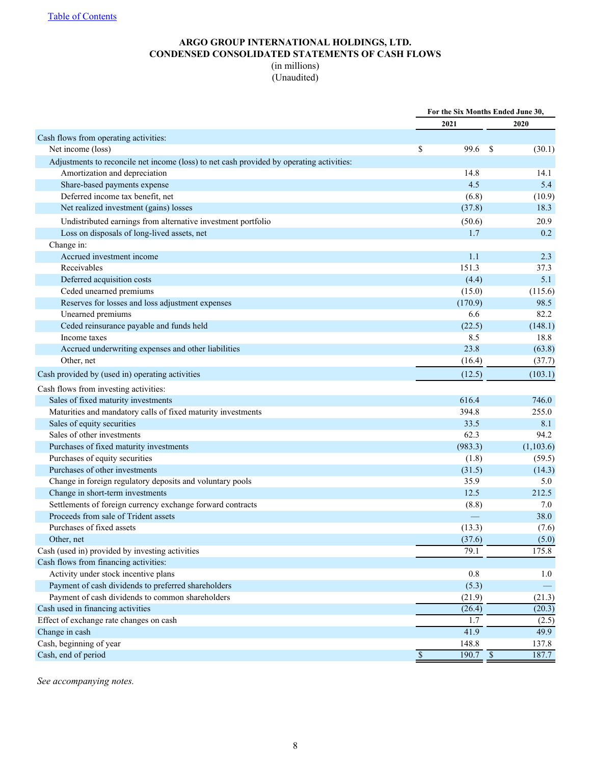# **ARGO GROUP INTERNATIONAL HOLDINGS, LTD. CONDENSED CONSOLIDATED STATEMENTS OF CASH FLOWS**

(in millions) (Unaudited)

<span id="page-7-0"></span>

|                                                                                          | For the Six Months Ended June 30, |               |                          |           |  |  |  |  |  |
|------------------------------------------------------------------------------------------|-----------------------------------|---------------|--------------------------|-----------|--|--|--|--|--|
|                                                                                          |                                   | 2021          |                          | 2020      |  |  |  |  |  |
| Cash flows from operating activities:                                                    |                                   |               |                          |           |  |  |  |  |  |
| Net income (loss)                                                                        | \$                                | 99.6          | \$                       | (30.1)    |  |  |  |  |  |
| Adjustments to reconcile net income (loss) to net cash provided by operating activities: |                                   |               |                          |           |  |  |  |  |  |
| Amortization and depreciation                                                            |                                   | 14.8          |                          | 14.1      |  |  |  |  |  |
| Share-based payments expense                                                             |                                   | 4.5           |                          | 5.4       |  |  |  |  |  |
| Deferred income tax benefit, net                                                         |                                   | (6.8)         |                          | (10.9)    |  |  |  |  |  |
| Net realized investment (gains) losses                                                   |                                   | (37.8)        |                          | 18.3      |  |  |  |  |  |
| Undistributed earnings from alternative investment portfolio                             |                                   |               |                          | 20.9      |  |  |  |  |  |
| Loss on disposals of long-lived assets, net                                              |                                   | (50.6)<br>1.7 |                          | 0.2       |  |  |  |  |  |
|                                                                                          |                                   |               |                          |           |  |  |  |  |  |
| Change in:<br>Accrued investment income                                                  |                                   |               |                          |           |  |  |  |  |  |
| Receivables                                                                              |                                   | 1.1<br>151.3  |                          | 2.3       |  |  |  |  |  |
|                                                                                          |                                   |               |                          | 37.3      |  |  |  |  |  |
| Deferred acquisition costs                                                               |                                   | (4.4)         |                          | 5.1       |  |  |  |  |  |
| Ceded unearned premiums                                                                  |                                   | (15.0)        |                          | (115.6)   |  |  |  |  |  |
| Reserves for losses and loss adjustment expenses                                         |                                   | (170.9)       |                          | 98.5      |  |  |  |  |  |
| Unearned premiums                                                                        |                                   | 6.6           |                          | 82.2      |  |  |  |  |  |
| Ceded reinsurance payable and funds held                                                 |                                   | (22.5)        |                          | (148.1)   |  |  |  |  |  |
| Income taxes                                                                             |                                   | 8.5           |                          | 18.8      |  |  |  |  |  |
| Accrued underwriting expenses and other liabilities                                      |                                   | 23.8          |                          | (63.8)    |  |  |  |  |  |
| Other, net                                                                               |                                   | (16.4)        |                          | (37.7)    |  |  |  |  |  |
| Cash provided by (used in) operating activities                                          |                                   | (12.5)        |                          | (103.1)   |  |  |  |  |  |
| Cash flows from investing activities:                                                    |                                   |               |                          |           |  |  |  |  |  |
| Sales of fixed maturity investments                                                      |                                   | 616.4         |                          | 746.0     |  |  |  |  |  |
| Maturities and mandatory calls of fixed maturity investments                             |                                   | 394.8         |                          | 255.0     |  |  |  |  |  |
| Sales of equity securities                                                               |                                   | 33.5          |                          | 8.1       |  |  |  |  |  |
| Sales of other investments                                                               |                                   | 62.3          |                          | 94.2      |  |  |  |  |  |
| Purchases of fixed maturity investments                                                  |                                   | (983.3)       |                          | (1,103.6) |  |  |  |  |  |
| Purchases of equity securities                                                           |                                   | (1.8)         |                          | (59.5)    |  |  |  |  |  |
| Purchases of other investments                                                           |                                   | (31.5)        |                          | (14.3)    |  |  |  |  |  |
| Change in foreign regulatory deposits and voluntary pools                                |                                   | 35.9          |                          | 5.0       |  |  |  |  |  |
| Change in short-term investments                                                         |                                   | 12.5          |                          | 212.5     |  |  |  |  |  |
| Settlements of foreign currency exchange forward contracts                               |                                   | (8.8)         |                          | 7.0       |  |  |  |  |  |
| Proceeds from sale of Trident assets                                                     |                                   |               |                          | 38.0      |  |  |  |  |  |
| Purchases of fixed assets                                                                |                                   | (13.3)        |                          | (7.6)     |  |  |  |  |  |
| Other, net                                                                               |                                   | (37.6)        |                          | (5.0)     |  |  |  |  |  |
| Cash (used in) provided by investing activities                                          |                                   | 79.1          |                          | 175.8     |  |  |  |  |  |
| Cash flows from financing activities:                                                    |                                   |               |                          |           |  |  |  |  |  |
| Activity under stock incentive plans                                                     |                                   | 0.8           |                          | 1.0       |  |  |  |  |  |
| Payment of cash dividends to preferred shareholders                                      |                                   | (5.3)         |                          |           |  |  |  |  |  |
| Payment of cash dividends to common shareholders                                         |                                   | (21.9)        |                          | (21.3)    |  |  |  |  |  |
| Cash used in financing activities                                                        |                                   | (26.4)        |                          | (20.3)    |  |  |  |  |  |
| Effect of exchange rate changes on cash                                                  |                                   | 1.7           |                          | (2.5)     |  |  |  |  |  |
| Change in cash                                                                           |                                   | 41.9          |                          | 49.9      |  |  |  |  |  |
| Cash, beginning of year                                                                  |                                   | 148.8         |                          | 137.8     |  |  |  |  |  |
| Cash, end of period                                                                      | $\sqrt{\frac{2}{3}}$              | 190.7         | $\overline{\mathcal{S}}$ | 187.7     |  |  |  |  |  |
|                                                                                          |                                   |               |                          |           |  |  |  |  |  |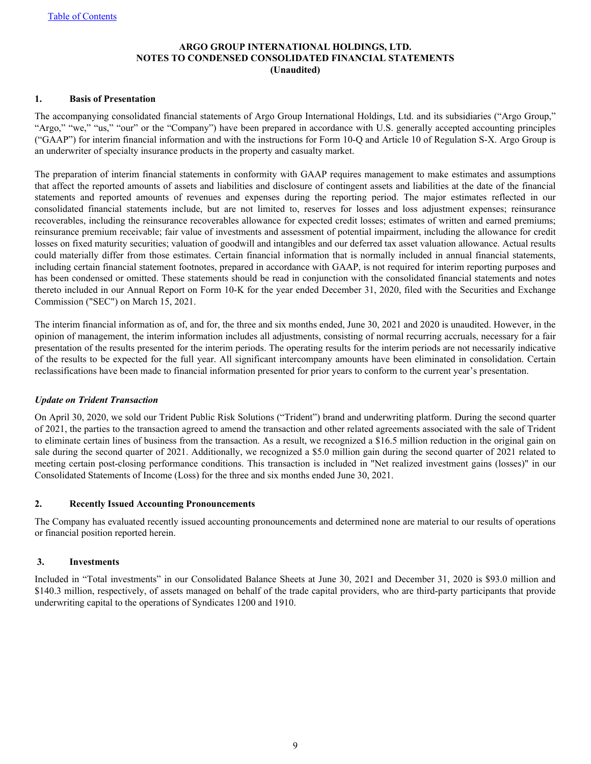#### **ARGO GROUP INTERNATIONAL HOLDINGS, LTD. NOTES TO CONDENSED CONSOLIDATED FINANCIAL STATEMENTS (Unaudited)**

#### <span id="page-8-0"></span>**1. Basis of Presentation**

The accompanying consolidated financial statements of Argo Group International Holdings, Ltd. and its subsidiaries ("Argo Group," "Argo," "we," "us," "our" or the "Company") have been prepared in accordance with U.S. generally accepted accounting principles ("GAAP") for interim financial information and with the instructions for Form 10-Q and Article 10 of Regulation S-X. Argo Group is an underwriter of specialty insurance products in the property and casualty market.

The preparation of interim financial statements in conformity with GAAP requires management to make estimates and assumptions that affect the reported amounts of assets and liabilities and disclosure of contingent assets and liabilities at the date of the financial statements and reported amounts of revenues and expenses during the reporting period. The major estimates reflected in our consolidated financial statements include, but are not limited to, reserves for losses and loss adjustment expenses; reinsurance recoverables, including the reinsurance recoverables allowance for expected credit losses; estimates of written and earned premiums; reinsurance premium receivable; fair value of investments and assessment of potential impairment, including the allowance for credit losses on fixed maturity securities; valuation of goodwill and intangibles and our deferred tax asset valuation allowance. Actual results could materially differ from those estimates. Certain financial information that is normally included in annual financial statements, including certain financial statement footnotes, prepared in accordance with GAAP, is not required for interim reporting purposes and has been condensed or omitted. These statements should be read in conjunction with the consolidated financial statements and notes thereto included in our Annual Report on Form 10-K for the year ended December 31, 2020, filed with the Securities and Exchange Commission ("SEC") on March 15, 2021.

The interim financial information as of, and for, the three and six months ended, June 30, 2021 and 2020 is unaudited. However, in the opinion of management, the interim information includes all adjustments, consisting of normal recurring accruals, necessary for a fair presentation of the results presented for the interim periods. The operating results for the interim periods are not necessarily indicative of the results to be expected for the full year. All significant intercompany amounts have been eliminated in consolidation. Certain reclassifications have been made to financial information presented for prior years to conform to the current year's presentation.

#### *Update on Trident Transaction*

On April 30, 2020, we sold our Trident Public Risk Solutions ("Trident") brand and underwriting platform. During the second quarter of 2021, the parties to the transaction agreed to amend the transaction and other related agreements associated with the sale of Trident to eliminate certain lines of business from the transaction. As a result, we recognized a \$16.5 million reduction in the original gain on sale during the second quarter of 2021. Additionally, we recognized a \$5.0 million gain during the second quarter of 2021 related to meeting certain post-closing performance conditions. This transaction is included in "Net realized investment gains (losses)" in our Consolidated Statements of Income (Loss) for the three and six months ended June 30, 2021.

#### **2. Recently Issued Accounting Pronouncements**

The Company has evaluated recently issued accounting pronouncements and determined none are material to our results of operations or financial position reported herein.

#### **3. Investments**

Included in "Total investments" in our Consolidated Balance Sheets at June 30, 2021 and December 31, 2020 is \$93.0 million and \$140.3 million, respectively, of assets managed on behalf of the trade capital providers, who are third-party participants that provide underwriting capital to the operations of Syndicates 1200 and 1910.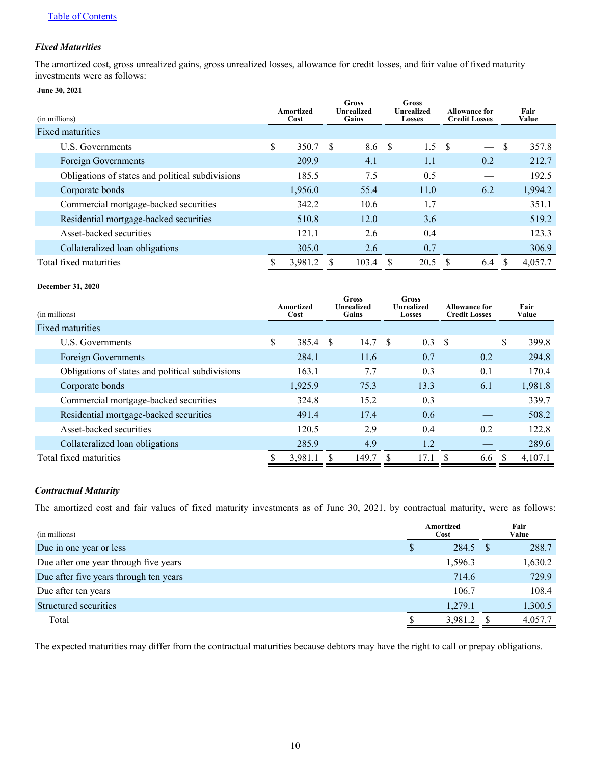# *Fixed Maturities*

The amortized cost, gross unrealized gains, gross unrealized losses, allowance for credit losses, and fair value of fixed maturity investments were as follows:

**June 30, 2021**

| (in millions)                                    |    | Amortized<br>Cost | Gross<br>Unrealized<br>Gains |       |    | <b>Gross</b><br><b>Unrealized</b><br>Losses |      | <b>Allowance for</b><br><b>Credit Losses</b> |   | Fair<br>Value |
|--------------------------------------------------|----|-------------------|------------------------------|-------|----|---------------------------------------------|------|----------------------------------------------|---|---------------|
| <b>Fixed maturities</b>                          |    |                   |                              |       |    |                                             |      |                                              |   |               |
| U.S. Governments                                 | \$ | 350.7             | <b>S</b>                     | 8.6   | -S | 1.5                                         | - \$ | $\overline{\phantom{m}}$                     | S | 357.8         |
| Foreign Governments                              |    | 209.9             |                              | 4.1   |    | 1.1                                         |      | 0.2                                          |   | 212.7         |
| Obligations of states and political subdivisions |    | 185.5             |                              | 7.5   |    | 0.5                                         |      |                                              |   | 192.5         |
| Corporate bonds                                  |    | 1,956.0           |                              | 55.4  |    | 11.0                                        |      | 6.2                                          |   | 1,994.2       |
| Commercial mortgage-backed securities            |    | 342.2             |                              | 10.6  |    | 1.7                                         |      |                                              |   | 351.1         |
| Residential mortgage-backed securities           |    | 510.8             |                              | 12.0  |    | 3.6                                         |      |                                              |   | 519.2         |
| Asset-backed securities                          |    | 121.1             |                              | 2.6   |    | 0.4                                         |      |                                              |   | 123.3         |
| Collateralized loan obligations                  |    | 305.0             |                              | 2.6   |    | 0.7                                         |      |                                              |   | 306.9         |
| Total fixed maturities                           |    | 3.981.2           |                              | 103.4 |    | 20.5                                        | £.   | 6.4                                          |   | 4.057.7       |

#### **December 31, 2020**

| (in millions)                                    |    | Amortized<br>Cost | Gross<br><b>Unrealized</b><br>Gains |        |  | Gross<br><b>Unrealized</b><br>Losses |     | <b>Allowance for</b><br><b>Credit Losses</b> | Fair<br>Value |
|--------------------------------------------------|----|-------------------|-------------------------------------|--------|--|--------------------------------------|-----|----------------------------------------------|---------------|
| Fixed maturities                                 |    |                   |                                     |        |  |                                      |     |                                              |               |
| <b>U.S. Governments</b>                          | \$ | 385.4             | -S                                  | 14.7 S |  | 0.3                                  | -\$ | $\qquad \qquad$                              | \$<br>399.8   |
| Foreign Governments                              |    | 284.1             |                                     | 11.6   |  | 0.7                                  |     | 0.2                                          | 294.8         |
| Obligations of states and political subdivisions |    | 163.1             |                                     | 7.7    |  | 0.3                                  |     | 0.1                                          | 170.4         |
| Corporate bonds                                  |    | 1,925.9           |                                     | 75.3   |  | 13.3                                 |     | 6.1                                          | 1,981.8       |
| Commercial mortgage-backed securities            |    | 324.8             |                                     | 15.2   |  | 0.3                                  |     |                                              | 339.7         |
| Residential mortgage-backed securities           |    | 491.4             |                                     | 17.4   |  | 0.6                                  |     |                                              | 508.2         |
| Asset-backed securities                          |    | 120.5             |                                     | 2.9    |  | 0.4                                  |     | 0.2                                          | 122.8         |
| Collateralized loan obligations                  |    | 285.9             |                                     | 4.9    |  | 1.2                                  |     |                                              | 289.6         |
| Total fixed maturities                           |    | 3.981.1           |                                     | 149.7  |  | 17.1                                 | S   | 6.6                                          | 4,107.1       |

#### *Contractual Maturity*

The amortized cost and fair values of fixed maturity investments as of June 30, 2021, by contractual maturity, were as follows:

| (in millions)                          |   | Amortized<br>Cost | Fair<br>Value |
|----------------------------------------|---|-------------------|---------------|
| Due in one year or less                | S | 284.5 \$          | 288.7         |
| Due after one year through five years  |   | 1,596.3           | 1,630.2       |
| Due after five years through ten years |   | 714.6             | 729.9         |
| Due after ten years                    |   | 106.7             | 108.4         |
| Structured securities                  |   | 1,279.1           | 1,300.5       |
| Total                                  |   | 3,981.2           | 4,057.7       |

The expected maturities may differ from the contractual maturities because debtors may have the right to call or prepay obligations.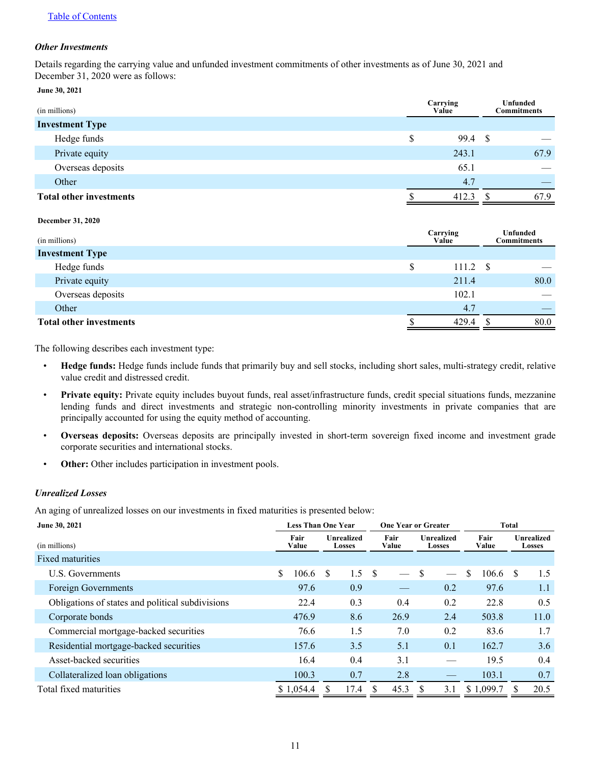#### *Other Investments*

Details regarding the carrying value and unfunded investment commitments of other investments as of June 30, 2021 and December 31, 2020 were as follows:

| June 30, 2021 |  |  |
|---------------|--|--|
|---------------|--|--|

| (in millions)                  |   | Carrying<br>Value |      | <b>Unfunded</b><br>Commitments |
|--------------------------------|---|-------------------|------|--------------------------------|
| <b>Investment Type</b>         |   |                   |      |                                |
| Hedge funds                    | S | 99.4              | - \$ |                                |
| Private equity                 |   | 243.1             |      | 67.9                           |
| Overseas deposits              |   | 65.1              |      |                                |
| Other                          |   | 4.7               |      |                                |
| <b>Total other investments</b> | J | 412.3             |      | 67.9                           |

#### **December 31, 2020**

| (in millions)                  | Carrying<br>Value      |  | <b>Unfunded</b><br>C <b>ommitments</b> |
|--------------------------------|------------------------|--|----------------------------------------|
| <b>Investment Type</b>         |                        |  |                                        |
| Hedge funds                    | \$<br>$111.2 \quad$ \$ |  |                                        |
| Private equity                 | 211.4                  |  | 80.0                                   |
| Overseas deposits              | 102.1                  |  |                                        |
| Other                          | 4.7                    |  |                                        |
| <b>Total other investments</b> | 429.4                  |  | 80.0                                   |

The following describes each investment type:

- **Hedge funds:** Hedge funds include funds that primarily buy and sell stocks, including short sales, multi-strategy credit, relative value credit and distressed credit.
- **Private equity:** Private equity includes buyout funds, real asset/infrastructure funds, credit special situations funds, mezzanine lending funds and direct investments and strategic non-controlling minority investments in private companies that are principally accounted for using the equity method of accounting.
- **Overseas deposits:** Overseas deposits are principally invested in short-term sovereign fixed income and investment grade corporate securities and international stocks.
- **Other:** Other includes participation in investment pools.

# *Unrealized Losses*

An aging of unrealized losses on our investments in fixed maturities is presented below:

| <b>June 30, 2021</b>                             | <b>Less Than One Year</b> |                                    |               | <b>One Year or Greater</b>         | Total         |                                    |  |  |
|--------------------------------------------------|---------------------------|------------------------------------|---------------|------------------------------------|---------------|------------------------------------|--|--|
| (in millions)                                    | Fair<br>Value             | <b>Unrealized</b><br><b>Losses</b> | Fair<br>Value | <b>Unrealized</b><br><b>Losses</b> | Fair<br>Value | <b>Unrealized</b><br><b>Losses</b> |  |  |
| Fixed maturities                                 |                           |                                    |               |                                    |               |                                    |  |  |
| U.S. Governments                                 | \$<br>106.6               | 1.5<br>\$.                         | \$.           | <sup>S</sup>                       | \$<br>106.6   | 1.5<br><b>S</b>                    |  |  |
| <b>Foreign Governments</b>                       | 97.6                      | 0.9                                |               | 0.2                                | 97.6          | 1.1                                |  |  |
| Obligations of states and political subdivisions | 22.4                      | 0.3                                | 0.4           | 0.2                                | 22.8          | 0.5                                |  |  |
| Corporate bonds                                  | 476.9                     | 8.6                                | 26.9          | 2.4                                | 503.8         | 11.0                               |  |  |
| Commercial mortgage-backed securities            | 76.6                      | 1.5                                | 7.0           | 0.2                                | 83.6          | 1.7                                |  |  |
| Residential mortgage-backed securities           | 157.6                     | 3.5                                | 5.1           | 0.1                                | 162.7         | 3.6                                |  |  |
| Asset-backed securities                          | 16.4                      | 0.4                                | 3.1           |                                    | 19.5          | 0.4                                |  |  |
| Collateralized loan obligations                  | 100.3                     | 0.7                                | 2.8           |                                    | 103.1         | 0.7                                |  |  |
| Total fixed maturities                           | \$1,054.4                 | 17.4                               | 45.3<br>S.    | 3.1                                | \$1,099.7     | 20.5<br>\$.                        |  |  |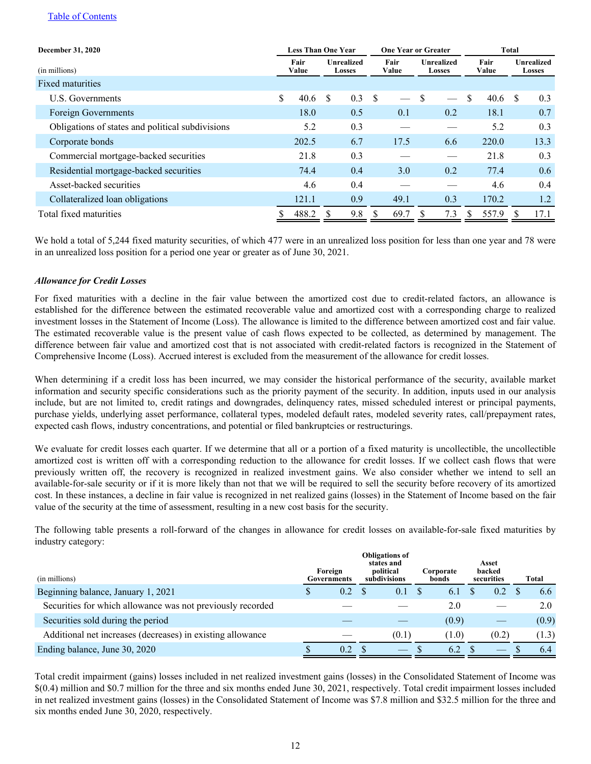| <b>December 31, 2020</b>                         | <b>Less Than One Year</b> |       |                                    |     | <b>One Year or Greater</b> |      |                                    | Total |               |       |  |                                    |
|--------------------------------------------------|---------------------------|-------|------------------------------------|-----|----------------------------|------|------------------------------------|-------|---------------|-------|--|------------------------------------|
| (in millions)                                    | Fair<br>Value             |       | <b>Unrealized</b><br><b>Losses</b> |     | Fair<br>Value              |      | <b>Unrealized</b><br><b>Losses</b> |       | Fair<br>Value |       |  | <b>Unrealized</b><br><b>Losses</b> |
| <b>Fixed maturities</b>                          |                           |       |                                    |     |                            |      |                                    |       |               |       |  |                                    |
| U.S. Governments                                 | \$                        | 40.6  | <sup>S</sup>                       | 0.3 | - \$                       |      | S                                  |       | \$            | 40.6  |  | 0.3                                |
| Foreign Governments                              |                           | 18.0  |                                    | 0.5 |                            | 0.1  |                                    | 0.2   |               | 18.1  |  | 0.7                                |
| Obligations of states and political subdivisions |                           | 5.2   |                                    | 0.3 |                            |      |                                    |       |               | 5.2   |  | 0.3                                |
| Corporate bonds                                  |                           | 202.5 |                                    | 6.7 |                            | 17.5 |                                    | 6.6   |               | 220.0 |  | 13.3                               |
| Commercial mortgage-backed securities            |                           | 21.8  |                                    | 0.3 |                            |      |                                    |       |               | 21.8  |  | 0.3                                |
| Residential mortgage-backed securities           |                           | 74.4  |                                    | 0.4 |                            | 3.0  |                                    | 0.2   |               | 77.4  |  | 0.6                                |
| Asset-backed securities                          |                           | 4.6   |                                    | 0.4 |                            |      |                                    |       |               | 4.6   |  | 0.4                                |
| Collateralized loan obligations                  |                           | 121.1 |                                    | 0.9 |                            | 49.1 |                                    | 0.3   |               | 170.2 |  | 1.2                                |
| Total fixed maturities                           | S                         | 488.2 |                                    | 9.8 |                            | 69.7 |                                    | 7.3   | S             | 557.9 |  | 17.1                               |

We hold a total of 5,244 fixed maturity securities, of which 477 were in an unrealized loss position for less than one year and 78 were in an unrealized loss position for a period one year or greater as of June 30, 2021.

# *Allowance for Credit Losses*

For fixed maturities with a decline in the fair value between the amortized cost due to credit-related factors, an allowance is established for the difference between the estimated recoverable value and amortized cost with a corresponding charge to realized investment losses in the Statement of Income (Loss). The allowance is limited to the difference between amortized cost and fair value. The estimated recoverable value is the present value of cash flows expected to be collected, as determined by management. The difference between fair value and amortized cost that is not associated with credit-related factors is recognized in the Statement of Comprehensive Income (Loss). Accrued interest is excluded from the measurement of the allowance for credit losses.

When determining if a credit loss has been incurred, we may consider the historical performance of the security, available market information and security specific considerations such as the priority payment of the security. In addition, inputs used in our analysis include, but are not limited to, credit ratings and downgrades, delinquency rates, missed scheduled interest or principal payments, purchase yields, underlying asset performance, collateral types, modeled default rates, modeled severity rates, call/prepayment rates, expected cash flows, industry concentrations, and potential or filed bankruptcies or restructurings.

We evaluate for credit losses each quarter. If we determine that all or a portion of a fixed maturity is uncollectible, the uncollectible amortized cost is written off with a corresponding reduction to the allowance for credit losses. If we collect cash flows that were previously written off, the recovery is recognized in realized investment gains. We also consider whether we intend to sell an available-for-sale security or if it is more likely than not that we will be required to sell the security before recovery of its amortized cost. In these instances, a decline in fair value is recognized in net realized gains (losses) in the Statement of Income based on the fair value of the security at the time of assessment, resulting in a new cost basis for the security.

The following table presents a roll-forward of the changes in allowance for credit losses on available-for-sale fixed maturities by industry category:

| (in millions)                                              | Foreign<br><b>Governments</b> | <b>Obligations of</b><br>states and<br>political<br>subdivisions | Corporate<br>bonds | Asset<br>backed<br>securities | Total |
|------------------------------------------------------------|-------------------------------|------------------------------------------------------------------|--------------------|-------------------------------|-------|
| Beginning balance, January 1, 2021                         | 0.2                           | 0.1                                                              | 6.1                | 0.2                           | 6.6   |
| Securities for which allowance was not previously recorded |                               |                                                                  | 2.0                |                               | 2.0   |
| Securities sold during the period                          |                               |                                                                  | (0.9)              |                               | (0.9) |
| Additional net increases (decreases) in existing allowance |                               | (0.1)                                                            | (1.0)              | (0.2)                         | (1.3) |
| Ending balance, June 30, 2020                              | 0.2                           |                                                                  | 6.2                |                               | 6.4   |

Total credit impairment (gains) losses included in net realized investment gains (losses) in the Consolidated Statement of Income was \$(0.4) million and \$0.7 million for the three and six months ended June 30, 2021, respectively. Total credit impairment losses included in net realized investment gains (losses) in the Consolidated Statement of Income was \$7.8 million and \$32.5 million for the three and six months ended June 30, 2020, respectively.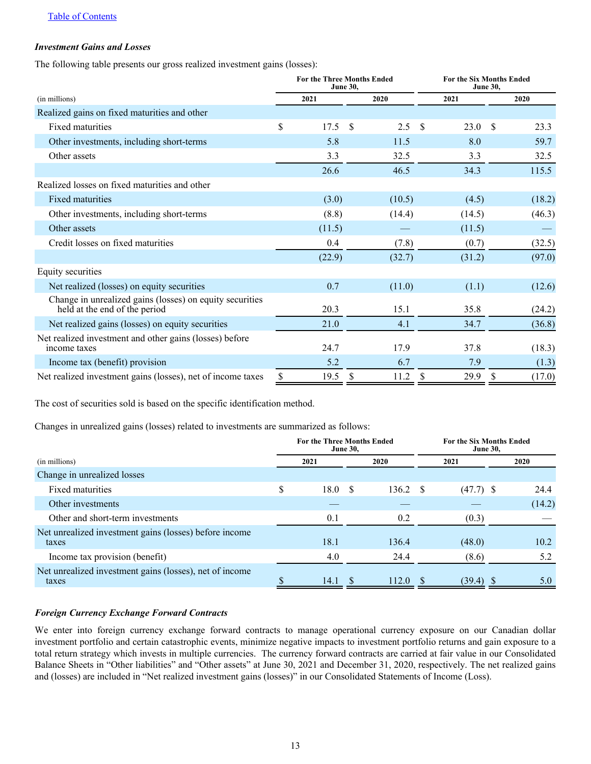#### *Investment Gains and Losses*

The following table presents our gross realized investment gains (losses):

|                                                                                           |              | <b>For the Three Months Ended</b><br><b>June 30,</b> |            | <b>For the Six Months Ended</b><br><b>June 30,</b> |        |      |        |  |
|-------------------------------------------------------------------------------------------|--------------|------------------------------------------------------|------------|----------------------------------------------------|--------|------|--------|--|
| (in millions)                                                                             | 2021<br>2020 |                                                      |            | 2021                                               |        | 2020 |        |  |
| Realized gains on fixed maturities and other                                              |              |                                                      |            |                                                    |        |      |        |  |
| Fixed maturities                                                                          | \$           | 17.5                                                 | \$<br>2.5  | \$.                                                | 23.0   | -S   | 23.3   |  |
| Other investments, including short-terms                                                  |              | 5.8                                                  | 11.5       |                                                    | 8.0    |      | 59.7   |  |
| Other assets                                                                              |              | 3.3                                                  | 32.5       |                                                    | 3.3    |      | 32.5   |  |
|                                                                                           |              | 26.6                                                 | 46.5       |                                                    | 34.3   |      | 115.5  |  |
| Realized losses on fixed maturities and other                                             |              |                                                      |            |                                                    |        |      |        |  |
| Fixed maturities                                                                          |              | (3.0)                                                | (10.5)     |                                                    | (4.5)  |      | (18.2) |  |
| Other investments, including short-terms                                                  |              | (8.8)                                                | (14.4)     |                                                    | (14.5) |      | (46.3) |  |
| Other assets                                                                              |              | (11.5)                                               |            |                                                    | (11.5) |      |        |  |
| Credit losses on fixed maturities                                                         |              | 0.4                                                  | (7.8)      |                                                    | (0.7)  |      | (32.5) |  |
|                                                                                           |              | (22.9)                                               | (32.7)     |                                                    | (31.2) |      | (97.0) |  |
| Equity securities                                                                         |              |                                                      |            |                                                    |        |      |        |  |
| Net realized (losses) on equity securities                                                |              | 0.7                                                  | (11.0)     |                                                    | (1.1)  |      | (12.6) |  |
| Change in unrealized gains (losses) on equity securities<br>held at the end of the period |              | 20.3                                                 | 15.1       |                                                    | 35.8   |      | (24.2) |  |
| Net realized gains (losses) on equity securities                                          |              | 21.0                                                 | 4.1        |                                                    | 34.7   |      | (36.8) |  |
| Net realized investment and other gains (losses) before<br>income taxes                   |              | 24.7                                                 | 17.9       |                                                    | 37.8   |      | (18.3) |  |
| Income tax (benefit) provision                                                            |              | 5.2                                                  | 6.7        |                                                    | 7.9    |      | (1.3)  |  |
| Net realized investment gains (losses), net of income taxes                               | \$           | 19.5                                                 | \$<br>11.2 | \$                                                 | 29.9   | \$   | (17.0) |  |

The cost of securities sold is based on the specific identification method.

Changes in unrealized gains (losses) related to investments are summarized as follows:

|                                                                  | <b>For the Three Months Ended</b><br><b>June 30,</b> |      |    |       |    | <b>For the Six Months Ended</b><br><b>June 30,</b> |  |        |  |  |  |
|------------------------------------------------------------------|------------------------------------------------------|------|----|-------|----|----------------------------------------------------|--|--------|--|--|--|
| (in millions)                                                    |                                                      | 2021 |    | 2020  |    | 2021                                               |  | 2020   |  |  |  |
| Change in unrealized losses                                      |                                                      |      |    |       |    |                                                    |  |        |  |  |  |
| Fixed maturities                                                 | \$                                                   | 18.0 | -S | 136.2 | -S | $(47.7)$ \$                                        |  | 24.4   |  |  |  |
| Other investments                                                |                                                      |      |    |       |    |                                                    |  | (14.2) |  |  |  |
| Other and short-term investments                                 |                                                      | 0.1  |    | 0.2   |    | (0.3)                                              |  |        |  |  |  |
| Net unrealized investment gains (losses) before income<br>taxes  |                                                      | 18.1 |    | 136.4 |    | (48.0)                                             |  | 10.2   |  |  |  |
| Income tax provision (benefit)                                   |                                                      | 4.0  |    | 24.4  |    | (8.6)                                              |  | 5.2    |  |  |  |
| Net unrealized investment gains (losses), net of income<br>taxes |                                                      | 14.1 | -S | 112.0 | -S | $(39.4)$ \$                                        |  | 5.0    |  |  |  |

#### *Foreign Currency Exchange Forward Contracts*

We enter into foreign currency exchange forward contracts to manage operational currency exposure on our Canadian dollar investment portfolio and certain catastrophic events, minimize negative impacts to investment portfolio returns and gain exposure to a total return strategy which invests in multiple currencies. The currency forward contracts are carried at fair value in our Consolidated Balance Sheets in "Other liabilities" and "Other assets" at June 30, 2021 and December 31, 2020, respectively. The net realized gains and (losses) are included in "Net realized investment gains (losses)" in our Consolidated Statements of Income (Loss).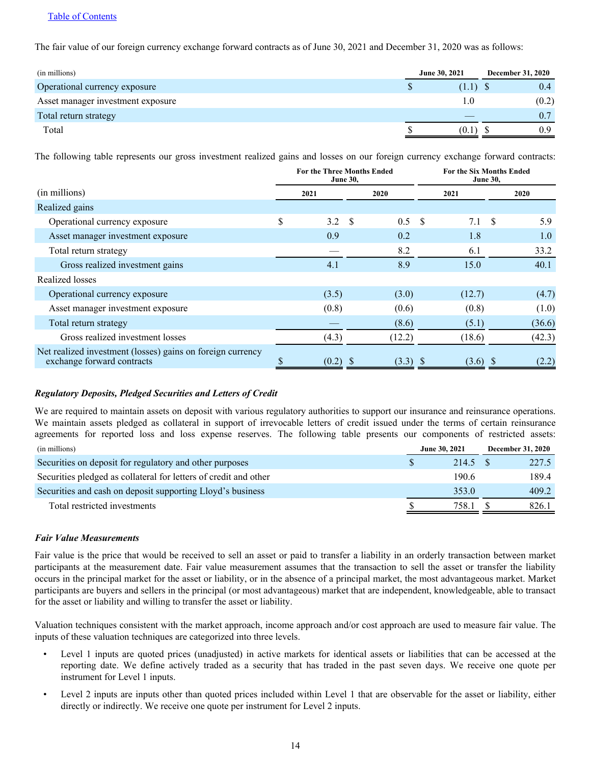The fair value of our foreign currency exchange forward contracts as of June 30, 2021 and December 31, 2020 was as follows:

| (in millions)                     | June 30, 2021 | <b>December 31, 2020</b> |  |  |
|-----------------------------------|---------------|--------------------------|--|--|
| Operational currency exposure     | $(1.1)$ \$    | 0.4                      |  |  |
| Asset manager investment exposure | 1.0           | (0.2)                    |  |  |
| Total return strategy             |               | 0.7                      |  |  |
| Total                             | (0.1)         | 0.9                      |  |  |

The following table represents our gross investment realized gains and losses on our foreign currency exchange forward contracts:

|                                                                                          | <b>For the Three Months Ended</b><br><b>June 30,</b> |       |               |            |               | For the Six Months Ended<br><b>June 30,</b> |     |        |  |  |  |
|------------------------------------------------------------------------------------------|------------------------------------------------------|-------|---------------|------------|---------------|---------------------------------------------|-----|--------|--|--|--|
| (in millions)                                                                            |                                                      | 2021  |               | 2020       |               | 2021                                        |     | 2020   |  |  |  |
| Realized gains                                                                           |                                                      |       |               |            |               |                                             |     |        |  |  |  |
| Operational currency exposure                                                            | \$                                                   | 3.2   | <sup>\$</sup> | 0.5        | <sup>\$</sup> | 7.1                                         | -\$ | 5.9    |  |  |  |
| Asset manager investment exposure                                                        |                                                      | 0.9   |               | 0.2        |               | 1.8                                         |     | 1.0    |  |  |  |
| Total return strategy                                                                    |                                                      |       |               | 8.2        |               | 6.1                                         |     | 33.2   |  |  |  |
| Gross realized investment gains                                                          |                                                      | 4.1   |               | 8.9        |               | 15.0                                        |     | 40.1   |  |  |  |
| Realized losses                                                                          |                                                      |       |               |            |               |                                             |     |        |  |  |  |
| Operational currency exposure                                                            |                                                      | (3.5) |               | (3.0)      |               | (12.7)                                      |     | (4.7)  |  |  |  |
| Asset manager investment exposure                                                        |                                                      | (0.8) |               | (0.6)      |               | (0.8)                                       |     | (1.0)  |  |  |  |
| Total return strategy                                                                    |                                                      |       |               | (8.6)      |               | (5.1)                                       |     | (36.6) |  |  |  |
| Gross realized investment losses                                                         |                                                      | (4.3) |               | (12.2)     |               | (18.6)                                      |     | (42.3) |  |  |  |
| Net realized investment (losses) gains on foreign currency<br>exchange forward contracts |                                                      | (0.2) | - 5           | $(3.3)$ \$ |               | $(3.6)$ \$                                  |     | (2.2)  |  |  |  |

#### *Regulatory Deposits, Pledged Securities and Letters of Credit*

We are required to maintain assets on deposit with various regulatory authorities to support our insurance and reinsurance operations. We maintain assets pledged as collateral in support of irrevocable letters of credit issued under the terms of certain reinsurance agreements for reported loss and loss expense reserves. The following table presents our components of restricted assets:

| (in millions)                                                    | <b>June 30, 2021</b> | <b>December 31, 2020</b> |       |  |
|------------------------------------------------------------------|----------------------|--------------------------|-------|--|
| Securities on deposit for regulatory and other purposes          | 214.5                |                          | 227.5 |  |
| Securities pledged as collateral for letters of credit and other | 190.6                |                          | 1894  |  |
| Securities and cash on deposit supporting Lloyd's business       | 353.0                |                          | 409.2 |  |
| Total restricted investments                                     | 758. i               |                          | 826.1 |  |

#### *Fair Value Measurements*

Fair value is the price that would be received to sell an asset or paid to transfer a liability in an orderly transaction between market participants at the measurement date. Fair value measurement assumes that the transaction to sell the asset or transfer the liability occurs in the principal market for the asset or liability, or in the absence of a principal market, the most advantageous market. Market participants are buyers and sellers in the principal (or most advantageous) market that are independent, knowledgeable, able to transact for the asset or liability and willing to transfer the asset or liability.

Valuation techniques consistent with the market approach, income approach and/or cost approach are used to measure fair value. The inputs of these valuation techniques are categorized into three levels.

- Level 1 inputs are quoted prices (unadjusted) in active markets for identical assets or liabilities that can be accessed at the reporting date. We define actively traded as a security that has traded in the past seven days. We receive one quote per instrument for Level 1 inputs.
- Level 2 inputs are inputs other than quoted prices included within Level 1 that are observable for the asset or liability, either directly or indirectly. We receive one quote per instrument for Level 2 inputs.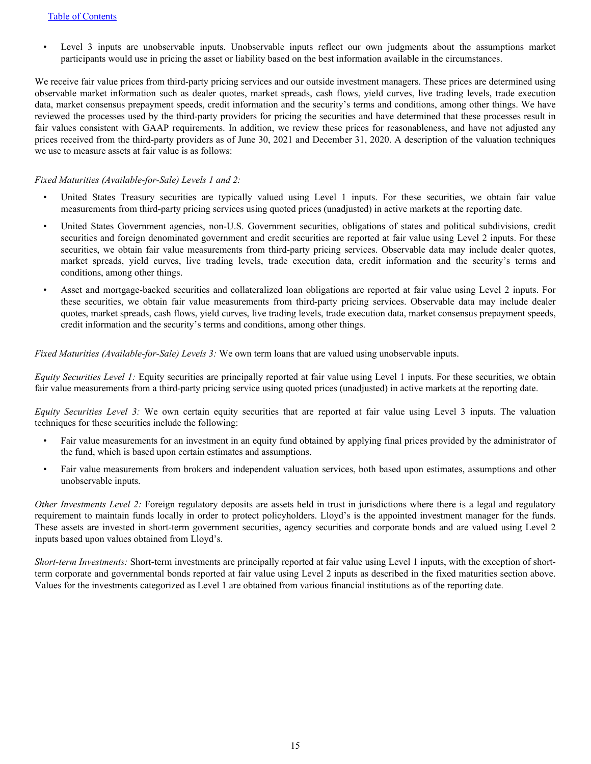• Level 3 inputs are unobservable inputs. Unobservable inputs reflect our own judgments about the assumptions market participants would use in pricing the asset or liability based on the best information available in the circumstances.

We receive fair value prices from third-party pricing services and our outside investment managers. These prices are determined using observable market information such as dealer quotes, market spreads, cash flows, yield curves, live trading levels, trade execution data, market consensus prepayment speeds, credit information and the security's terms and conditions, among other things. We have reviewed the processes used by the third-party providers for pricing the securities and have determined that these processes result in fair values consistent with GAAP requirements. In addition, we review these prices for reasonableness, and have not adjusted any prices received from the third-party providers as of June 30, 2021 and December 31, 2020. A description of the valuation techniques we use to measure assets at fair value is as follows:

#### *Fixed Maturities (Available-for-Sale) Levels 1 and 2:*

- United States Treasury securities are typically valued using Level 1 inputs. For these securities, we obtain fair value measurements from third-party pricing services using quoted prices (unadjusted) in active markets at the reporting date.
- United States Government agencies, non-U.S. Government securities, obligations of states and political subdivisions, credit securities and foreign denominated government and credit securities are reported at fair value using Level 2 inputs. For these securities, we obtain fair value measurements from third-party pricing services. Observable data may include dealer quotes, market spreads, yield curves, live trading levels, trade execution data, credit information and the security's terms and conditions, among other things.
- Asset and mortgage-backed securities and collateralized loan obligations are reported at fair value using Level 2 inputs. For these securities, we obtain fair value measurements from third-party pricing services. Observable data may include dealer quotes, market spreads, cash flows, yield curves, live trading levels, trade execution data, market consensus prepayment speeds, credit information and the security's terms and conditions, among other things.

*Fixed Maturities (Available-for-Sale) Levels 3:* We own term loans that are valued using unobservable inputs.

*Equity Securities Level 1:* Equity securities are principally reported at fair value using Level 1 inputs. For these securities, we obtain fair value measurements from a third-party pricing service using quoted prices (unadjusted) in active markets at the reporting date.

*Equity Securities Level 3:* We own certain equity securities that are reported at fair value using Level 3 inputs. The valuation techniques for these securities include the following:

- Fair value measurements for an investment in an equity fund obtained by applying final prices provided by the administrator of the fund, which is based upon certain estimates and assumptions.
- Fair value measurements from brokers and independent valuation services, both based upon estimates, assumptions and other unobservable inputs.

*Other Investments Level 2:* Foreign regulatory deposits are assets held in trust in jurisdictions where there is a legal and regulatory requirement to maintain funds locally in order to protect policyholders. Lloyd's is the appointed investment manager for the funds. These assets are invested in short-term government securities, agency securities and corporate bonds and are valued using Level 2 inputs based upon values obtained from Lloyd's.

*Short-term Investments:* Short-term investments are principally reported at fair value using Level 1 inputs, with the exception of shortterm corporate and governmental bonds reported at fair value using Level 2 inputs as described in the fixed maturities section above. Values for the investments categorized as Level 1 are obtained from various financial institutions as of the reporting date.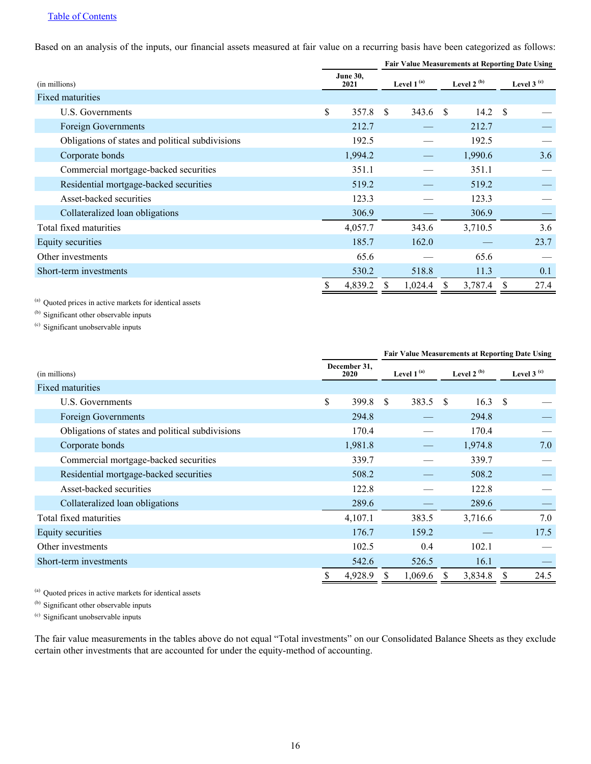Based on an analysis of the inputs, our financial assets measured at fair value on a recurring basis have been categorized as follows:

|                                                  |                         | <b>Fair Value Measurements at Reporting Date Using</b> |                 |               |         |    |               |
|--------------------------------------------------|-------------------------|--------------------------------------------------------|-----------------|---------------|---------|----|---------------|
| (in millions)                                    | <b>June 30,</b><br>2021 |                                                        | Level $1^{(a)}$ | Level 2 $(b)$ |         |    | Level 3 $(c)$ |
| Fixed maturities                                 |                         |                                                        |                 |               |         |    |               |
| U.S. Governments                                 | \$<br>357.8             | \$                                                     | 343.6           | -S            | 14.2    | -S |               |
| Foreign Governments                              | 212.7                   |                                                        |                 |               | 212.7   |    |               |
| Obligations of states and political subdivisions | 192.5                   |                                                        |                 |               | 192.5   |    |               |
| Corporate bonds                                  | 1,994.2                 |                                                        |                 |               | 1,990.6 |    | 3.6           |
| Commercial mortgage-backed securities            | 351.1                   |                                                        |                 |               | 351.1   |    |               |
| Residential mortgage-backed securities           | 519.2                   |                                                        |                 |               | 519.2   |    |               |
| Asset-backed securities                          | 123.3                   |                                                        |                 |               | 123.3   |    |               |
| Collateralized loan obligations                  | 306.9                   |                                                        |                 |               | 306.9   |    |               |
| Total fixed maturities                           | 4,057.7                 |                                                        | 343.6           |               | 3,710.5 |    | 3.6           |
| Equity securities                                | 185.7                   |                                                        | 162.0           |               |         |    | 23.7          |
| Other investments                                | 65.6                    |                                                        |                 |               | 65.6    |    |               |
| Short-term investments                           | 530.2                   |                                                        | 518.8           |               | 11.3    |    | 0.1           |
|                                                  | \$<br>4,839.2           | S                                                      | 1,024.4         | S             | 3,787.4 | \$ | 27.4          |

(a) Quoted prices in active markets for identical assets

(b) Significant other observable inputs

(c) Significant unobservable inputs

|                                                  |                      | <b>Fair Value Measurements at Reporting Date Using</b> |                 |               |         |               |               |  |
|--------------------------------------------------|----------------------|--------------------------------------------------------|-----------------|---------------|---------|---------------|---------------|--|
| (in millions)                                    | December 31,<br>2020 |                                                        | Level $1^{(a)}$ | Level 2 $(b)$ |         |               | Level 3 $(c)$ |  |
| <b>Fixed maturities</b>                          |                      |                                                        |                 |               |         |               |               |  |
| U.S. Governments                                 | \$<br>399.8          | \$.                                                    | 383.5           | \$.           | 16.3    | <sup>\$</sup> |               |  |
| Foreign Governments                              | 294.8                |                                                        |                 |               | 294.8   |               |               |  |
| Obligations of states and political subdivisions | 170.4                |                                                        |                 |               | 170.4   |               |               |  |
| Corporate bonds                                  | 1,981.8              |                                                        |                 |               | 1,974.8 |               | 7.0           |  |
| Commercial mortgage-backed securities            | 339.7                |                                                        |                 |               | 339.7   |               |               |  |
| Residential mortgage-backed securities           | 508.2                |                                                        |                 |               | 508.2   |               |               |  |
| Asset-backed securities                          | 122.8                |                                                        |                 |               | 122.8   |               |               |  |
| Collateralized loan obligations                  | 289.6                |                                                        |                 |               | 289.6   |               |               |  |
| Total fixed maturities                           | 4,107.1              |                                                        | 383.5           |               | 3,716.6 |               | 7.0           |  |
| Equity securities                                | 176.7                |                                                        | 159.2           |               |         |               | 17.5          |  |
| Other investments                                | 102.5                |                                                        | 0.4             |               | 102.1   |               |               |  |
| Short-term investments                           | 542.6                |                                                        | 526.5           |               | 16.1    |               |               |  |
|                                                  | 4,928.9              |                                                        | 1,069.6         |               | 3,834.8 |               | 24.5          |  |

(a) Quoted prices in active markets for identical assets

(b) Significant other observable inputs

(c) Significant unobservable inputs

The fair value measurements in the tables above do not equal "Total investments" on our Consolidated Balance Sheets as they exclude certain other investments that are accounted for under the equity-method of accounting.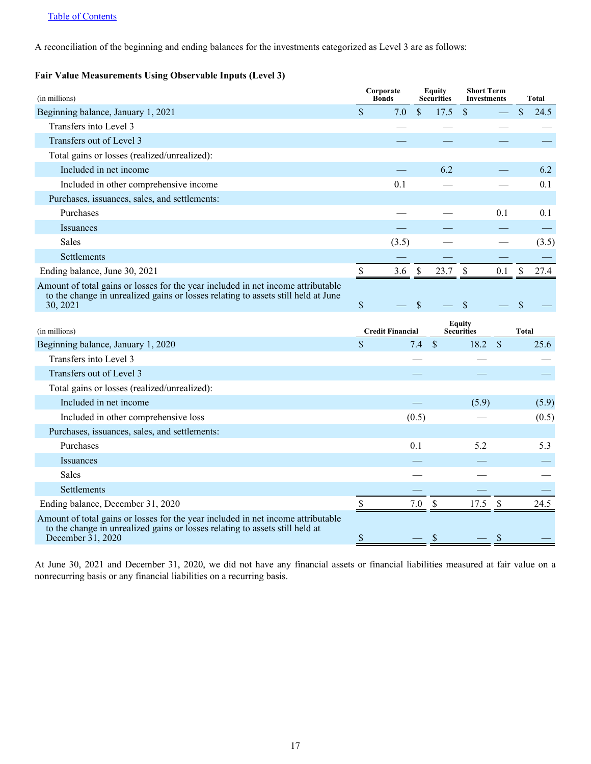A reconciliation of the beginning and ending balances for the investments categorized as Level 3 are as follows:

# **Fair Value Measurements Using Observable Inputs (Level 3)**

| (in millions)                                                                                                                                                                     | Corporate<br><b>Bonds</b> |                         |                           |      | <b>Short Term</b><br><b>Equity</b><br><b>Securities</b><br><b>Investments</b> |               |               | Total |
|-----------------------------------------------------------------------------------------------------------------------------------------------------------------------------------|---------------------------|-------------------------|---------------------------|------|-------------------------------------------------------------------------------|---------------|---------------|-------|
| Beginning balance, January 1, 2021                                                                                                                                                | \$                        | 7.0                     | \$                        | 17.5 | \$                                                                            |               | $\mathsf{\$}$ | 24.5  |
| Transfers into Level 3                                                                                                                                                            |                           |                         |                           |      |                                                                               |               |               |       |
| Transfers out of Level 3                                                                                                                                                          |                           |                         |                           |      |                                                                               |               |               |       |
| Total gains or losses (realized/unrealized):                                                                                                                                      |                           |                         |                           |      |                                                                               |               |               |       |
| Included in net income                                                                                                                                                            |                           |                         |                           | 6.2  |                                                                               |               |               | 6.2   |
| Included in other comprehensive income                                                                                                                                            |                           | 0.1                     |                           |      |                                                                               |               |               | 0.1   |
| Purchases, issuances, sales, and settlements:                                                                                                                                     |                           |                         |                           |      |                                                                               |               |               |       |
| Purchases                                                                                                                                                                         |                           |                         |                           |      |                                                                               | 0.1           |               | 0.1   |
| Issuances                                                                                                                                                                         |                           |                         |                           |      |                                                                               |               |               |       |
| <b>Sales</b>                                                                                                                                                                      |                           | (3.5)                   |                           |      |                                                                               |               |               | (3.5) |
| Settlements                                                                                                                                                                       |                           |                         |                           |      |                                                                               |               |               |       |
| Ending balance, June 30, 2021                                                                                                                                                     | \$                        | 3.6                     | $\boldsymbol{\mathsf{S}}$ | 23.7 | $\boldsymbol{\mathsf{S}}$                                                     | 0.1           | $\mathbb{S}$  | 27.4  |
| Amount of total gains or losses for the year included in net income attributable<br>to the change in unrealized gains or losses relating to assets still held at June<br>30, 2021 | \$                        |                         | \$                        |      | $\mathsf{\$}$                                                                 |               | \$            |       |
|                                                                                                                                                                                   |                           |                         |                           |      | Equity                                                                        |               |               |       |
| (in millions)                                                                                                                                                                     |                           | <b>Credit Financial</b> |                           |      | <b>Securities</b>                                                             |               | <b>Total</b>  |       |
| Beginning balance, January 1, 2020                                                                                                                                                | \$                        |                         | 7.4                       | \$   | 18.2                                                                          | $\mathcal{S}$ |               | 25.6  |
| Transfers into Level 3                                                                                                                                                            |                           |                         |                           |      |                                                                               |               |               |       |
| Transfers out of Level 3                                                                                                                                                          |                           |                         |                           |      |                                                                               |               |               |       |
| Total gains or losses (realized/unrealized):                                                                                                                                      |                           |                         |                           |      |                                                                               |               |               |       |
| Included in net income                                                                                                                                                            |                           |                         |                           |      | (5.9)                                                                         |               |               | (5.9) |
| Included in other comprehensive loss                                                                                                                                              |                           |                         | (0.5)                     |      |                                                                               |               |               | (0.5) |
| Purchases, issuances, sales, and settlements:                                                                                                                                     |                           |                         |                           |      |                                                                               |               |               |       |
| Purchases                                                                                                                                                                         |                           |                         | 0.1                       |      | 5.2                                                                           |               |               | 5.3   |
| Issuances                                                                                                                                                                         |                           |                         |                           |      |                                                                               |               |               |       |
| Sales                                                                                                                                                                             |                           |                         |                           |      |                                                                               |               |               |       |
| Settlements                                                                                                                                                                       |                           |                         |                           |      |                                                                               |               |               |       |
| Ending balance, December 31, 2020                                                                                                                                                 | \$                        |                         | 7.0                       | \$   | 17.5                                                                          | \$            |               | 24.5  |

At June 30, 2021 and December 31, 2020, we did not have any financial assets or financial liabilities measured at fair value on a nonrecurring basis or any financial liabilities on a recurring basis.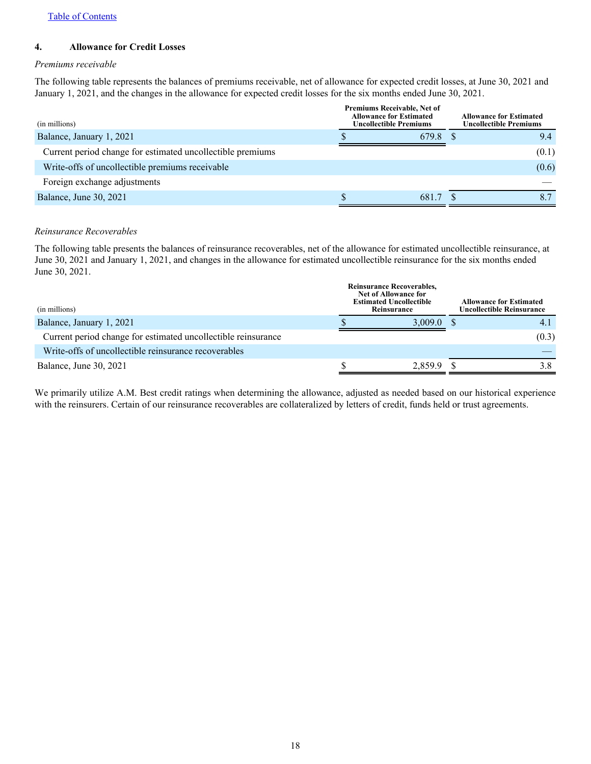#### **4. Allowance for Credit Losses**

#### *Premiums receivable*

The following table represents the balances of premiums receivable, net of allowance for expected credit losses, at June 30, 2021 and January 1, 2021, and the changes in the allowance for expected credit losses for the six months ended June 30, 2021.

| (in millions)                                              | <b>Premiums Receivable, Net of</b><br><b>Allowance for Estimated</b><br><b>Uncollectible Premiums</b> | <b>Allowance for Estimated</b><br><b>Uncollectible Premiums</b> |
|------------------------------------------------------------|-------------------------------------------------------------------------------------------------------|-----------------------------------------------------------------|
| Balance, January 1, 2021                                   | 679.8                                                                                                 | 9.4                                                             |
| Current period change for estimated uncollectible premiums |                                                                                                       | (0.1)                                                           |
| Write-offs of uncollectible premiums receivable            |                                                                                                       | (0.6)                                                           |
| Foreign exchange adjustments                               |                                                                                                       |                                                                 |
| Balance, June 30, 2021                                     | 681.7                                                                                                 |                                                                 |

#### *Reinsurance Recoverables*

The following table presents the balances of reinsurance recoverables, net of the allowance for estimated uncollectible reinsurance, at June 30, 2021 and January 1, 2021, and changes in the allowance for estimated uncollectible reinsurance for the six months ended June 30, 2021.

| (in millions)                                                 | <b>Reinsurance Recoverables,</b><br><b>Net of Allowance for</b><br><b>Estimated Uncollectible</b><br>Reinsurance | <b>Allowance for Estimated</b><br>Uncollectible Reinsurance |       |  |  |
|---------------------------------------------------------------|------------------------------------------------------------------------------------------------------------------|-------------------------------------------------------------|-------|--|--|
| Balance, January 1, 2021                                      | 3,009.0                                                                                                          |                                                             | 4.    |  |  |
| Current period change for estimated uncollectible reinsurance |                                                                                                                  |                                                             | (0.3) |  |  |
| Write-offs of uncollectible reinsurance recoverables          |                                                                                                                  |                                                             |       |  |  |
| Balance, June 30, 2021                                        | 2.859.9                                                                                                          |                                                             |       |  |  |

We primarily utilize A.M. Best credit ratings when determining the allowance, adjusted as needed based on our historical experience with the reinsurers. Certain of our reinsurance recoverables are collateralized by letters of credit, funds held or trust agreements.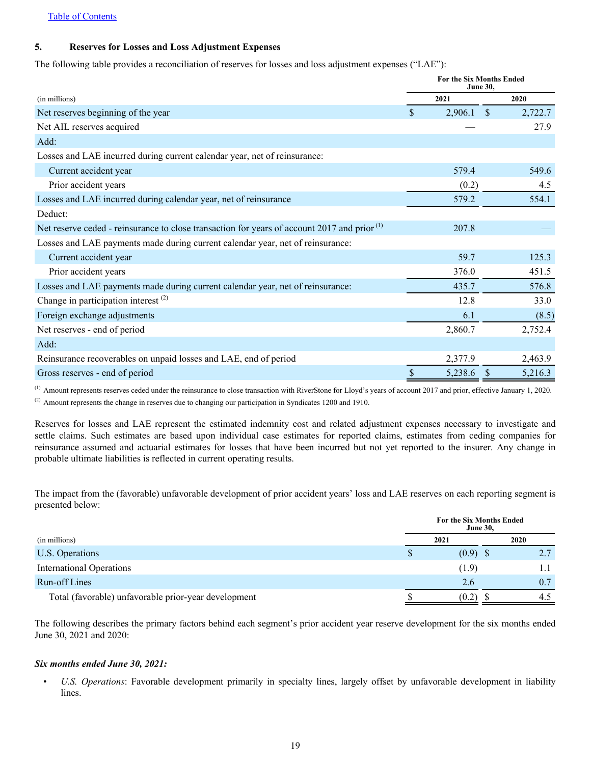# **5. Reserves for Losses and Loss Adjustment Expenses**

The following table provides a reconciliation of reserves for losses and loss adjustment expenses ("LAE"):

|                                                                                                         | <b>For the Six Months Ended</b><br><b>June 30.</b> |         |              |         |  |  |  |  |
|---------------------------------------------------------------------------------------------------------|----------------------------------------------------|---------|--------------|---------|--|--|--|--|
| (in millions)                                                                                           |                                                    | 2021    |              | 2020    |  |  |  |  |
| Net reserves beginning of the year                                                                      | \$                                                 | 2,906.1 | $\mathbb{S}$ | 2,722.7 |  |  |  |  |
| Net AIL reserves acquired                                                                               |                                                    |         |              | 27.9    |  |  |  |  |
| Add:                                                                                                    |                                                    |         |              |         |  |  |  |  |
| Losses and LAE incurred during current calendar year, net of reinsurance:                               |                                                    |         |              |         |  |  |  |  |
| Current accident year                                                                                   |                                                    | 579.4   |              | 549.6   |  |  |  |  |
| Prior accident years                                                                                    |                                                    | (0.2)   |              | 4.5     |  |  |  |  |
| Losses and LAE incurred during calendar year, net of reinsurance                                        |                                                    | 579.2   |              | 554.1   |  |  |  |  |
| Deduct:                                                                                                 |                                                    |         |              |         |  |  |  |  |
| Net reserve ceded - reinsurance to close transaction for years of account 2017 and prior <sup>(1)</sup> |                                                    | 207.8   |              |         |  |  |  |  |
| Losses and LAE payments made during current calendar year, net of reinsurance:                          |                                                    |         |              |         |  |  |  |  |
| Current accident year                                                                                   |                                                    | 59.7    |              | 125.3   |  |  |  |  |
| Prior accident years                                                                                    |                                                    | 376.0   |              | 451.5   |  |  |  |  |
| Losses and LAE payments made during current calendar year, net of reinsurance:                          |                                                    | 435.7   |              | 576.8   |  |  |  |  |
| Change in participation interest $(2)$                                                                  |                                                    | 12.8    |              | 33.0    |  |  |  |  |
| Foreign exchange adjustments                                                                            |                                                    | 6.1     |              | (8.5)   |  |  |  |  |
| Net reserves - end of period                                                                            |                                                    | 2,860.7 |              | 2,752.4 |  |  |  |  |
| Add:                                                                                                    |                                                    |         |              |         |  |  |  |  |
| Reinsurance recoverables on unpaid losses and LAE, end of period                                        |                                                    | 2,377.9 |              | 2,463.9 |  |  |  |  |
| Gross reserves - end of period                                                                          | \$                                                 | 5,238.6 | <sup>S</sup> | 5,216.3 |  |  |  |  |

(1) Amount represents reserves ceded under the reinsurance to close transaction with RiverStone for Lloyd's years of account 2017 and prior, effective January 1, 2020.

<sup>(2)</sup> Amount represents the change in reserves due to changing our participation in Syndicates 1200 and 1910.

Reserves for losses and LAE represent the estimated indemnity cost and related adjustment expenses necessary to investigate and settle claims. Such estimates are based upon individual case estimates for reported claims, estimates from ceding companies for reinsurance assumed and actuarial estimates for losses that have been incurred but not yet reported to the insurer. Any change in probable ultimate liabilities is reflected in current operating results.

The impact from the (favorable) unfavorable development of prior accident years' loss and LAE reserves on each reporting segment is presented below:

|                                                      | <b>For the Six Months Ended</b><br><b>June 30,</b> |            |      |     |  |  |  |  |  |
|------------------------------------------------------|----------------------------------------------------|------------|------|-----|--|--|--|--|--|
| (in millions)                                        |                                                    | 2021       | 2020 |     |  |  |  |  |  |
| U.S. Operations                                      |                                                    | $(0.9)$ \$ |      |     |  |  |  |  |  |
| <b>International Operations</b>                      |                                                    | (1.9)      |      |     |  |  |  |  |  |
| Run-off Lines                                        |                                                    | 2.6        |      | 0.7 |  |  |  |  |  |
| Total (favorable) unfavorable prior-year development |                                                    | (0.2)      |      | 4.5 |  |  |  |  |  |

The following describes the primary factors behind each segment's prior accident year reserve development for the six months ended June 30, 2021 and 2020:

#### *Six months ended June 30, 2021:*

• *U.S. Operations*: Favorable development primarily in specialty lines, largely offset by unfavorable development in liability lines.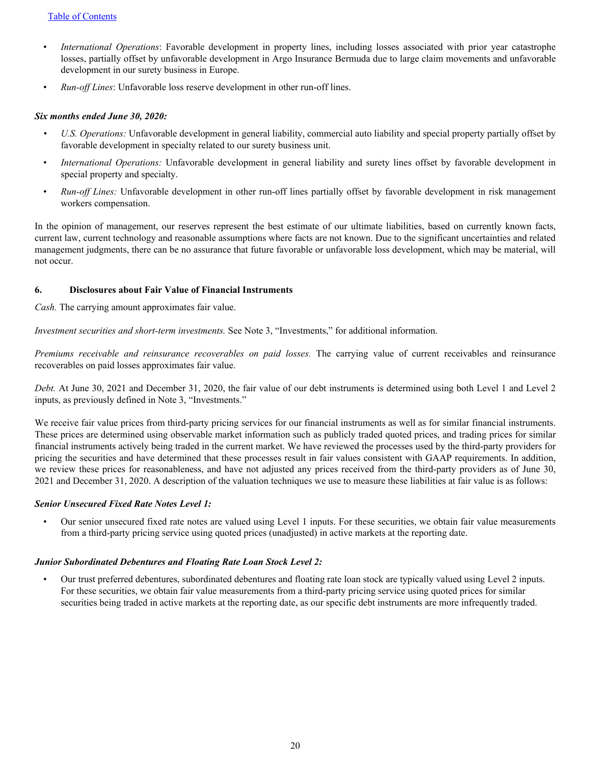- *International Operations*: Favorable development in property lines, including losses associated with prior year catastrophe losses, partially offset by unfavorable development in Argo Insurance Bermuda due to large claim movements and unfavorable development in our surety business in Europe.
- *Run-off Lines*: Unfavorable loss reserve development in other run-off lines.

#### *Six months ended June 30, 2020:*

- *• U.S. Operations:* Unfavorable development in general liability, commercial auto liability and special property partially offset by favorable development in specialty related to our surety business unit.
- *International Operations:* Unfavorable development in general liability and surety lines offset by favorable development in special property and specialty.
- *Run-off Lines:* Unfavorable development in other run-off lines partially offset by favorable development in risk management workers compensation.

In the opinion of management, our reserves represent the best estimate of our ultimate liabilities, based on currently known facts, current law, current technology and reasonable assumptions where facts are not known. Due to the significant uncertainties and related management judgments, there can be no assurance that future favorable or unfavorable loss development, which may be material, will not occur.

# **6. Disclosures about Fair Value of Financial Instruments**

*Cash.* The carrying amount approximates fair value.

*Investment securities and short-term investments.* See Note 3, "Investments," for additional information.

*Premiums receivable and reinsurance recoverables on paid losses.* The carrying value of current receivables and reinsurance recoverables on paid losses approximates fair value.

*Debt.* At June 30, 2021 and December 31, 2020, the fair value of our debt instruments is determined using both Level 1 and Level 2 inputs, as previously defined in Note 3, "Investments."

We receive fair value prices from third-party pricing services for our financial instruments as well as for similar financial instruments. These prices are determined using observable market information such as publicly traded quoted prices, and trading prices for similar financial instruments actively being traded in the current market. We have reviewed the processes used by the third-party providers for pricing the securities and have determined that these processes result in fair values consistent with GAAP requirements. In addition, we review these prices for reasonableness, and have not adjusted any prices received from the third-party providers as of June 30, 2021 and December 31, 2020. A description of the valuation techniques we use to measure these liabilities at fair value is as follows:

# *Senior Unsecured Fixed Rate Notes Level 1:*

• Our senior unsecured fixed rate notes are valued using Level 1 inputs. For these securities, we obtain fair value measurements from a third-party pricing service using quoted prices (unadjusted) in active markets at the reporting date.

#### *Junior Subordinated Debentures and Floating Rate Loan Stock Level 2:*

• Our trust preferred debentures, subordinated debentures and floating rate loan stock are typically valued using Level 2 inputs. For these securities, we obtain fair value measurements from a third-party pricing service using quoted prices for similar securities being traded in active markets at the reporting date, as our specific debt instruments are more infrequently traded.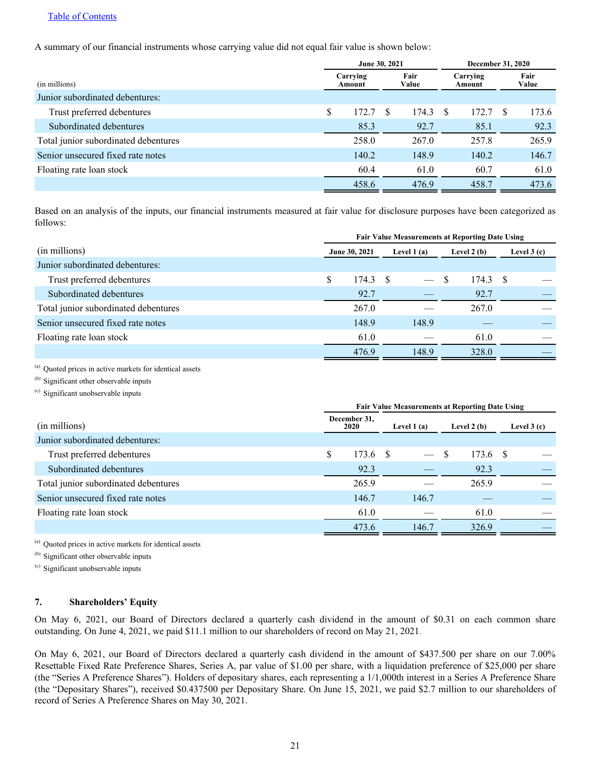A summary of our financial instruments whose carrying value did not equal fair value is shown below:

|                                      | June 30, 2021      |       |               |       |                    | <b>December 31, 2020</b> |    |               |  |
|--------------------------------------|--------------------|-------|---------------|-------|--------------------|--------------------------|----|---------------|--|
| (in millions)                        | Carrying<br>Amount |       | Fair<br>Value |       | Carrying<br>Amount |                          |    | Fair<br>Value |  |
| Junior subordinated debentures:      |                    |       |               |       |                    |                          |    |               |  |
| Trust preferred debentures           | \$                 | 172.7 | -8            | 174.3 |                    | 172.7                    | -S | 173.6         |  |
| Subordinated debentures              |                    | 85.3  |               | 92.7  |                    | 85.1                     |    | 92.3          |  |
| Total junior subordinated debentures |                    | 258.0 |               | 267.0 |                    | 257.8                    |    | 265.9         |  |
| Senior unsecured fixed rate notes    |                    | 140.2 |               | 148.9 |                    | 140.2                    |    | 146.7         |  |
| Floating rate loan stock             |                    | 60.4  |               | 61.0  |                    | 60.7                     |    | 61.0          |  |
|                                      |                    | 458.6 |               | 476.9 |                    | 458.7                    |    | 473.6         |  |

Based on an analysis of the inputs, our financial instruments measured at fair value for disclosure purposes have been categorized as follows:

|                                      | <b>Fair Value Measurements at Reporting Date Using</b> |               |                               |               |              |  |  |  |  |  |
|--------------------------------------|--------------------------------------------------------|---------------|-------------------------------|---------------|--------------|--|--|--|--|--|
| (in millions)                        |                                                        | June 30, 2021 | Level $1(a)$                  | Level 2 $(b)$ | Level $3(c)$ |  |  |  |  |  |
| Junior subordinated debentures:      |                                                        |               |                               |               |              |  |  |  |  |  |
| Trust preferred debentures           | \$                                                     | 174.3 \$      | $\overbrace{\phantom{aaaaa}}$ | 174.3         | - S          |  |  |  |  |  |
| Subordinated debentures              |                                                        | 92.7          |                               | 92.7          |              |  |  |  |  |  |
| Total junior subordinated debentures |                                                        | 267.0         |                               | 267.0         |              |  |  |  |  |  |
| Senior unsecured fixed rate notes    |                                                        | 148.9         | 148.9                         |               |              |  |  |  |  |  |
| Floating rate loan stock             |                                                        | 61.0          |                               | 61.0          |              |  |  |  |  |  |
|                                      |                                                        | 476.9         | 148.9                         | 328.0         |              |  |  |  |  |  |

(a) Quoted prices in active markets for identical assets

(b) Significant other observable inputs

(c) Significant unobservable inputs

|                                      | <b>Fair Value Measurements at Reporting Date Using</b> |                             |  |                               |  |               |      |              |  |
|--------------------------------------|--------------------------------------------------------|-----------------------------|--|-------------------------------|--|---------------|------|--------------|--|
| (in millions)                        |                                                        | December 31.<br><b>2020</b> |  | Level $1(a)$                  |  | Level 2 $(b)$ |      | Level $3(c)$ |  |
| Junior subordinated debentures:      |                                                        |                             |  |                               |  |               |      |              |  |
| Trust preferred debentures           | \$                                                     | 173.6 \$                    |  | $\overbrace{\phantom{aaaaa}}$ |  | 173.6         | - \$ |              |  |
| Subordinated debentures              |                                                        | 92.3                        |  |                               |  | 92.3          |      |              |  |
| Total junior subordinated debentures |                                                        | 265.9                       |  |                               |  | 265.9         |      |              |  |
| Senior unsecured fixed rate notes    |                                                        | 146.7                       |  | 146.7                         |  |               |      |              |  |
| Floating rate loan stock             |                                                        | 61.0                        |  |                               |  | 61.0          |      |              |  |
|                                      |                                                        | 473.6                       |  | 146.7                         |  | 326.9         |      |              |  |

(a) Quoted prices in active markets for identical assets

(b) Significant other observable inputs

(c) Significant unobservable inputs

#### **7. Shareholders' Equity**

On May 6, 2021, our Board of Directors declared a quarterly cash dividend in the amount of \$0.31 on each common share outstanding. On June 4, 2021, we paid \$11.1 million to our shareholders of record on May 21, 2021.

On May 6, 2021, our Board of Directors declared a quarterly cash dividend in the amount of \$437.500 per share on our 7.00% Resettable Fixed Rate Preference Shares, Series A, par value of \$1.00 per share, with a liquidation preference of \$25,000 per share (the "Series A Preference Shares"). Holders of depositary shares, each representing a 1/1,000th interest in a Series A Preference Share (the "Depositary Shares"), received \$0.437500 per Depositary Share. On June 15, 2021, we paid \$2.7 million to our shareholders of record of Series A Preference Shares on May 30, 2021.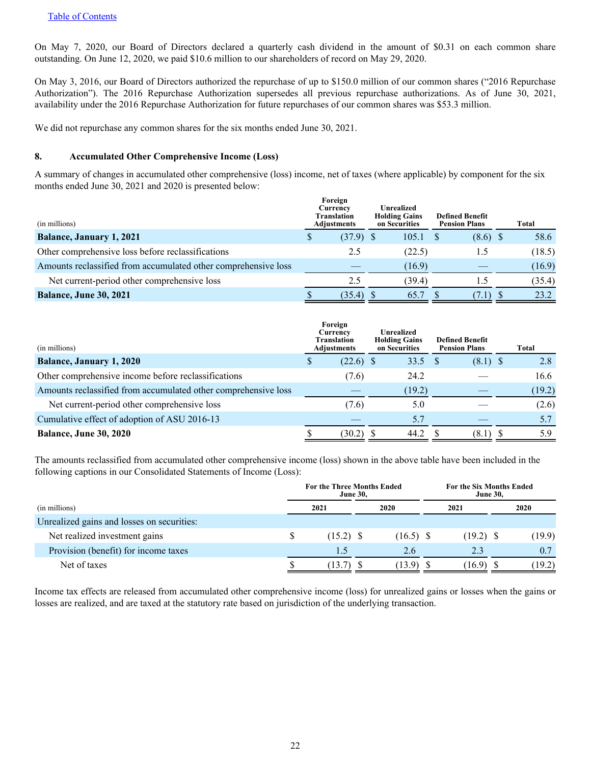On May 7, 2020, our Board of Directors declared a quarterly cash dividend in the amount of \$0.31 on each common share outstanding. On June 12, 2020, we paid \$10.6 million to our shareholders of record on May 29, 2020.

On May 3, 2016, our Board of Directors authorized the repurchase of up to \$150.0 million of our common shares ("2016 Repurchase Authorization"). The 2016 Repurchase Authorization supersedes all previous repurchase authorizations. As of June 30, 2021, availability under the 2016 Repurchase Authorization for future repurchases of our common shares was \$53.3 million.

We did not repurchase any common shares for the six months ended June 30, 2021.

#### **8. Accumulated Other Comprehensive Income (Loss)**

A summary of changes in accumulated other comprehensive (loss) income, net of taxes (where applicable) by component for the six months ended June 30, 2021 and 2020 is presented below:

| (in millions)                                                  |   | Foreign<br>Currency<br>Translation<br><b>Adjustments</b> | Unrealized<br><b>Holding Gains</b><br>on Securities | <b>Defined Benefit</b><br><b>Pension Plans</b> | <b>Total</b> |        |  |  |
|----------------------------------------------------------------|---|----------------------------------------------------------|-----------------------------------------------------|------------------------------------------------|--------------|--------|--|--|
| <b>Balance, January 1, 2021</b>                                | S | $(37.9)$ \$                                              | 105.1                                               | $(8.6)$ \$                                     |              | 58.6   |  |  |
| Other comprehensive loss before reclassifications              |   | 2.5                                                      | (22.5)                                              | 1.5                                            |              | (18.5) |  |  |
| Amounts reclassified from accumulated other comprehensive loss |   |                                                          | (16.9)                                              |                                                |              | (16.9) |  |  |
| Net current-period other comprehensive loss                    |   | 2.5                                                      | (39.4)                                              | 1.5                                            |              | (35.4) |  |  |
| <b>Balance, June 30, 2021</b>                                  |   | (35.4)                                                   | 65.7                                                | $\mathcal{A}$ . $\mathbf{D}$                   |              | 23.2   |  |  |

| (in millions)                                                  | Foreign<br>Currency<br><b>Translation</b><br><b>Adjustments</b> |             | Unrealized<br><b>Holding Gains</b><br>on Securities | <b>Defined Benefit</b><br><b>Pension Plans</b> |            | Total  |
|----------------------------------------------------------------|-----------------------------------------------------------------|-------------|-----------------------------------------------------|------------------------------------------------|------------|--------|
| <b>Balance, January 1, 2020</b>                                |                                                                 | $(22.6)$ \$ | 33.5                                                |                                                | $(8.1)$ \$ | 2.8    |
| Other comprehensive income before reclassifications            |                                                                 | (7.6)       | 24.2                                                |                                                |            | 16.6   |
| Amounts reclassified from accumulated other comprehensive loss |                                                                 |             | (19.2)                                              |                                                |            | (19.2) |
| Net current-period other comprehensive loss                    |                                                                 | (7.6)       | 5.0                                                 |                                                |            | (2.6)  |
| Cumulative effect of adoption of ASU 2016-13                   |                                                                 |             | 5.7                                                 |                                                |            | 5.7    |
| <b>Balance, June 30, 2020</b>                                  |                                                                 | (30.2)      | 44.2                                                |                                                | (8.1)      | 5.9    |

The amounts reclassified from accumulated other comprehensive income (loss) shown in the above table have been included in the following captions in our Consolidated Statements of Income (Loss):

|                                            | <b>For the Three Months Ended</b><br><b>June 30.</b> |             |  |             |  | <b>For the Six Months Ended</b><br><b>June 30.</b> |  |        |  |
|--------------------------------------------|------------------------------------------------------|-------------|--|-------------|--|----------------------------------------------------|--|--------|--|
| (in millions)                              |                                                      | 2021        |  | 2020        |  | 2021                                               |  | 2020   |  |
| Unrealized gains and losses on securities: |                                                      |             |  |             |  |                                                    |  |        |  |
| Net realized investment gains              |                                                      | $(15.2)$ \$ |  | $(16.5)$ \$ |  | $(19.2)$ \$                                        |  | (19.9) |  |
| Provision (benefit) for income taxes       |                                                      | 1.5         |  | 2.6         |  | 2.3                                                |  | 0.7    |  |
| Net of taxes                               |                                                      | 1.5.1       |  | (13.9)      |  | (16.9)                                             |  | 19.2)  |  |

Income tax effects are released from accumulated other comprehensive income (loss) for unrealized gains or losses when the gains or losses are realized, and are taxed at the statutory rate based on jurisdiction of the underlying transaction.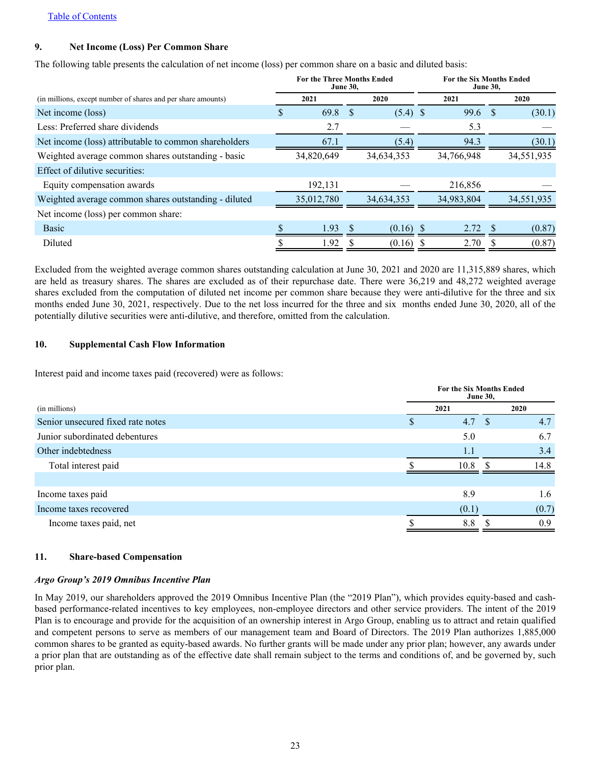#### **9. Net Income (Loss) Per Common Share**

The following table presents the calculation of net income (loss) per common share on a basic and diluted basis:

|                                                              | <b>For the Three Months Ended</b><br><b>June 30,</b> |            |    |            |  | <b>For the Six Months Ended</b><br><b>June 30.</b> |    |            |  |  |
|--------------------------------------------------------------|------------------------------------------------------|------------|----|------------|--|----------------------------------------------------|----|------------|--|--|
| (in millions, except number of shares and per share amounts) | 2021                                                 |            |    | 2020       |  | 2021                                               |    | 2020       |  |  |
| Net income (loss)                                            | Ъ.                                                   | 69.8       | -S | $(5.4)$ \$ |  | 99.6                                               | -S | (30.1)     |  |  |
| Less: Preferred share dividends                              |                                                      | 2.7        |    |            |  | 5.3                                                |    |            |  |  |
| Net income (loss) attributable to common shareholders        |                                                      | 67.1       |    | (5.4)      |  | 94.3                                               |    | (30.1)     |  |  |
| Weighted average common shares outstanding - basic           |                                                      | 34,820,649 |    | 34,634,353 |  | 34,766,948                                         |    | 34,551,935 |  |  |
| Effect of dilutive securities:                               |                                                      |            |    |            |  |                                                    |    |            |  |  |
| Equity compensation awards                                   |                                                      | 192,131    |    |            |  | 216,856                                            |    |            |  |  |
| Weighted average common shares outstanding - diluted         |                                                      | 35,012,780 |    | 34,634,353 |  | 34,983,804                                         |    | 34,551,935 |  |  |
| Net income (loss) per common share:                          |                                                      |            |    |            |  |                                                    |    |            |  |  |
| <b>Basic</b>                                                 |                                                      | 1.93       |    | (0.16)     |  | 2.72                                               |    | (0.87)     |  |  |
| Diluted                                                      |                                                      | 1.92       |    | (0.16)     |  | 2.70                                               |    | (0.87)     |  |  |

Excluded from the weighted average common shares outstanding calculation at June 30, 2021 and 2020 are 11,315,889 shares, which are held as treasury shares. The shares are excluded as of their repurchase date. There were 36,219 and 48,272 weighted average shares excluded from the computation of diluted net income per common share because they were anti-dilutive for the three and six months ended June 30, 2021, respectively. Due to the net loss incurred for the three and six months ended June 30, 2020, all of the potentially dilutive securities were anti-dilutive, and therefore, omitted from the calculation.

#### **10. Supplemental Cash Flow Information**

Interest paid and income taxes paid (recovered) were as follows:

|                                   | <b>For the Six Months Ended</b><br><b>June 30,</b> |       |     |       |  |  |  |  |  |
|-----------------------------------|----------------------------------------------------|-------|-----|-------|--|--|--|--|--|
| (in millions)                     |                                                    | 2021  |     | 2020  |  |  |  |  |  |
| Senior unsecured fixed rate notes |                                                    | 4.7   | - S | 4.7   |  |  |  |  |  |
| Junior subordinated debentures    |                                                    | 5.0   |     | 6.7   |  |  |  |  |  |
| Other indebtedness                |                                                    | 1.1   |     | 3.4   |  |  |  |  |  |
| Total interest paid               |                                                    | 10.8  |     | 14.8  |  |  |  |  |  |
|                                   |                                                    |       |     |       |  |  |  |  |  |
| Income taxes paid                 |                                                    | 8.9   |     | 1.6   |  |  |  |  |  |
| Income taxes recovered            |                                                    | (0.1) |     | (0.7) |  |  |  |  |  |
| Income taxes paid, net            |                                                    | 8.8   |     | 0.9   |  |  |  |  |  |

#### **11. Share-based Compensation**

#### *Argo Group's 2019 Omnibus Incentive Plan*

In May 2019, our shareholders approved the 2019 Omnibus Incentive Plan (the "2019 Plan"), which provides equity-based and cashbased performance-related incentives to key employees, non-employee directors and other service providers. The intent of the 2019 Plan is to encourage and provide for the acquisition of an ownership interest in Argo Group, enabling us to attract and retain qualified and competent persons to serve as members of our management team and Board of Directors. The 2019 Plan authorizes 1,885,000 common shares to be granted as equity-based awards. No further grants will be made under any prior plan; however, any awards under a prior plan that are outstanding as of the effective date shall remain subject to the terms and conditions of, and be governed by, such prior plan.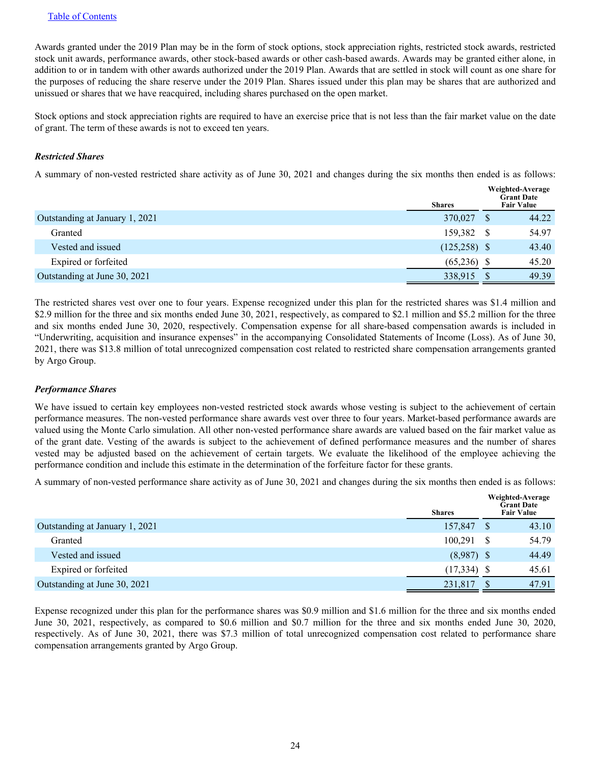Awards granted under the 2019 Plan may be in the form of stock options, stock appreciation rights, restricted stock awards, restricted stock unit awards, performance awards, other stock-based awards or other cash-based awards. Awards may be granted either alone, in addition to or in tandem with other awards authorized under the 2019 Plan. Awards that are settled in stock will count as one share for the purposes of reducing the share reserve under the 2019 Plan. Shares issued under this plan may be shares that are authorized and unissued or shares that we have reacquired, including shares purchased on the open market.

Stock options and stock appreciation rights are required to have an exercise price that is not less than the fair market value on the date of grant. The term of these awards is not to exceed ten years.

#### *Restricted Shares*

A summary of non-vested restricted share activity as of June 30, 2021 and changes during the six months then ended is as follows:

|                                | <b>Shares</b>  | Weighted-Average<br><b>Grant Date</b><br><b>Fair Value</b> |
|--------------------------------|----------------|------------------------------------------------------------|
| Outstanding at January 1, 2021 | 370,027        | 44.22                                                      |
| Granted                        | 159,382        | 54.97                                                      |
| Vested and issued              | $(125,258)$ \$ | 43.40                                                      |
| Expired or forfeited           | $(65,236)$ \$  | 45.20                                                      |
| Outstanding at June 30, 2021   | 338,915        | 49.39                                                      |

The restricted shares vest over one to four years. Expense recognized under this plan for the restricted shares was \$1.4 million and \$2.9 million for the three and six months ended June 30, 2021, respectively, as compared to \$2.1 million and \$5.2 million for the three and six months ended June 30, 2020, respectively. Compensation expense for all share-based compensation awards is included in "Underwriting, acquisition and insurance expenses" in the accompanying Consolidated Statements of Income (Loss). As of June 30, 2021, there was \$13.8 million of total unrecognized compensation cost related to restricted share compensation arrangements granted by Argo Group.

#### *Performance Shares*

We have issued to certain key employees non-vested restricted stock awards whose vesting is subject to the achievement of certain performance measures. The non-vested performance share awards vest over three to four years. Market-based performance awards are valued using the Monte Carlo simulation. All other non-vested performance share awards are valued based on the fair market value as of the grant date. Vesting of the awards is subject to the achievement of defined performance measures and the number of shares vested may be adjusted based on the achievement of certain targets. We evaluate the likelihood of the employee achieving the performance condition and include this estimate in the determination of the forfeiture factor for these grants.

A summary of non-vested performance share activity as of June 30, 2021 and changes during the six months then ended is as follows:

|                                | <b>Shares</b> |    | Weighted-Average<br><b>Grant Date</b><br><b>Fair Value</b> |
|--------------------------------|---------------|----|------------------------------------------------------------|
| Outstanding at January 1, 2021 | 157,847       | -S | 43.10                                                      |
| Granted                        | 100.291       | S  | 54.79                                                      |
| Vested and issued              | $(8,987)$ \$  |    | 44.49                                                      |
| Expired or forfeited           | (17, 334)     |    | 45.61                                                      |
| Outstanding at June 30, 2021   | 231,817       |    | 47.91                                                      |

Expense recognized under this plan for the performance shares was \$0.9 million and \$1.6 million for the three and six months ended June 30, 2021, respectively, as compared to \$0.6 million and \$0.7 million for the three and six months ended June 30, 2020, respectively. As of June 30, 2021, there was \$7.3 million of total unrecognized compensation cost related to performance share compensation arrangements granted by Argo Group.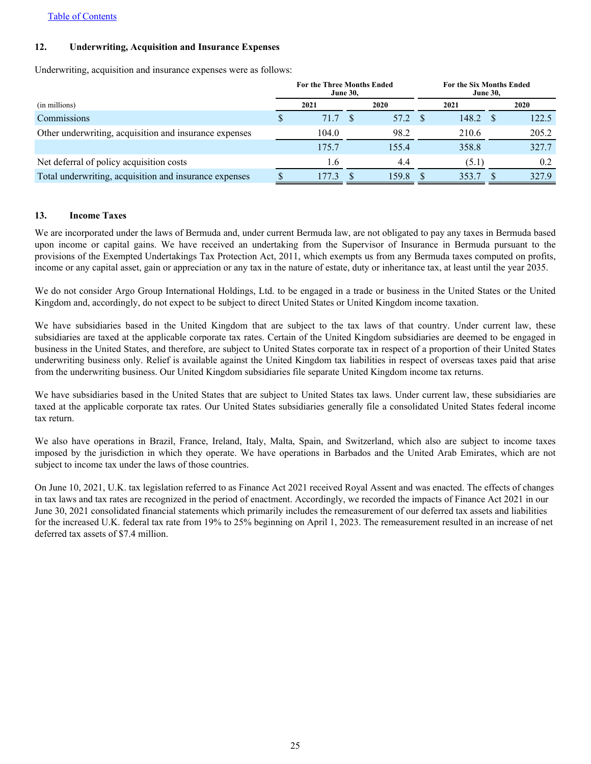#### **12. Underwriting, Acquisition and Insurance Expenses**

Underwriting, acquisition and insurance expenses were as follows:

|                                                        | <b>For the Three Months Ended</b><br><b>June 30.</b> |       |  |       | <b>For the Six Months Ended</b><br><b>June 30.</b> |       |  |       |
|--------------------------------------------------------|------------------------------------------------------|-------|--|-------|----------------------------------------------------|-------|--|-------|
| (in millions)                                          |                                                      | 2021  |  | 2020  |                                                    | 2021  |  | 2020  |
| Commissions                                            |                                                      | 71.7  |  | 57.2  |                                                    | 148.2 |  | 122.5 |
| Other underwriting, acquisition and insurance expenses |                                                      | 104.0 |  | 98.2  |                                                    | 210.6 |  | 205.2 |
|                                                        |                                                      | 175.7 |  | 155.4 |                                                    | 358.8 |  | 327.7 |
| Net deferral of policy acquisition costs               |                                                      | 1.6   |  | 4.4   |                                                    | (5.1) |  | 0.2   |
| Total underwriting, acquisition and insurance expenses |                                                      | 177.3 |  | 159.8 |                                                    | 353.7 |  | 327.9 |

#### **13. Income Taxes**

We are incorporated under the laws of Bermuda and, under current Bermuda law, are not obligated to pay any taxes in Bermuda based upon income or capital gains. We have received an undertaking from the Supervisor of Insurance in Bermuda pursuant to the provisions of the Exempted Undertakings Tax Protection Act, 2011, which exempts us from any Bermuda taxes computed on profits, income or any capital asset, gain or appreciation or any tax in the nature of estate, duty or inheritance tax, at least until the year 2035.

We do not consider Argo Group International Holdings, Ltd. to be engaged in a trade or business in the United States or the United Kingdom and, accordingly, do not expect to be subject to direct United States or United Kingdom income taxation.

We have subsidiaries based in the United Kingdom that are subject to the tax laws of that country. Under current law, these subsidiaries are taxed at the applicable corporate tax rates. Certain of the United Kingdom subsidiaries are deemed to be engaged in business in the United States, and therefore, are subject to United States corporate tax in respect of a proportion of their United States underwriting business only. Relief is available against the United Kingdom tax liabilities in respect of overseas taxes paid that arise from the underwriting business. Our United Kingdom subsidiaries file separate United Kingdom income tax returns.

We have subsidiaries based in the United States that are subject to United States tax laws. Under current law, these subsidiaries are taxed at the applicable corporate tax rates. Our United States subsidiaries generally file a consolidated United States federal income tax return.

We also have operations in Brazil, France, Ireland, Italy, Malta, Spain, and Switzerland, which also are subject to income taxes imposed by the jurisdiction in which they operate. We have operations in Barbados and the United Arab Emirates, which are not subject to income tax under the laws of those countries.

On June 10, 2021, U.K. tax legislation referred to as Finance Act 2021 received Royal Assent and was enacted. The effects of changes in tax laws and tax rates are recognized in the period of enactment. Accordingly, we recorded the impacts of Finance Act 2021 in our June 30, 2021 consolidated financial statements which primarily includes the remeasurement of our deferred tax assets and liabilities for the increased U.K. federal tax rate from 19% to 25% beginning on April 1, 2023. The remeasurement resulted in an increase of net deferred tax assets of \$7.4 million.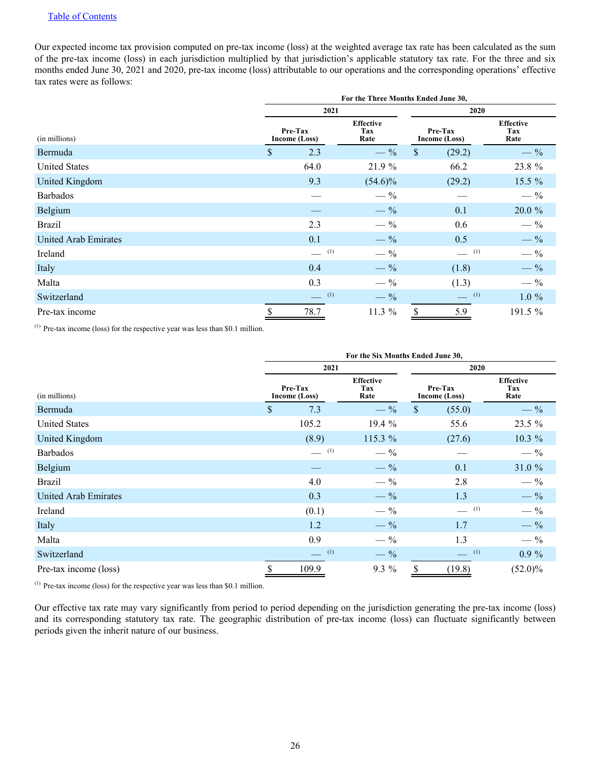Our expected income tax provision computed on pre-tax income (loss) at the weighted average tax rate has been calculated as the sum of the pre-tax income (loss) in each jurisdiction multiplied by that jurisdiction's applicable statutory tax rate. For the three and six months ended June 30, 2021 and 2020, pre-tax income (loss) attributable to our operations and the corresponding operations' effective tax rates were as follows:

| For the Three Months Ended June 30, |               |                                  |                                 |              |                          |                                 |  |  |  |  |  |
|-------------------------------------|---------------|----------------------------------|---------------------------------|--------------|--------------------------|---------------------------------|--|--|--|--|--|
|                                     |               | 2021                             |                                 | 2020         |                          |                                 |  |  |  |  |  |
| (in millions)                       |               | Pre-Tax<br>Income (Loss)         | <b>Effective</b><br>Tax<br>Rate |              | Pre-Tax<br>Income (Loss) | <b>Effective</b><br>Tax<br>Rate |  |  |  |  |  |
| Bermuda                             | $\mathsf{\$}$ | 2.3                              | $-$ %                           | $\mathbb{S}$ | (29.2)                   | $-$ %                           |  |  |  |  |  |
| <b>United States</b>                |               | 64.0                             | 21.9 %                          |              | 66.2                     | 23.8 %                          |  |  |  |  |  |
| United Kingdom                      |               | 9.3                              | $(54.6)\%$                      |              | (29.2)                   | 15.5 $%$                        |  |  |  |  |  |
| <b>Barbados</b>                     |               |                                  | $-$ %                           |              |                          | $-$ %                           |  |  |  |  |  |
| Belgium                             |               |                                  | $-$ %                           |              | 0.1                      | 20.0 %                          |  |  |  |  |  |
| <b>Brazil</b>                       |               | 2.3                              | $-$ %                           |              | 0.6                      | $-$ %                           |  |  |  |  |  |
| United Arab Emirates                |               | 0.1                              | $-$ %                           |              | 0.5                      | $-$ %                           |  |  |  |  |  |
| Ireland                             |               | $\qquad \qquad ^{(1)}$           | $-$ %                           |              | $\equiv$<br>(1)          | $-$ %                           |  |  |  |  |  |
| Italy                               |               | 0.4                              | $-$ %                           |              | (1.8)                    | $-$ %                           |  |  |  |  |  |
| Malta                               |               | 0.3                              | $-$ %                           |              | (1.3)                    | $-$ %                           |  |  |  |  |  |
| Switzerland                         |               | $\frac{1}{\sqrt{1-\frac{1}{2}}}$ | $-$ %                           |              | (1)                      | $1.0 \%$                        |  |  |  |  |  |
| Pre-tax income                      |               | 78.7                             | 11.3 %                          | S            | 5.9                      | 191.5 %                         |  |  |  |  |  |

 $(1)$  Pre-tax income (loss) for the respective year was less than \$0.1 million.

|                             | For the Six Months Ended June 30, |               |                                 |               |                          |                                 |  |  |  |  |  |  |
|-----------------------------|-----------------------------------|---------------|---------------------------------|---------------|--------------------------|---------------------------------|--|--|--|--|--|--|
|                             |                                   | 2021          |                                 | 2020          |                          |                                 |  |  |  |  |  |  |
| (in millions)               | Pre-Tax<br>Income (Loss)          |               | <b>Effective</b><br>Tax<br>Rate |               | Pre-Tax<br>Income (Loss) | <b>Effective</b><br>Tax<br>Rate |  |  |  |  |  |  |
| Bermuda                     | $\mathbb{S}$                      | 7.3           | $-$ %                           | $\mathcal{S}$ | (55.0)                   | $-$ %                           |  |  |  |  |  |  |
| <b>United States</b>        |                                   | 105.2         | 19.4 %                          |               | 55.6                     | 23.5 %                          |  |  |  |  |  |  |
| United Kingdom              |                                   | (8.9)         | 115.3 %                         |               | (27.6)                   | 10.3 %                          |  |  |  |  |  |  |
| <b>Barbados</b>             |                                   | (1)<br>$\sim$ | $-$ %                           |               |                          | $-$ %                           |  |  |  |  |  |  |
| Belgium                     |                                   |               | $- \frac{9}{6}$                 |               | 0.1                      | 31.0 %                          |  |  |  |  |  |  |
| <b>Brazil</b>               |                                   | 4.0           | $-$ %                           |               | 2.8                      | $-$ %                           |  |  |  |  |  |  |
| <b>United Arab Emirates</b> |                                   | 0.3           | $-$ %                           |               | 1.3                      | $-$ %                           |  |  |  |  |  |  |
| Ireland                     |                                   | (0.1)         | $-$ %                           |               | (1)<br>$\equiv$          | $-$ %                           |  |  |  |  |  |  |
| Italy                       |                                   | 1.2           | $-$ %                           |               | 1.7                      | $-$ %                           |  |  |  |  |  |  |
| Malta                       |                                   | 0.9           | $-$ %                           |               | 1.3                      | $-$ %                           |  |  |  |  |  |  |
| Switzerland                 |                                   | (1)           | $-$ %                           |               | (1)                      | $0.9\%$                         |  |  |  |  |  |  |
| Pre-tax income (loss)       |                                   | 109.9         | 9.3 %                           |               | (19.8)                   | $(52.0)\%$                      |  |  |  |  |  |  |

 $(1)$  Pre-tax income (loss) for the respective year was less than \$0.1 million.

Our effective tax rate may vary significantly from period to period depending on the jurisdiction generating the pre-tax income (loss) and its corresponding statutory tax rate. The geographic distribution of pre-tax income (loss) can fluctuate significantly between periods given the inherit nature of our business.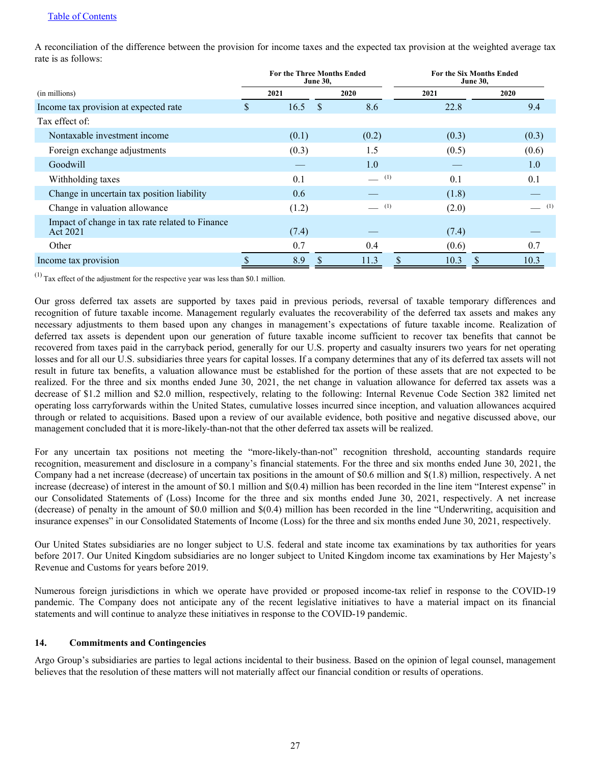A reconciliation of the difference between the provision for income taxes and the expected tax provision at the weighted average tax rate is as follows:

|                                                             |      | <b>For the Three Months Ended</b> | <b>June 30,</b> |                     | <b>For the Six Months Ended</b><br><b>June 30,</b> |       |  |  |  |  |  |
|-------------------------------------------------------------|------|-----------------------------------|-----------------|---------------------|----------------------------------------------------|-------|--|--|--|--|--|
| (in millions)                                               | 2021 |                                   |                 | 2020                | 2021                                               | 2020  |  |  |  |  |  |
| Income tax provision at expected rate                       | \$.  | 16.5                              | - \$            | 8.6                 | 22.8                                               | 9.4   |  |  |  |  |  |
| Tax effect of:                                              |      |                                   |                 |                     |                                                    |       |  |  |  |  |  |
| Nontaxable investment income                                |      | (0.1)                             |                 | (0.2)               | (0.3)                                              | (0.3) |  |  |  |  |  |
| Foreign exchange adjustments                                |      | (0.3)                             |                 | 1.5                 | (0.5)                                              | (0.6) |  |  |  |  |  |
| Goodwill                                                    |      |                                   |                 | 1.0                 |                                                    | 1.0   |  |  |  |  |  |
| Withholding taxes                                           |      | 0.1                               |                 | $- (1)$             | 0.1                                                | 0.1   |  |  |  |  |  |
| Change in uncertain tax position liability                  |      | 0.6                               |                 |                     | (1.8)                                              |       |  |  |  |  |  |
| Change in valuation allowance                               |      | (1.2)                             |                 | $\qquad \qquad$ (1) | (2.0)                                              | (1)   |  |  |  |  |  |
| Impact of change in tax rate related to Finance<br>Act 2021 |      | (7.4)                             |                 |                     | (7.4)                                              |       |  |  |  |  |  |
| Other                                                       |      | 0.7                               |                 | 0.4                 | (0.6)                                              | 0.7   |  |  |  |  |  |
| Income tax provision                                        |      | 8.9                               |                 | 11.3                | 10.3                                               | 10.3  |  |  |  |  |  |

 $(1)$  Tax effect of the adjustment for the respective year was less than \$0.1 million.

Our gross deferred tax assets are supported by taxes paid in previous periods, reversal of taxable temporary differences and recognition of future taxable income. Management regularly evaluates the recoverability of the deferred tax assets and makes any necessary adjustments to them based upon any changes in management's expectations of future taxable income. Realization of deferred tax assets is dependent upon our generation of future taxable income sufficient to recover tax benefits that cannot be recovered from taxes paid in the carryback period, generally for our U.S. property and casualty insurers two years for net operating losses and for all our U.S. subsidiaries three years for capital losses. If a company determines that any of its deferred tax assets will not result in future tax benefits, a valuation allowance must be established for the portion of these assets that are not expected to be realized. For the three and six months ended June 30, 2021, the net change in valuation allowance for deferred tax assets was a decrease of \$1.2 million and \$2.0 million, respectively, relating to the following: Internal Revenue Code Section 382 limited net operating loss carryforwards within the United States, cumulative losses incurred since inception, and valuation allowances acquired through or related to acquisitions. Based upon a review of our available evidence, both positive and negative discussed above, our management concluded that it is more-likely-than-not that the other deferred tax assets will be realized.

For any uncertain tax positions not meeting the "more-likely-than-not" recognition threshold, accounting standards require recognition, measurement and disclosure in a company's financial statements. For the three and six months ended June 30, 2021, the Company had a net increase (decrease) of uncertain tax positions in the amount of \$0.6 million and \$(1.8) million, respectively. A net increase (decrease) of interest in the amount of \$0.1 million and \$(0.4) million has been recorded in the line item "Interest expense" in our Consolidated Statements of (Loss) Income for the three and six months ended June 30, 2021, respectively. A net increase (decrease) of penalty in the amount of \$0.0 million and \$(0.4) million has been recorded in the line "Underwriting, acquisition and insurance expenses" in our Consolidated Statements of Income (Loss) for the three and six months ended June 30, 2021, respectively.

Our United States subsidiaries are no longer subject to U.S. federal and state income tax examinations by tax authorities for years before 2017. Our United Kingdom subsidiaries are no longer subject to United Kingdom income tax examinations by Her Majesty's Revenue and Customs for years before 2019.

Numerous foreign jurisdictions in which we operate have provided or proposed income-tax relief in response to the COVID-19 pandemic. The Company does not anticipate any of the recent legislative initiatives to have a material impact on its financial statements and will continue to analyze these initiatives in response to the COVID-19 pandemic.

#### **14. Commitments and Contingencies**

Argo Group's subsidiaries are parties to legal actions incidental to their business. Based on the opinion of legal counsel, management believes that the resolution of these matters will not materially affect our financial condition or results of operations.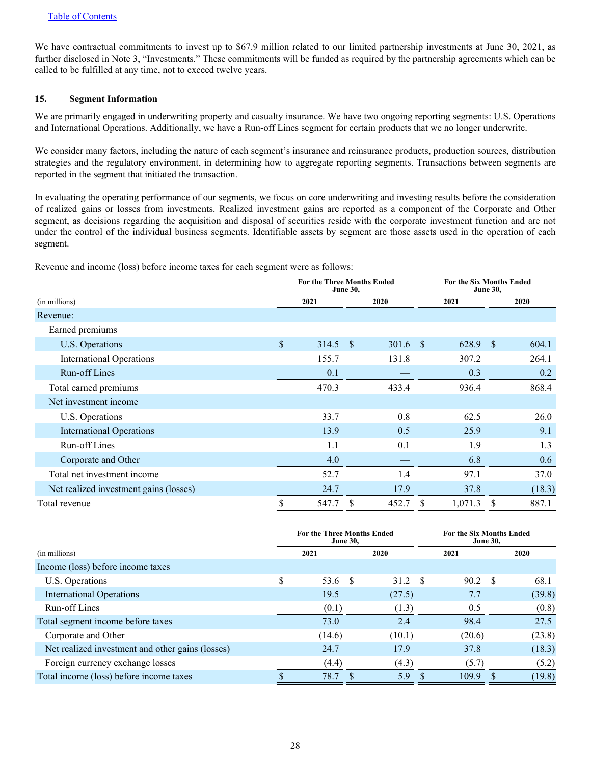We have contractual commitments to invest up to \$67.9 million related to our limited partnership investments at June 30, 2021, as further disclosed in Note 3, "Investments." These commitments will be funded as required by the partnership agreements which can be called to be fulfilled at any time, not to exceed twelve years.

#### **15. Segment Information**

We are primarily engaged in underwriting property and casualty insurance. We have two ongoing reporting segments: U.S. Operations and International Operations. Additionally, we have a Run-off Lines segment for certain products that we no longer underwrite.

We consider many factors, including the nature of each segment's insurance and reinsurance products, production sources, distribution strategies and the regulatory environment, in determining how to aggregate reporting segments. Transactions between segments are reported in the segment that initiated the transaction.

In evaluating the operating performance of our segments, we focus on core underwriting and investing results before the consideration of realized gains or losses from investments. Realized investment gains are reported as a component of the Corporate and Other segment, as decisions regarding the acquisition and disposal of securities reside with the corporate investment function and are not under the control of the individual business segments. Identifiable assets by segment are those assets used in the operation of each segment.

Revenue and income (loss) before income taxes for each segment were as follows:

|                                        | <b>For the Three Months Ended</b><br><b>June 30,</b> |       |      |       |      | <b>For the Six Months Ended</b><br><b>June 30,</b> |      |        |  |
|----------------------------------------|------------------------------------------------------|-------|------|-------|------|----------------------------------------------------|------|--------|--|
| (in millions)                          |                                                      | 2021  |      | 2020  |      | 2021                                               | 2020 |        |  |
| Revenue:                               |                                                      |       |      |       |      |                                                    |      |        |  |
| Earned premiums                        |                                                      |       |      |       |      |                                                    |      |        |  |
| U.S. Operations                        | \$                                                   | 314.5 | - \$ | 301.6 | - \$ | 628.9                                              | - \$ | 604.1  |  |
| <b>International Operations</b>        |                                                      | 155.7 |      | 131.8 |      | 307.2                                              |      | 264.1  |  |
| Run-off Lines                          |                                                      | 0.1   |      |       |      | 0.3                                                |      | 0.2    |  |
| Total earned premiums                  |                                                      | 470.3 |      | 433.4 |      | 936.4                                              |      | 868.4  |  |
| Net investment income                  |                                                      |       |      |       |      |                                                    |      |        |  |
| U.S. Operations                        |                                                      | 33.7  |      | 0.8   |      | 62.5                                               |      | 26.0   |  |
| <b>International Operations</b>        |                                                      | 13.9  |      | 0.5   |      | 25.9                                               |      | 9.1    |  |
| Run-off Lines                          |                                                      | 1.1   |      | 0.1   |      | 1.9                                                |      | 1.3    |  |
| Corporate and Other                    |                                                      | 4.0   |      |       |      | 6.8                                                |      | 0.6    |  |
| Total net investment income            |                                                      | 52.7  |      | 1.4   |      | 97.1                                               |      | 37.0   |  |
| Net realized investment gains (losses) |                                                      | 24.7  |      | 17.9  |      | 37.8                                               |      | (18.3) |  |
| Total revenue                          |                                                      | 547.7 | S    | 452.7 | S    | 1,071.3                                            | S    | 887.1  |  |

|                                                  | <b>For the Three Months Ended</b><br><b>June 30,</b> |     |        | <b>For the Six Months Ended</b><br><b>June 30,</b> |        |     |             |
|--------------------------------------------------|------------------------------------------------------|-----|--------|----------------------------------------------------|--------|-----|-------------|
| (in millions)                                    | 2021                                                 |     | 2020   |                                                    | 2021   |     | <b>2020</b> |
| Income (loss) before income taxes                |                                                      |     |        |                                                    |        |     |             |
| U.S. Operations                                  | \$<br>53.6                                           | - S | 31.2   | - \$                                               | 90.2   | - S | 68.1        |
| <b>International Operations</b>                  | 19.5                                                 |     | (27.5) |                                                    | 7.7    |     | (39.8)      |
| Run-off Lines                                    | (0.1)                                                |     | (1.3)  |                                                    | 0.5    |     | (0.8)       |
| Total segment income before taxes                | 73.0                                                 |     | 2.4    |                                                    | 98.4   |     | 27.5        |
| Corporate and Other                              | (14.6)                                               |     | (10.1) |                                                    | (20.6) |     | (23.8)      |
| Net realized investment and other gains (losses) | 24.7                                                 |     | 17.9   |                                                    | 37.8   |     | (18.3)      |
| Foreign currency exchange losses                 | (4.4)                                                |     | (4.3)  |                                                    | (5.7)  |     | (5.2)       |
| Total income (loss) before income taxes          | 78.7                                                 | \$. | 5.9    |                                                    | 109.9  |     | (19.8)      |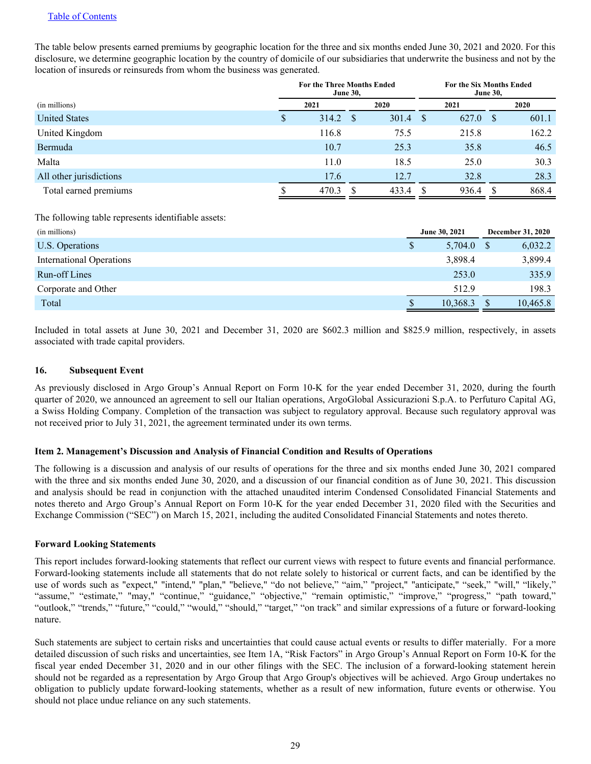<span id="page-28-0"></span>The table below presents earned premiums by geographic location for the three and six months ended June 30, 2021 and 2020. For this disclosure, we determine geographic location by the country of domicile of our subsidiaries that underwrite the business and not by the location of insureds or reinsureds from whom the business was generated.

|                         | <b>For the Three Months Ended</b><br><b>June 30,</b> |       |      |       | <b>For the Six Months Ended</b><br><b>June 30,</b> |       |     |       |  |
|-------------------------|------------------------------------------------------|-------|------|-------|----------------------------------------------------|-------|-----|-------|--|
| (in millions)           |                                                      | 2021  |      | 2020  |                                                    | 2021  |     | 2020  |  |
| <b>United States</b>    | S                                                    | 314.2 | - \$ | 301.4 | - \$                                               | 627.0 | - S | 601.1 |  |
| United Kingdom          |                                                      | 116.8 |      | 75.5  |                                                    | 215.8 |     | 162.2 |  |
| Bermuda                 |                                                      | 10.7  |      | 25.3  |                                                    | 35.8  |     | 46.5  |  |
| Malta                   |                                                      | 11.0  |      | 18.5  |                                                    | 25.0  |     | 30.3  |  |
| All other jurisdictions |                                                      | 17.6  |      | 12.7  |                                                    | 32.8  |     | 28.3  |  |
| Total earned premiums   |                                                      | 470.3 |      | 433.4 |                                                    | 936.4 |     | 868.4 |  |

The following table represents identifiable assets:

| (in millions)                   | <b>June 30, 2021</b> | <b>December 31, 2020</b> |
|---------------------------------|----------------------|--------------------------|
| U.S. Operations                 | \$<br>5,704.0        | 6,032.2                  |
| <b>International Operations</b> | 3,898.4              | 3,899.4                  |
| Run-off Lines                   | 253.0                | 335.9                    |
| Corporate and Other             | 512.9                | 198.3                    |
| Total                           | 10,368.3             | 10,465.8                 |

Included in total assets at June 30, 2021 and December 31, 2020 are \$602.3 million and \$825.9 million, respectively, in assets associated with trade capital providers.

#### **16. Subsequent Event**

As previously disclosed in Argo Group's Annual Report on Form 10-K for the year ended December 31, 2020, during the fourth quarter of 2020, we announced an agreement to sell our Italian operations, ArgoGlobal Assicurazioni S.p.A. to Perfuturo Capital AG, a Swiss Holding Company. Completion of the transaction was subject to regulatory approval. Because such regulatory approval was not received prior to July 31, 2021, the agreement terminated under its own terms.

#### **Item 2. Management's Discussion and Analysis of Financial Condition and Results of Operations**

The following is a discussion and analysis of our results of operations for the three and six months ended June 30, 2021 compared with the three and six months ended June 30, 2020, and a discussion of our financial condition as of June 30, 2021. This discussion and analysis should be read in conjunction with the attached unaudited interim Condensed Consolidated Financial Statements and notes thereto and Argo Group's Annual Report on Form 10-K for the year ended December 31, 2020 filed with the Securities and Exchange Commission ("SEC") on March 15, 2021, including the audited Consolidated Financial Statements and notes thereto.

#### **Forward Looking Statements**

This report includes forward-looking statements that reflect our current views with respect to future events and financial performance. Forward-looking statements include all statements that do not relate solely to historical or current facts, and can be identified by the use of words such as "expect," "intend," "plan," "believe," "do not believe," "aim," "project," "anticipate," "seek," "will," "likely," "assume," "estimate," "may," "continue," "guidance," "objective," "remain optimistic," "improve," "progress," "path toward," "outlook," "trends," "future," "could," "would," "should," "target," "on track" and similar expressions of a future or forward-looking nature.

Such statements are subject to certain risks and uncertainties that could cause actual events or results to differ materially. For a more detailed discussion of such risks and uncertainties, see Item 1A, "Risk Factors" in Argo Group's Annual Report on Form 10-K for the fiscal year ended December 31, 2020 and in our other filings with the SEC. The inclusion of a forward-looking statement herein should not be regarded as a representation by Argo Group that Argo Group's objectives will be achieved. Argo Group undertakes no obligation to publicly update forward-looking statements, whether as a result of new information, future events or otherwise. You should not place undue reliance on any such statements.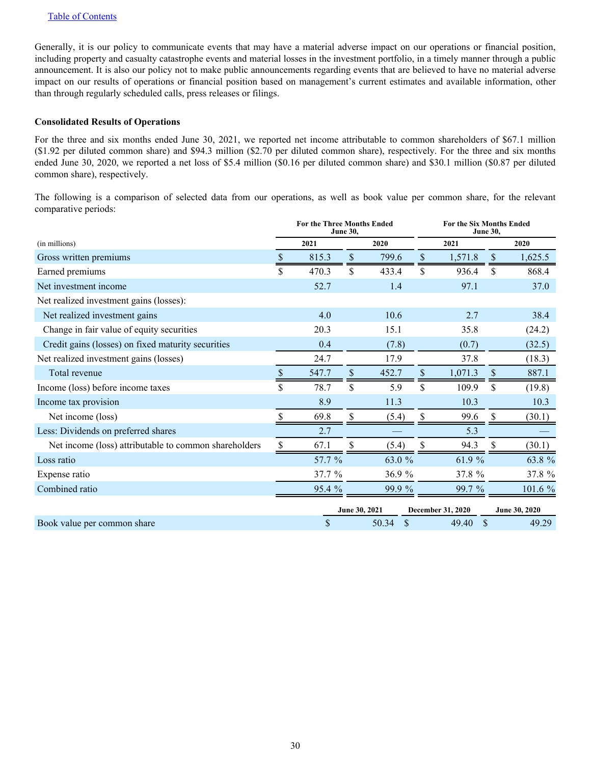Generally, it is our policy to communicate events that may have a material adverse impact on our operations or financial position, including property and casualty catastrophe events and material losses in the investment portfolio, in a timely manner through a public announcement. It is also our policy not to make public announcements regarding events that are believed to have no material adverse impact on our results of operations or financial position based on management's current estimates and available information, other than through regularly scheduled calls, press releases or filings.

#### **Consolidated Results of Operations**

For the three and six months ended June 30, 2021, we reported net income attributable to common shareholders of \$67.1 million (\$1.92 per diluted common share) and \$94.3 million (\$2.70 per diluted common share), respectively. For the three and six months ended June 30, 2020, we reported a net loss of \$5.4 million (\$0.16 per diluted common share) and \$30.1 million (\$0.87 per diluted common share), respectively.

The following is a comparison of selected data from our operations, as well as book value per common share, for the relevant comparative periods:

| <b>For the Three Months Ended</b><br><b>June 30,</b>  |     |        |      | <b>For the Six Months Ended</b><br><b>June 30,</b> |    |                          |               |               |  |  |
|-------------------------------------------------------|-----|--------|------|----------------------------------------------------|----|--------------------------|---------------|---------------|--|--|
| (in millions)                                         |     | 2021   | 2020 |                                                    |    | 2021                     |               | 2020          |  |  |
| Gross written premiums                                |     | 815.3  | \$   | 799.6                                              | \$ | 1,571.8                  | <sup>S</sup>  | 1,625.5       |  |  |
| Earned premiums                                       | \$  | 470.3  | \$   | 433.4                                              | S  | 936.4                    | \$            | 868.4         |  |  |
| Net investment income                                 |     | 52.7   |      | 1.4                                                |    | 97.1                     |               | 37.0          |  |  |
| Net realized investment gains (losses):               |     |        |      |                                                    |    |                          |               |               |  |  |
| Net realized investment gains                         |     | 4.0    |      | 10.6                                               |    | 2.7                      |               | 38.4          |  |  |
| Change in fair value of equity securities             |     | 20.3   |      | 15.1                                               |    | 35.8                     |               | (24.2)        |  |  |
| Credit gains (losses) on fixed maturity securities    |     | 0.4    |      | (7.8)                                              |    | (0.7)                    |               | (32.5)        |  |  |
| Net realized investment gains (losses)                |     | 24.7   |      | 17.9                                               |    | 37.8                     |               | (18.3)        |  |  |
| Total revenue                                         | \$. | 547.7  | \$   | 452.7                                              | \$ | 1,071.3                  | <sup>S</sup>  | 887.1         |  |  |
| Income (loss) before income taxes                     | \$  | 78.7   | \$   | 5.9                                                | \$ | 109.9                    | \$            | (19.8)        |  |  |
| Income tax provision                                  |     | 8.9    |      | 11.3                                               |    | 10.3                     |               | 10.3          |  |  |
| Net income (loss)                                     |     | 69.8   | \$   | (5.4)                                              | \$ | 99.6                     | <sup>\$</sup> | (30.1)        |  |  |
| Less: Dividends on preferred shares                   |     | 2.7    |      |                                                    |    | 5.3                      |               |               |  |  |
| Net income (loss) attributable to common shareholders | \$  | 67.1   | \$   | (5.4)                                              |    | 94.3                     |               | (30.1)        |  |  |
| Loss ratio                                            |     | 57.7 % |      | 63.0 %                                             |    | 61.9 %                   |               | 63.8 %        |  |  |
| Expense ratio                                         |     | 37.7 % |      | 36.9%                                              |    | 37.8 %                   |               | 37.8 %        |  |  |
| Combined ratio                                        |     | 95.4%  |      | 99.9 %                                             |    | 99.7 %                   |               | 101.6 $%$     |  |  |
|                                                       |     |        |      | June 30, 2021                                      |    | <b>December 31, 2020</b> |               | June 30, 2020 |  |  |
| Book value per common share                           |     | \$     |      | $\mathcal{S}$<br>50.34                             |    | <sup>\$</sup><br>49.40   |               | 49.29         |  |  |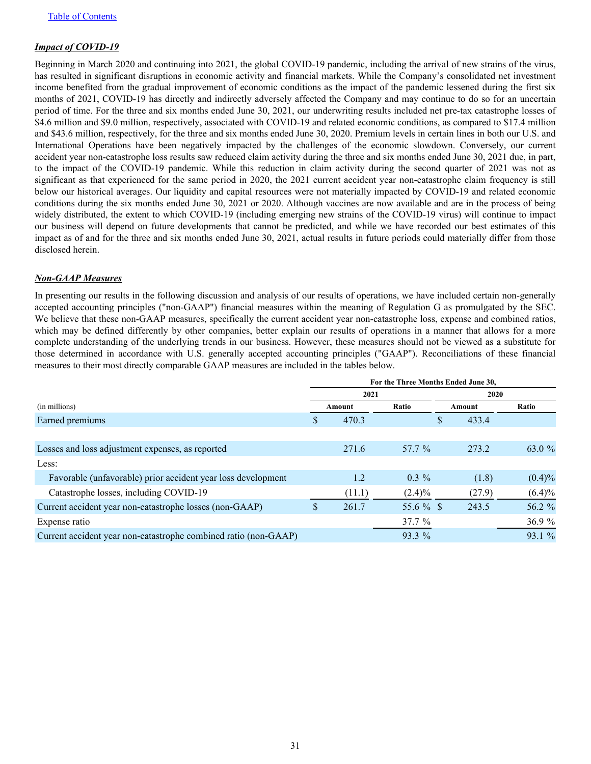# *Impact of COVID-19*

Beginning in March 2020 and continuing into 2021, the global COVID-19 pandemic, including the arrival of new strains of the virus, has resulted in significant disruptions in economic activity and financial markets. While the Company's consolidated net investment income benefited from the gradual improvement of economic conditions as the impact of the pandemic lessened during the first six months of 2021, COVID-19 has directly and indirectly adversely affected the Company and may continue to do so for an uncertain period of time. For the three and six months ended June 30, 2021, our underwriting results included net pre-tax catastrophe losses of \$4.6 million and \$9.0 million, respectively, associated with COVID-19 and related economic conditions, as compared to \$17.4 million and \$43.6 million, respectively, for the three and six months ended June 30, 2020. Premium levels in certain lines in both our U.S. and International Operations have been negatively impacted by the challenges of the economic slowdown. Conversely, our current accident year non-catastrophe loss results saw reduced claim activity during the three and six months ended June 30, 2021 due, in part, to the impact of the COVID-19 pandemic. While this reduction in claim activity during the second quarter of 2021 was not as significant as that experienced for the same period in 2020, the 2021 current accident year non-catastrophe claim frequency is still below our historical averages. Our liquidity and capital resources were not materially impacted by COVID-19 and related economic conditions during the six months ended June 30, 2021 or 2020. Although vaccines are now available and are in the process of being widely distributed, the extent to which COVID-19 (including emerging new strains of the COVID-19 virus) will continue to impact our business will depend on future developments that cannot be predicted, and while we have recorded our best estimates of this impact as of and for the three and six months ended June 30, 2021, actual results in future periods could materially differ from those disclosed herein.

#### *Non-GAAP Measures*

In presenting our results in the following discussion and analysis of our results of operations, we have included certain non-generally accepted accounting principles ("non-GAAP") financial measures within the meaning of Regulation G as promulgated by the SEC. We believe that these non-GAAP measures, specifically the current accident year non-catastrophe loss, expense and combined ratios, which may be defined differently by other companies, better explain our results of operations in a manner that allows for a more complete understanding of the underlying trends in our business. However, these measures should not be viewed as a substitute for those determined in accordance with U.S. generally accepted accounting principles ("GAAP"). Reconciliations of these financial measures to their most directly comparable GAAP measures are included in the tables below.

|                                                                 | For the Three Months Ended June 30, |        |           |      |        |           |  |  |  |  |  |
|-----------------------------------------------------------------|-------------------------------------|--------|-----------|------|--------|-----------|--|--|--|--|--|
|                                                                 |                                     | 2021   |           | 2020 |        |           |  |  |  |  |  |
| (in millions)                                                   |                                     | Amount | Ratio     |      | Amount | Ratio     |  |  |  |  |  |
| Earned premiums                                                 | S                                   | 470.3  |           | \$   | 433.4  |           |  |  |  |  |  |
|                                                                 |                                     |        |           |      |        |           |  |  |  |  |  |
| Losses and loss adjustment expenses, as reported                |                                     | 271.6  | 57.7 %    |      | 273.2  | 63.0 $%$  |  |  |  |  |  |
| Less:                                                           |                                     |        |           |      |        |           |  |  |  |  |  |
| Favorable (unfavorable) prior accident year loss development    |                                     | 1.2    | $0.3\%$   |      | (1.8)  | $(0.4)\%$ |  |  |  |  |  |
| Catastrophe losses, including COVID-19                          |                                     | (11.1) | $(2.4)\%$ |      | (27.9) | $(6.4)\%$ |  |  |  |  |  |
| Current accident year non-catastrophe losses (non-GAAP)         | S                                   | 261.7  | 55.6 % \$ |      | 243.5  | 56.2 %    |  |  |  |  |  |
| Expense ratio                                                   |                                     |        | 37.7 %    |      |        | 36.9%     |  |  |  |  |  |
| Current accident year non-catastrophe combined ratio (non-GAAP) |                                     |        | 93.3 %    |      |        | 93.1%     |  |  |  |  |  |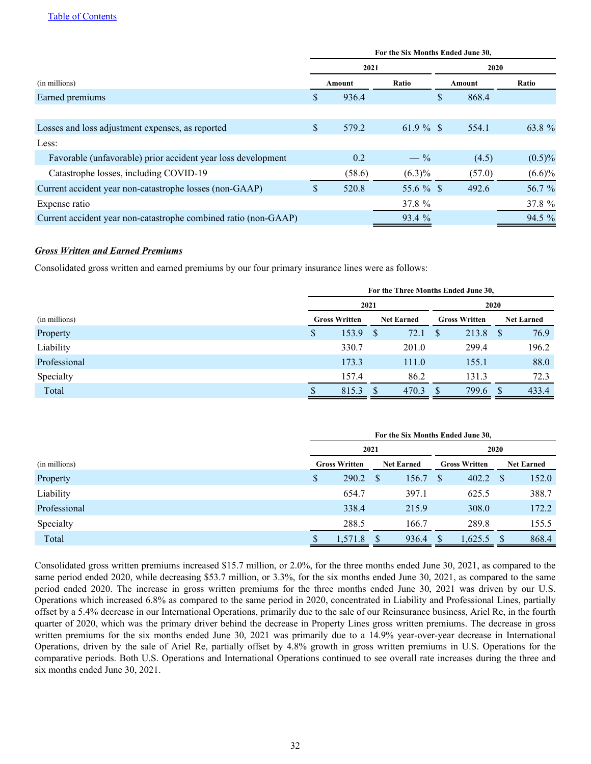|                                                                 | For the Six Months Ended June 30, |        |                 |    |               |           |  |  |  |  |  |
|-----------------------------------------------------------------|-----------------------------------|--------|-----------------|----|---------------|-----------|--|--|--|--|--|
|                                                                 |                                   | 2021   |                 |    | 2020          |           |  |  |  |  |  |
| (in millions)                                                   |                                   | Amount | Ratio           |    | <b>Amount</b> | Ratio     |  |  |  |  |  |
| Earned premiums                                                 | S                                 | 936.4  |                 | \$ | 868.4         |           |  |  |  |  |  |
|                                                                 |                                   |        |                 |    |               |           |  |  |  |  |  |
| Losses and loss adjustment expenses, as reported                | \$                                | 579.2  | 61.9 $%$ \$     |    | 554.1         | 63.8 %    |  |  |  |  |  |
| Less:                                                           |                                   |        |                 |    |               |           |  |  |  |  |  |
| Favorable (unfavorable) prior accident year loss development    |                                   | 0.2    | $- \frac{9}{6}$ |    | (4.5)         | $(0.5)\%$ |  |  |  |  |  |
| Catastrophe losses, including COVID-19                          |                                   | (58.6) | $(6.3)\%$       |    | (57.0)        | $(6.6)\%$ |  |  |  |  |  |
| Current accident year non-catastrophe losses (non-GAAP)         | S                                 | 520.8  | 55.6 % \$       |    | 492.6         | 56.7 %    |  |  |  |  |  |
| Expense ratio                                                   |                                   |        | 37.8 %          |    |               | 37.8 %    |  |  |  |  |  |
| Current accident year non-catastrophe combined ratio (non-GAAP) |                                   |        | 93.4%           |    |               | 94.5 %    |  |  |  |  |  |

# *Gross Written and Earned Premiums*

Consolidated gross written and earned premiums by our four primary insurance lines were as follows:

|               |                      | For the Three Months Ended June 30, |                      |                       |  |  |  |  |  |  |  |
|---------------|----------------------|-------------------------------------|----------------------|-----------------------|--|--|--|--|--|--|--|
|               |                      | 2021                                |                      |                       |  |  |  |  |  |  |  |
| (in millions) | <b>Gross Written</b> | <b>Net Earned</b>                   | <b>Gross Written</b> | <b>Net Earned</b>     |  |  |  |  |  |  |  |
| Property      | 153.9<br>\$          | 72.1<br>S                           | 213.8<br>S           | 76.9<br><sup>\$</sup> |  |  |  |  |  |  |  |
| Liability     | 330.7                | 201.0                               | 299.4                | 196.2                 |  |  |  |  |  |  |  |
| Professional  | 173.3                | 111.0                               | 155.1                | 88.0                  |  |  |  |  |  |  |  |
| Specialty     | 157.4                | 86.2                                | 131.3                | 72.3                  |  |  |  |  |  |  |  |
| Total         | 815.3<br>\$          | 470.3<br>S                          | 799.6<br>\$          | 433.4                 |  |  |  |  |  |  |  |

|               |      | For the Six Months Ended June 30, |   |                   |               |                      |                   |       |  |  |
|---------------|------|-----------------------------------|---|-------------------|---------------|----------------------|-------------------|-------|--|--|
|               | 2021 |                                   |   |                   |               |                      | 2020              |       |  |  |
| (in millions) |      | <b>Gross Written</b>              |   | <b>Net Earned</b> |               | <b>Gross Written</b> | <b>Net Earned</b> |       |  |  |
| Property      | \$   | 290.2                             | S | 156.7             | <sup>\$</sup> | 402.2                | -S                | 152.0 |  |  |
| Liability     |      | 654.7                             |   | 397.1             |               | 625.5                |                   | 388.7 |  |  |
| Professional  |      | 338.4                             |   | 215.9             |               | 308.0                |                   | 172.2 |  |  |
| Specialty     |      | 288.5                             |   | 166.7             |               | 289.8                |                   | 155.5 |  |  |
| Total         |      | 1,571.8                           |   | 936.4             | \$            | 1,625.5              |                   | 868.4 |  |  |

Consolidated gross written premiums increased \$15.7 million, or 2.0%, for the three months ended June 30, 2021, as compared to the same period ended 2020, while decreasing \$53.7 million, or 3.3%, for the six months ended June 30, 2021, as compared to the same period ended 2020. The increase in gross written premiums for the three months ended June 30, 2021 was driven by our U.S. Operations which increased 6.8% as compared to the same period in 2020, concentrated in Liability and Professional Lines, partially offset by a 5.4% decrease in our International Operations, primarily due to the sale of our Reinsurance business, Ariel Re, in the fourth quarter of 2020, which was the primary driver behind the decrease in Property Lines gross written premiums. The decrease in gross written premiums for the six months ended June 30, 2021 was primarily due to a 14.9% year-over-year decrease in International Operations, driven by the sale of Ariel Re, partially offset by 4.8% growth in gross written premiums in U.S. Operations for the comparative periods. Both U.S. Operations and International Operations continued to see overall rate increases during the three and six months ended June 30, 2021.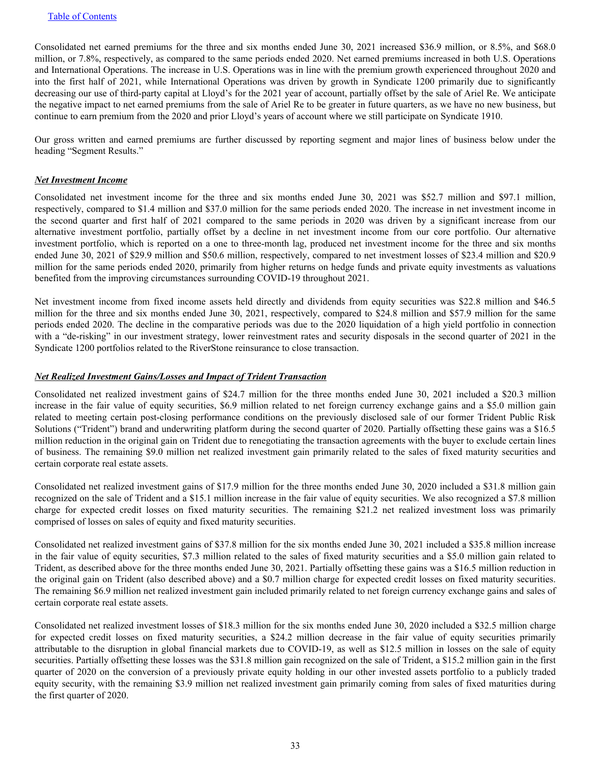Consolidated net earned premiums for the three and six months ended June 30, 2021 increased \$36.9 million, or 8.5%, and \$68.0 million, or 7.8%, respectively, as compared to the same periods ended 2020. Net earned premiums increased in both U.S. Operations and International Operations. The increase in U.S. Operations was in line with the premium growth experienced throughout 2020 and into the first half of 2021, while International Operations was driven by growth in Syndicate 1200 primarily due to significantly decreasing our use of third-party capital at Lloyd's for the 2021 year of account, partially offset by the sale of Ariel Re. We anticipate the negative impact to net earned premiums from the sale of Ariel Re to be greater in future quarters, as we have no new business, but continue to earn premium from the 2020 and prior Lloyd's years of account where we still participate on Syndicate 1910.

Our gross written and earned premiums are further discussed by reporting segment and major lines of business below under the heading "Segment Results."

#### *Net Investment Income*

Consolidated net investment income for the three and six months ended June 30, 2021 was \$52.7 million and \$97.1 million, respectively, compared to \$1.4 million and \$37.0 million for the same periods ended 2020. The increase in net investment income in the second quarter and first half of 2021 compared to the same periods in 2020 was driven by a significant increase from our alternative investment portfolio, partially offset by a decline in net investment income from our core portfolio. Our alternative investment portfolio, which is reported on a one to three-month lag, produced net investment income for the three and six months ended June 30, 2021 of \$29.9 million and \$50.6 million, respectively, compared to net investment losses of \$23.4 million and \$20.9 million for the same periods ended 2020, primarily from higher returns on hedge funds and private equity investments as valuations benefited from the improving circumstances surrounding COVID-19 throughout 2021.

Net investment income from fixed income assets held directly and dividends from equity securities was \$22.8 million and \$46.5 million for the three and six months ended June 30, 2021, respectively, compared to \$24.8 million and \$57.9 million for the same periods ended 2020. The decline in the comparative periods was due to the 2020 liquidation of a high yield portfolio in connection with a "de-risking" in our investment strategy, lower reinvestment rates and security disposals in the second quarter of 2021 in the Syndicate 1200 portfolios related to the RiverStone reinsurance to close transaction.

#### *Net Realized Investment Gains/Losses and Impact of Trident Transaction*

Consolidated net realized investment gains of \$24.7 million for the three months ended June 30, 2021 included a \$20.3 million increase in the fair value of equity securities, \$6.9 million related to net foreign currency exchange gains and a \$5.0 million gain related to meeting certain post-closing performance conditions on the previously disclosed sale of our former Trident Public Risk Solutions ("Trident") brand and underwriting platform during the second quarter of 2020. Partially offsetting these gains was a \$16.5 million reduction in the original gain on Trident due to renegotiating the transaction agreements with the buyer to exclude certain lines of business. The remaining \$9.0 million net realized investment gain primarily related to the sales of fixed maturity securities and certain corporate real estate assets.

Consolidated net realized investment gains of \$17.9 million for the three months ended June 30, 2020 included a \$31.8 million gain recognized on the sale of Trident and a \$15.1 million increase in the fair value of equity securities. We also recognized a \$7.8 million charge for expected credit losses on fixed maturity securities. The remaining \$21.2 net realized investment loss was primarily comprised of losses on sales of equity and fixed maturity securities.

Consolidated net realized investment gains of \$37.8 million for the six months ended June 30, 2021 included a \$35.8 million increase in the fair value of equity securities, \$7.3 million related to the sales of fixed maturity securities and a \$5.0 million gain related to Trident, as described above for the three months ended June 30, 2021. Partially offsetting these gains was a \$16.5 million reduction in the original gain on Trident (also described above) and a \$0.7 million charge for expected credit losses on fixed maturity securities. The remaining \$6.9 million net realized investment gain included primarily related to net foreign currency exchange gains and sales of certain corporate real estate assets.

Consolidated net realized investment losses of \$18.3 million for the six months ended June 30, 2020 included a \$32.5 million charge for expected credit losses on fixed maturity securities, a \$24.2 million decrease in the fair value of equity securities primarily attributable to the disruption in global financial markets due to COVID-19, as well as \$12.5 million in losses on the sale of equity securities. Partially offsetting these losses was the \$31.8 million gain recognized on the sale of Trident, a \$15.2 million gain in the first quarter of 2020 on the conversion of a previously private equity holding in our other invested assets portfolio to a publicly traded equity security, with the remaining \$3.9 million net realized investment gain primarily coming from sales of fixed maturities during the first quarter of 2020.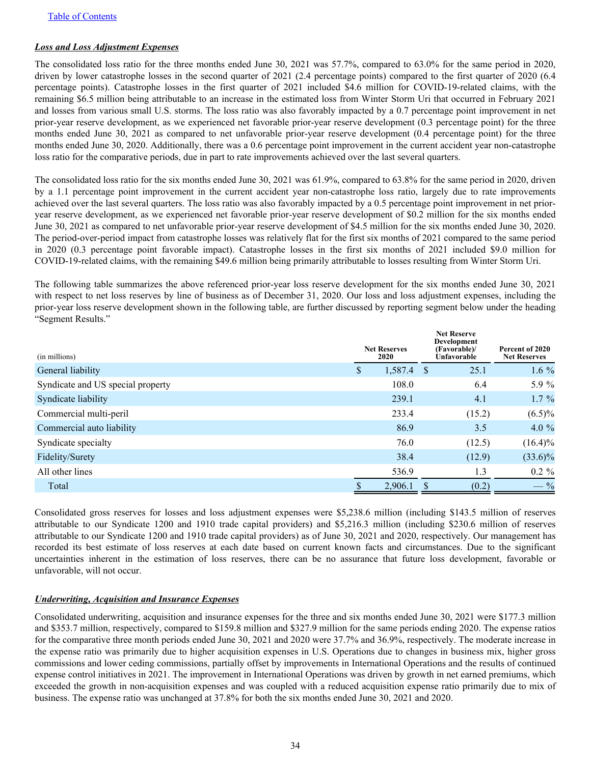# *Loss and Loss Adjustment Expenses*

The consolidated loss ratio for the three months ended June 30, 2021 was 57.7%, compared to 63.0% for the same period in 2020, driven by lower catastrophe losses in the second quarter of 2021 (2.4 percentage points) compared to the first quarter of 2020 (6.4 percentage points). Catastrophe losses in the first quarter of 2021 included \$4.6 million for COVID-19-related claims, with the remaining \$6.5 million being attributable to an increase in the estimated loss from Winter Storm Uri that occurred in February 2021 and losses from various small U.S. storms. The loss ratio was also favorably impacted by a 0.7 percentage point improvement in net prior-year reserve development, as we experienced net favorable prior-year reserve development (0.3 percentage point) for the three months ended June 30, 2021 as compared to net unfavorable prior-year reserve development (0.4 percentage point) for the three months ended June 30, 2020. Additionally, there was a 0.6 percentage point improvement in the current accident year non-catastrophe loss ratio for the comparative periods, due in part to rate improvements achieved over the last several quarters.

The consolidated loss ratio for the six months ended June 30, 2021 was 61.9%, compared to 63.8% for the same period in 2020, driven by a 1.1 percentage point improvement in the current accident year non-catastrophe loss ratio, largely due to rate improvements achieved over the last several quarters. The loss ratio was also favorably impacted by a 0.5 percentage point improvement in net prioryear reserve development, as we experienced net favorable prior-year reserve development of \$0.2 million for the six months ended June 30, 2021 as compared to net unfavorable prior-year reserve development of \$4.5 million for the six months ended June 30, 2020. The period-over-period impact from catastrophe losses was relatively flat for the first six months of 2021 compared to the same period in 2020 (0.3 percentage point favorable impact). Catastrophe losses in the first six months of 2021 included \$9.0 million for COVID-19-related claims, with the remaining \$49.6 million being primarily attributable to losses resulting from Winter Storm Uri.

The following table summarizes the above referenced prior-year loss reserve development for the six months ended June 30, 2021 with respect to net loss reserves by line of business as of December 31, 2020. Our loss and loss adjustment expenses, including the prior-year loss reserve development shown in the following table, are further discussed by reporting segment below under the heading "Segment Results."

| (in millions)                     | <b>Net Reserves</b><br>2020 |              |          | <b>Net Reserve</b><br>Development<br>(Favorable)/<br>Unfavorable | Percent of 2020<br><b>Net Reserves</b> |  |  |
|-----------------------------------|-----------------------------|--------------|----------|------------------------------------------------------------------|----------------------------------------|--|--|
| General liability                 | \$                          | $1,587.4$ \$ |          | 25.1                                                             | $1.6\%$                                |  |  |
| Syndicate and US special property |                             | 108.0        |          | 6.4                                                              | 5.9 %                                  |  |  |
| Syndicate liability               |                             | 239.1        |          | 4.1                                                              | $1.7\%$                                |  |  |
| Commercial multi-peril            |                             | 233.4        |          | (15.2)                                                           | $(6.5)\%$                              |  |  |
| Commercial auto liability         |                             | 86.9         |          | 3.5                                                              | 4.0 $%$                                |  |  |
| Syndicate specialty               |                             | 76.0         |          | (12.5)                                                           | $(16.4)\%$                             |  |  |
| Fidelity/Surety                   |                             | 38.4         |          | (12.9)                                                           | $(33.6)\%$                             |  |  |
| All other lines                   |                             | 536.9        |          | 1.3                                                              | $0.2 \%$                               |  |  |
| Total                             |                             | 2,906.1      | <b>S</b> | (0.2)                                                            | $-$ %                                  |  |  |

Consolidated gross reserves for losses and loss adjustment expenses were \$5,238.6 million (including \$143.5 million of reserves attributable to our Syndicate 1200 and 1910 trade capital providers) and \$5,216.3 million (including \$230.6 million of reserves attributable to our Syndicate 1200 and 1910 trade capital providers) as of June 30, 2021 and 2020, respectively. Our management has recorded its best estimate of loss reserves at each date based on current known facts and circumstances. Due to the significant uncertainties inherent in the estimation of loss reserves, there can be no assurance that future loss development, favorable or unfavorable, will not occur.

#### *Underwriting, Acquisition and Insurance Expenses*

Consolidated underwriting, acquisition and insurance expenses for the three and six months ended June 30, 2021 were \$177.3 million and \$353.7 million, respectively, compared to \$159.8 million and \$327.9 million for the same periods ending 2020. The expense ratios for the comparative three month periods ended June 30, 2021 and 2020 were 37.7% and 36.9%, respectively. The moderate increase in the expense ratio was primarily due to higher acquisition expenses in U.S. Operations due to changes in business mix, higher gross commissions and lower ceding commissions, partially offset by improvements in International Operations and the results of continued expense control initiatives in 2021. The improvement in International Operations was driven by growth in net earned premiums, which exceeded the growth in non-acquisition expenses and was coupled with a reduced acquisition expense ratio primarily due to mix of business. The expense ratio was unchanged at 37.8% for both the six months ended June 30, 2021 and 2020.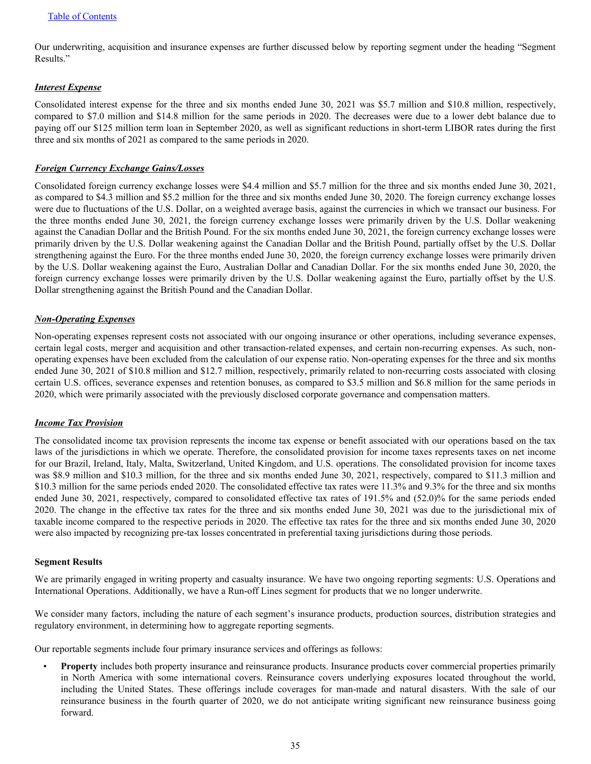Our underwriting, acquisition and insurance expenses are further discussed below by reporting segment under the heading "Segment Results."

#### *Interest Expense*

Consolidated interest expense for the three and six months ended June 30, 2021 was \$5.7 million and \$10.8 million, respectively, compared to \$7.0 million and \$14.8 million for the same periods in 2020. The decreases were due to a lower debt balance due to paying off our \$125 million term loan in September 2020, as well as significant reductions in short-term LIBOR rates during the first three and six months of 2021 as compared to the same periods in 2020.

#### *Foreign Currency Exchange Gains/Losses*

Consolidated foreign currency exchange losses were \$4.4 million and \$5.7 million for the three and six months ended June 30, 2021, as compared to \$4.3 million and \$5.2 million for the three and six months ended June 30, 2020. The foreign currency exchange losses were due to fluctuations of the U.S. Dollar, on a weighted average basis, against the currencies in which we transact our business. For the three months ended June 30, 2021, the foreign currency exchange losses were primarily driven by the U.S. Dollar weakening against the Canadian Dollar and the British Pound. For the six months ended June 30, 2021, the foreign currency exchange losses were primarily driven by the U.S. Dollar weakening against the Canadian Dollar and the British Pound, partially offset by the U.S. Dollar strengthening against the Euro. For the three months ended June 30, 2020, the foreign currency exchange losses were primarily driven by the U.S. Dollar weakening against the Euro, Australian Dollar and Canadian Dollar. For the six months ended June 30, 2020, the foreign currency exchange losses were primarily driven by the U.S. Dollar weakening against the Euro, partially offset by the U.S. Dollar strengthening against the British Pound and the Canadian Dollar.

#### *Non-Operating Expenses*

Non-operating expenses represent costs not associated with our ongoing insurance or other operations, including severance expenses, certain legal costs, merger and acquisition and other transaction-related expenses, and certain non-recurring expenses. As such, nonoperating expenses have been excluded from the calculation of our expense ratio. Non-operating expenses for the three and six months ended June 30, 2021 of \$10.8 million and \$12.7 million, respectively, primarily related to non-recurring costs associated with closing certain U.S. offices, severance expenses and retention bonuses, as compared to \$3.5 million and \$6.8 million for the same periods in 2020, which were primarily associated with the previously disclosed corporate governance and compensation matters.

#### *Income Tax Provision*

The consolidated income tax provision represents the income tax expense or benefit associated with our operations based on the tax laws of the jurisdictions in which we operate. Therefore, the consolidated provision for income taxes represents taxes on net income for our Brazil, Ireland, Italy, Malta, Switzerland, United Kingdom, and U.S. operations. The consolidated provision for income taxes was \$8.9 million and \$10.3 million, for the three and six months ended June 30, 2021, respectively, compared to \$11.3 million and \$10.3 million for the same periods ended 2020. The consolidated effective tax rates were 11.3% and 9.3% for the three and six months ended June 30, 2021, respectively, compared to consolidated effective tax rates of 191.5% and (52.0)% for the same periods ended 2020. The change in the effective tax rates for the three and six months ended June 30, 2021 was due to the jurisdictional mix of taxable income compared to the respective periods in 2020. The effective tax rates for the three and six months ended June 30, 2020 were also impacted by recognizing pre-tax losses concentrated in preferential taxing jurisdictions during those periods.

#### **Segment Results**

We are primarily engaged in writing property and casualty insurance. We have two ongoing reporting segments: U.S. Operations and International Operations. Additionally, we have a Run-off Lines segment for products that we no longer underwrite.

We consider many factors, including the nature of each segment's insurance products, production sources, distribution strategies and regulatory environment, in determining how to aggregate reporting segments.

Our reportable segments include four primary insurance services and offerings as follows:

**Property** includes both property insurance and reinsurance products. Insurance products cover commercial properties primarily in North America with some international covers. Reinsurance covers underlying exposures located throughout the world, including the United States. These offerings include coverages for man-made and natural disasters. With the sale of our reinsurance business in the fourth quarter of 2020, we do not anticipate writing significant new reinsurance business going forward.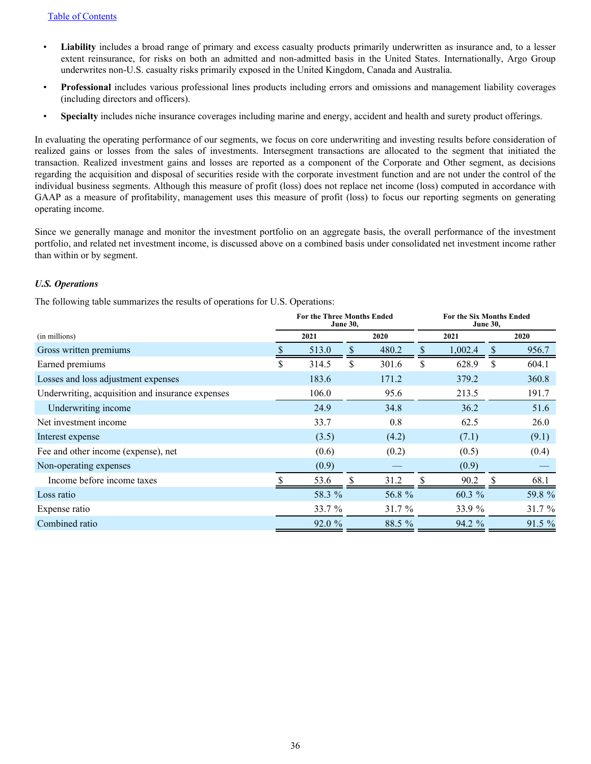- **Liability** includes a broad range of primary and excess casualty products primarily underwritten as insurance and, to a lesser extent reinsurance, for risks on both an admitted and non-admitted basis in the United States. Internationally, Argo Group underwrites non-U.S. casualty risks primarily exposed in the United Kingdom, Canada and Australia.
- **Professional** includes various professional lines products including errors and omissions and management liability coverages (including directors and officers).
- **Specialty** includes niche insurance coverages including marine and energy, accident and health and surety product offerings.

In evaluating the operating performance of our segments, we focus on core underwriting and investing results before consideration of realized gains or losses from the sales of investments. Intersegment transactions are allocated to the segment that initiated the transaction. Realized investment gains and losses are reported as a component of the Corporate and Other segment, as decisions regarding the acquisition and disposal of securities reside with the corporate investment function and are not under the control of the individual business segments. Although this measure of profit (loss) does not replace net income (loss) computed in accordance with GAAP as a measure of profitability, management uses this measure of profit (loss) to focus our reporting segments on generating operating income.

Since we generally manage and monitor the investment portfolio on an aggregate basis, the overall performance of the investment portfolio, and related net investment income, is discussed above on a combined basis under consolidated net investment income rather than within or by segment.

# *U.S. Operations*

The following table summarizes the results of operations for U.S. Operations:

|                                                  | <b>For the Three Months Ended</b><br><b>June 30,</b> |        |      |        | <b>For the Six Months Ended</b><br><b>June 30,</b> |         |      |        |  |  |
|--------------------------------------------------|------------------------------------------------------|--------|------|--------|----------------------------------------------------|---------|------|--------|--|--|
| (in millions)                                    |                                                      | 2021   | 2020 |        |                                                    | 2021    | 2020 |        |  |  |
| Gross written premiums                           |                                                      | 513.0  | \$   | 480.2  |                                                    | 1,002.4 |      | 956.7  |  |  |
| Earned premiums                                  | S                                                    | 314.5  | S.   | 301.6  | \$                                                 | 628.9   | S    | 604.1  |  |  |
| Losses and loss adjustment expenses              |                                                      | 183.6  |      | 171.2  |                                                    | 379.2   |      | 360.8  |  |  |
| Underwriting, acquisition and insurance expenses |                                                      | 106.0  |      | 95.6   |                                                    | 213.5   |      | 191.7  |  |  |
| Underwriting income                              |                                                      | 24.9   |      | 34.8   |                                                    | 36.2    |      | 51.6   |  |  |
| Net investment income                            |                                                      | 33.7   |      | 0.8    |                                                    | 62.5    |      | 26.0   |  |  |
| Interest expense                                 |                                                      | (3.5)  |      | (4.2)  |                                                    | (7.1)   |      | (9.1)  |  |  |
| Fee and other income (expense), net              |                                                      | (0.6)  |      | (0.2)  |                                                    | (0.5)   |      | (0.4)  |  |  |
| Non-operating expenses                           |                                                      | (0.9)  |      |        |                                                    | (0.9)   |      |        |  |  |
| Income before income taxes                       |                                                      | 53.6   |      | 31.2   |                                                    | 90.2    |      | 68.1   |  |  |
| Loss ratio                                       |                                                      | 58.3 % |      | 56.8 % |                                                    | 60.3 %  |      | 59.8 % |  |  |
| Expense ratio                                    |                                                      | 33.7 % |      | 31.7 % |                                                    | 33.9 %  |      | 31.7 % |  |  |
| Combined ratio                                   |                                                      | 92.0 % |      | 88.5 % |                                                    | 94.2 %  |      | 91.5 % |  |  |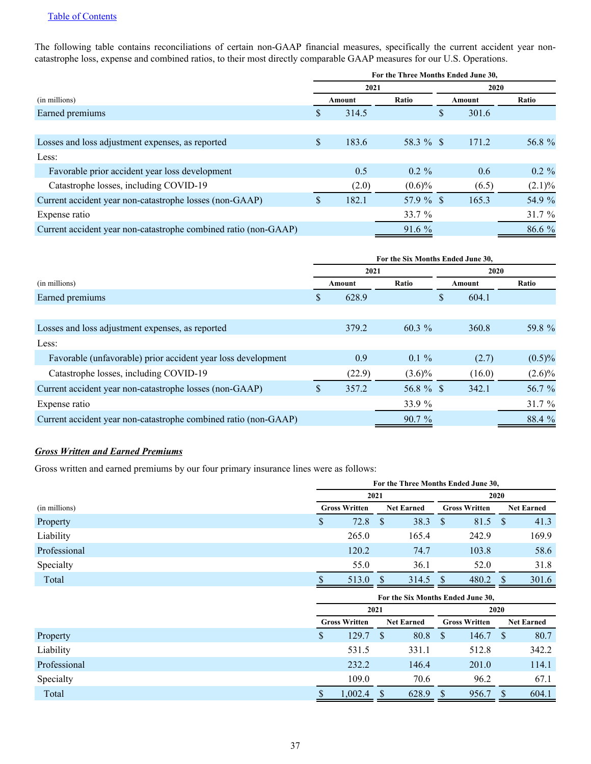# [Table of Contents](#page-1-0)

The following table contains reconciliations of certain non-GAAP financial measures, specifically the current accident year noncatastrophe loss, expense and combined ratios, to their most directly comparable GAAP measures for our U.S. Operations.

|                                                                 | For the Three Months Ended June 30, |        |             |      |        |           |  |  |  |  |  |
|-----------------------------------------------------------------|-------------------------------------|--------|-------------|------|--------|-----------|--|--|--|--|--|
|                                                                 |                                     | 2021   |             | 2020 |        |           |  |  |  |  |  |
| (in millions)                                                   |                                     | Amount | Ratio       |      | Amount | Ratio     |  |  |  |  |  |
| Earned premiums                                                 | S                                   | 314.5  |             | \$   | 301.6  |           |  |  |  |  |  |
|                                                                 |                                     |        |             |      |        |           |  |  |  |  |  |
| Losses and loss adjustment expenses, as reported                | \$                                  | 183.6  | 58.3 % \$   |      | 171.2  | 56.8 %    |  |  |  |  |  |
| Less:                                                           |                                     |        |             |      |        |           |  |  |  |  |  |
| Favorable prior accident year loss development                  |                                     | 0.5    | $0.2 \%$    |      | 0.6    | $0.2 \%$  |  |  |  |  |  |
| Catastrophe losses, including COVID-19                          |                                     | (2.0)  | $(0.6)\%$   |      | (6.5)  | $(2.1)\%$ |  |  |  |  |  |
| Current accident year non-catastrophe losses (non-GAAP)         |                                     | 182.1  | 57.9 $%$ \$ |      | 165.3  | 54.9 %    |  |  |  |  |  |
| Expense ratio                                                   |                                     |        | 33.7 %      |      |        | 31.7 %    |  |  |  |  |  |
| Current accident year non-catastrophe combined ratio (non-GAAP) |                                     |        | 91.6 %      |      |        | 86.6 %    |  |  |  |  |  |

|          |        |           |      | <b>2020</b> |                                             |  |  |  |
|----------|--------|-----------|------|-------------|---------------------------------------------|--|--|--|
|          |        | Ratio     |      |             | Ratio                                       |  |  |  |
| S        | 628.9  |           | \$   | 604.1       |                                             |  |  |  |
|          |        |           |      |             |                                             |  |  |  |
|          | 379.2  | $60.3\%$  |      | 360.8       | 59.8 %                                      |  |  |  |
|          |        |           |      |             |                                             |  |  |  |
|          | 0.9    | $0.1 \%$  |      | (2.7)       | $(0.5)\%$                                   |  |  |  |
|          | (22.9) | $(3.6)\%$ |      | (16.0)      | $(2.6)\%$                                   |  |  |  |
| <b>S</b> | 357.2  |           |      | 342.1       | 56.7 %                                      |  |  |  |
|          |        | 33.9 %    |      |             | 31.7 %                                      |  |  |  |
|          |        | $90.7 \%$ |      |             | 88.4 %                                      |  |  |  |
|          |        | Amount    | 2021 | 56.8 $%$ \$ | For the Six Months Ended June 30,<br>Amount |  |  |  |

# *Gross Written and Earned Premiums*

Gross written and earned premiums by our four primary insurance lines were as follows:

|               |                      | For the Three Months Ended June 30, |  |                      |    |                   |  |  |  |  |  |  |
|---------------|----------------------|-------------------------------------|--|----------------------|----|-------------------|--|--|--|--|--|--|
|               |                      | 2021                                |  | 2020                 |    |                   |  |  |  |  |  |  |
| (in millions) | <b>Gross Written</b> | <b>Net Earned</b>                   |  | <b>Gross Written</b> |    | <b>Net Earned</b> |  |  |  |  |  |  |
| Property      | 72.8<br>\$           | 38.3<br><sup>S</sup>                |  | 81.5                 | S  | 41.3              |  |  |  |  |  |  |
| Liability     | 265.0                | 165.4                               |  | 242.9                |    | 169.9             |  |  |  |  |  |  |
| Professional  | 120.2                | 74.7                                |  | 103.8                |    | 58.6              |  |  |  |  |  |  |
| Specialty     | 55.0                 | 36.1                                |  | 52.0                 |    | 31.8              |  |  |  |  |  |  |
| Total         | 513.0                | S<br>314.5                          |  | 480.2                | \$ | 301.6             |  |  |  |  |  |  |

|              | For the Six Months Ended June 30, |                      |               |                   |   |                      |              |                   |  |  |
|--------------|-----------------------------------|----------------------|---------------|-------------------|---|----------------------|--------------|-------------------|--|--|
|              |                                   | 2021                 |               | 2020              |   |                      |              |                   |  |  |
|              |                                   | <b>Gross Written</b> |               | <b>Net Earned</b> |   | <b>Gross Written</b> |              | <b>Net Earned</b> |  |  |
| Property     | \$                                | 129.7                | S             | 80.8              | S | 146.7                | <sup>S</sup> | 80.7              |  |  |
| Liability    |                                   | 531.5                |               | 331.1             |   | 512.8                |              | 342.2             |  |  |
| Professional |                                   | 232.2                |               | 146.4             |   | 201.0                |              | 114.1             |  |  |
| Specialty    |                                   | 109.0                |               | 70.6              |   | 96.2                 |              | 67.1              |  |  |
| Total        |                                   | 1,002.4              | <sup>\$</sup> | 628.9             |   | 956.7                |              | 604.1             |  |  |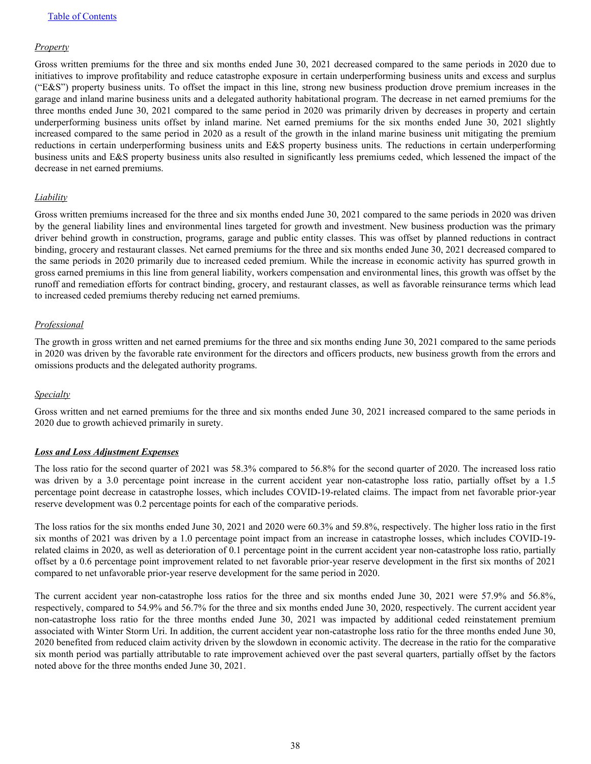#### *Property*

Gross written premiums for the three and six months ended June 30, 2021 decreased compared to the same periods in 2020 due to initiatives to improve profitability and reduce catastrophe exposure in certain underperforming business units and excess and surplus ("E&S") property business units. To offset the impact in this line, strong new business production drove premium increases in the garage and inland marine business units and a delegated authority habitational program. The decrease in net earned premiums for the three months ended June 30, 2021 compared to the same period in 2020 was primarily driven by decreases in property and certain underperforming business units offset by inland marine. Net earned premiums for the six months ended June 30, 2021 slightly increased compared to the same period in 2020 as a result of the growth in the inland marine business unit mitigating the premium reductions in certain underperforming business units and E&S property business units. The reductions in certain underperforming business units and E&S property business units also resulted in significantly less premiums ceded, which lessened the impact of the decrease in net earned premiums.

#### *Liability*

Gross written premiums increased for the three and six months ended June 30, 2021 compared to the same periods in 2020 was driven by the general liability lines and environmental lines targeted for growth and investment. New business production was the primary driver behind growth in construction, programs, garage and public entity classes. This was offset by planned reductions in contract binding, grocery and restaurant classes. Net earned premiums for the three and six months ended June 30, 2021 decreased compared to the same periods in 2020 primarily due to increased ceded premium. While the increase in economic activity has spurred growth in gross earned premiums in this line from general liability, workers compensation and environmental lines, this growth was offset by the runoff and remediation efforts for contract binding, grocery, and restaurant classes, as well as favorable reinsurance terms which lead to increased ceded premiums thereby reducing net earned premiums.

#### *Professional*

The growth in gross written and net earned premiums for the three and six months ending June 30, 2021 compared to the same periods in 2020 was driven by the favorable rate environment for the directors and officers products, new business growth from the errors and omissions products and the delegated authority programs.

#### *Specialty*

Gross written and net earned premiums for the three and six months ended June 30, 2021 increased compared to the same periods in 2020 due to growth achieved primarily in surety.

#### *Loss and Loss Adjustment Expenses*

The loss ratio for the second quarter of 2021 was 58.3% compared to 56.8% for the second quarter of 2020. The increased loss ratio was driven by a 3.0 percentage point increase in the current accident year non-catastrophe loss ratio, partially offset by a 1.5 percentage point decrease in catastrophe losses, which includes COVID-19-related claims. The impact from net favorable prior-year reserve development was 0.2 percentage points for each of the comparative periods.

The loss ratios for the six months ended June 30, 2021 and 2020 were 60.3% and 59.8%, respectively. The higher loss ratio in the first six months of 2021 was driven by a 1.0 percentage point impact from an increase in catastrophe losses, which includes COVID-19 related claims in 2020, as well as deterioration of 0.1 percentage point in the current accident year non-catastrophe loss ratio, partially offset by a 0.6 percentage point improvement related to net favorable prior-year reserve development in the first six months of 2021 compared to net unfavorable prior-year reserve development for the same period in 2020.

The current accident year non-catastrophe loss ratios for the three and six months ended June 30, 2021 were 57.9% and 56.8%, respectively, compared to 54.9% and 56.7% for the three and six months ended June 30, 2020, respectively. The current accident year non-catastrophe loss ratio for the three months ended June 30, 2021 was impacted by additional ceded reinstatement premium associated with Winter Storm Uri. In addition, the current accident year non-catastrophe loss ratio for the three months ended June 30, 2020 benefited from reduced claim activity driven by the slowdown in economic activity. The decrease in the ratio for the comparative six month period was partially attributable to rate improvement achieved over the past several quarters, partially offset by the factors noted above for the three months ended June 30, 2021.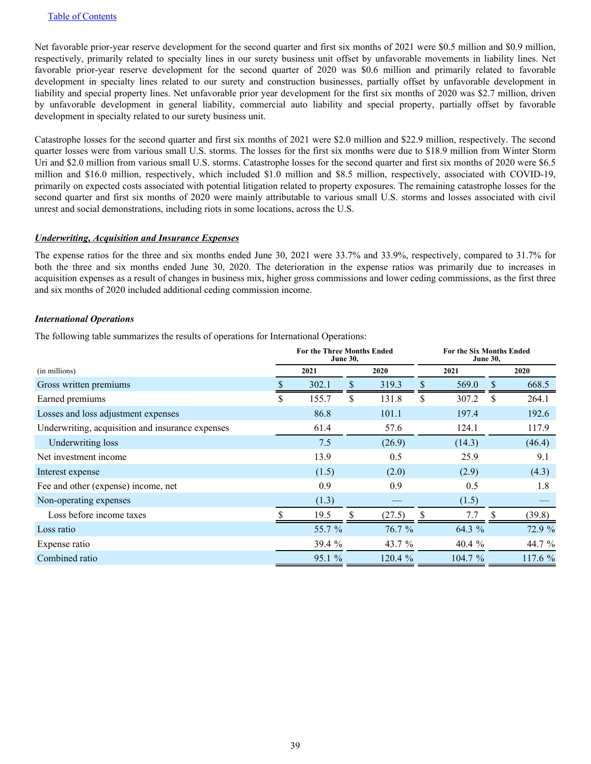Net favorable prior-year reserve development for the second quarter and first six months of 2021 were \$0.5 million and \$0.9 million, respectively, primarily related to specialty lines in our surety business unit offset by unfavorable movements in liability lines. Net favorable prior-year reserve development for the second quarter of 2020 was \$0.6 million and primarily related to favorable development in specialty lines related to our surety and construction businesses, partially offset by unfavorable development in liability and special property lines. Net unfavorable prior year development for the first six months of 2020 was \$2.7 million, driven by unfavorable development in general liability, commercial auto liability and special property, partially offset by favorable development in specialty related to our surety business unit.

Catastrophe losses for the second quarter and first six months of 2021 were \$2.0 million and \$22.9 million, respectively. The second quarter losses were from various small U.S. storms. The losses for the first six months were due to \$18.9 million from Winter Storm Uri and \$2.0 million from various small U.S. storms. Catastrophe losses for the second quarter and first six months of 2020 were \$6.5 million and \$16.0 million, respectively, which included \$1.0 million and \$8.5 million, respectively, associated with COVID-19, primarily on expected costs associated with potential litigation related to property exposures. The remaining catastrophe losses for the second quarter and first six months of 2020 were mainly attributable to various small U.S. storms and losses associated with civil unrest and social demonstrations, including riots in some locations, across the U.S.

# *Underwriting, Acquisition and Insurance Expenses*

The expense ratios for the three and six months ended June 30, 2021 were 33.7% and 33.9%, respectively, compared to 31.7% for both the three and six months ended June 30, 2020. The deterioration in the expense ratios was primarily due to increases in acquisition expenses as a result of changes in business mix, higher gross commissions and lower ceding commissions, as the first three and six months of 2020 included additional ceding commission income.

## *International Operations*

The following table summarizes the results of operations for International Operations:

|                                                  |   | <b>For the Three Months Ended</b><br><b>June 30,</b> |    |            | <b>For the Six Months Ended</b><br><b>June 30,</b> |          |     |        |  |  |
|--------------------------------------------------|---|------------------------------------------------------|----|------------|----------------------------------------------------|----------|-----|--------|--|--|
| (in millions)                                    |   | 2021                                                 |    | 2020       |                                                    | 2021     |     | 2020   |  |  |
| Gross written premiums                           |   | 302.1                                                | \$ | 319.3      | S                                                  | 569.0    |     | 668.5  |  |  |
| Earned premiums                                  | S | 155.7                                                | \$ | 131.8      | \$                                                 | 307.2    | \$. | 264.1  |  |  |
| Losses and loss adjustment expenses              |   | 86.8                                                 |    | 101.1      |                                                    | 197.4    |     | 192.6  |  |  |
| Underwriting, acquisition and insurance expenses |   | 61.4                                                 |    | 57.6       |                                                    | 124.1    |     | 117.9  |  |  |
| Underwriting loss                                |   | 7.5                                                  |    | (26.9)     |                                                    | (14.3)   |     | (46.4) |  |  |
| Net investment income                            |   | 13.9                                                 |    | 0.5        |                                                    | 25.9     |     | 9.1    |  |  |
| Interest expense                                 |   | (1.5)                                                |    | (2.0)      |                                                    | (2.9)    |     | (4.3)  |  |  |
| Fee and other (expense) income, net              |   | 0.9                                                  |    | 0.9        |                                                    | 0.5      |     | 1.8    |  |  |
| Non-operating expenses                           |   | (1.3)                                                |    |            |                                                    | (1.5)    |     |        |  |  |
| Loss before income taxes                         |   | 19.5                                                 | S. | (27.5)     |                                                    | 7.7      | S   | (39.8) |  |  |
| Loss ratio                                       |   | 55.7 %                                               |    | 76.7%      |                                                    | 64.3 %   |     | 72.9 % |  |  |
| Expense ratio                                    |   | 39.4 %                                               |    | 43.7 %     |                                                    | 40.4 $%$ |     | 44.7 % |  |  |
| Combined ratio                                   |   | 95.1%                                                |    | $120.4 \%$ |                                                    | 104.7%   |     | 117.6% |  |  |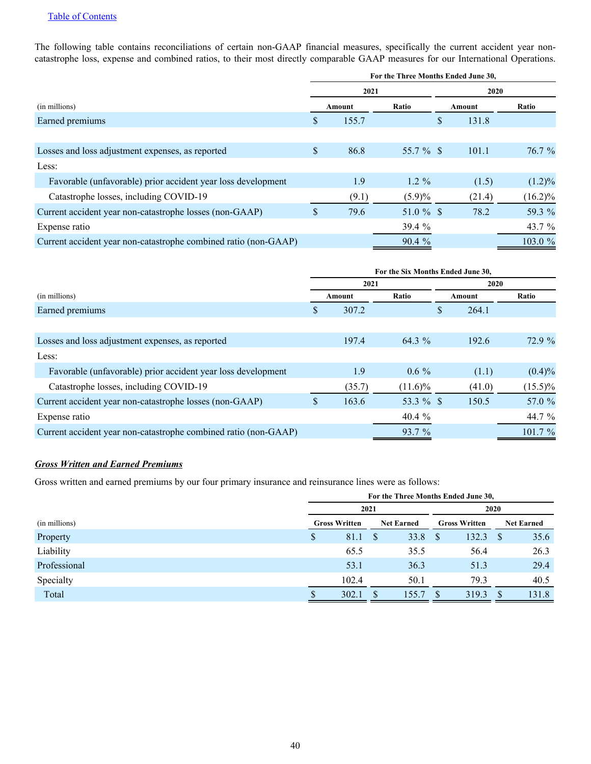# [Table of Contents](#page-1-0)

The following table contains reconciliations of certain non-GAAP financial measures, specifically the current accident year noncatastrophe loss, expense and combined ratios, to their most directly comparable GAAP measures for our International Operations.

|                                                                 | For the Three Months Ended June 30, |        |              |      |               |            |  |  |  |
|-----------------------------------------------------------------|-------------------------------------|--------|--------------|------|---------------|------------|--|--|--|
|                                                                 |                                     | 2021   |              | 2020 |               |            |  |  |  |
| (in millions)                                                   |                                     | Amount | Ratio        |      | <b>Amount</b> | Ratio      |  |  |  |
| Earned premiums                                                 | \$                                  | 155.7  |              | \$   | 131.8         |            |  |  |  |
|                                                                 |                                     |        |              |      |               |            |  |  |  |
| Losses and loss adjustment expenses, as reported                | \$                                  | 86.8   | 55.7 $\%$ \$ |      | 101.1         | $76.7\%$   |  |  |  |
| Less:                                                           |                                     |        |              |      |               |            |  |  |  |
| Favorable (unfavorable) prior accident year loss development    |                                     | 1.9    | $1.2 \%$     |      | (1.5)         | $(1.2)\%$  |  |  |  |
| Catastrophe losses, including COVID-19                          |                                     | (9.1)  | $(5.9)\%$    |      | (21.4)        | $(16.2)\%$ |  |  |  |
| Current accident year non-catastrophe losses (non-GAAP)         | S                                   | 79.6   | 51.0 $\%$ \$ |      | 78.2          | 59.3 %     |  |  |  |
| Expense ratio                                                   |                                     |        | 39.4 %       |      |               | 43.7 %     |  |  |  |
| Current accident year non-catastrophe combined ratio (non-GAAP) |                                     |        | 90.4%        |      |               | 103.0 %    |  |  |  |

|                                                                 | For the Six Months Ended June 30, |        |            |        |        |            |  |  |  |
|-----------------------------------------------------------------|-----------------------------------|--------|------------|--------|--------|------------|--|--|--|
|                                                                 |                                   | 2021   |            |        | 2020   |            |  |  |  |
| (in millions)                                                   | Amount                            |        | Ratio      | Amount |        | Ratio      |  |  |  |
| Earned premiums                                                 | \$                                | 307.2  |            | \$     | 264.1  |            |  |  |  |
|                                                                 |                                   |        |            |        |        |            |  |  |  |
| Losses and loss adjustment expenses, as reported                |                                   | 197.4  | $64.3\%$   |        | 192.6  | 72.9 %     |  |  |  |
| Less:                                                           |                                   |        |            |        |        |            |  |  |  |
| Favorable (unfavorable) prior accident year loss development    |                                   | 1.9    | $0.6 \%$   |        | (1.1)  | $(0.4)\%$  |  |  |  |
| Catastrophe losses, including COVID-19                          |                                   | (35.7) | $(11.6)\%$ |        | (41.0) | $(15.5)\%$ |  |  |  |
| Current accident year non-catastrophe losses (non-GAAP)         | $\mathcal{S}$                     | 163.6  | 53.3 % \$  |        | 150.5  | 57.0 %     |  |  |  |
| Expense ratio                                                   |                                   |        | 40.4 %     |        |        | 44.7 %     |  |  |  |
| Current accident year non-catastrophe combined ratio (non-GAAP) |                                   |        | 93.7 %     |        |        | 101.7 %    |  |  |  |

# *Gross Written and Earned Premiums*

Gross written and earned premiums by our four primary insurance and reinsurance lines were as follows:

|               | For the Three Months Ended June 30, |                      |           |                       |                   |  |  |  |  |  |  |
|---------------|-------------------------------------|----------------------|-----------|-----------------------|-------------------|--|--|--|--|--|--|
|               |                                     |                      | 2021      | 2020                  |                   |  |  |  |  |  |  |
| (in millions) |                                     | <b>Gross Written</b> |           | <b>Gross Written</b>  | <b>Net Earned</b> |  |  |  |  |  |  |
| Property      | \$                                  | 81.1                 | 33.8<br>S | 132.3<br><sup>S</sup> | 35.6<br>S         |  |  |  |  |  |  |
| Liability     |                                     | 65.5                 | 35.5      | 56.4                  | 26.3              |  |  |  |  |  |  |
| Professional  |                                     | 53.1                 | 36.3      | 51.3                  | 29.4              |  |  |  |  |  |  |
| Specialty     |                                     | 102.4                | 50.1      | 79.3                  | 40.5              |  |  |  |  |  |  |
| Total         |                                     | 302.1                | 155.7     | 319.3<br>S            | 131.8<br>S        |  |  |  |  |  |  |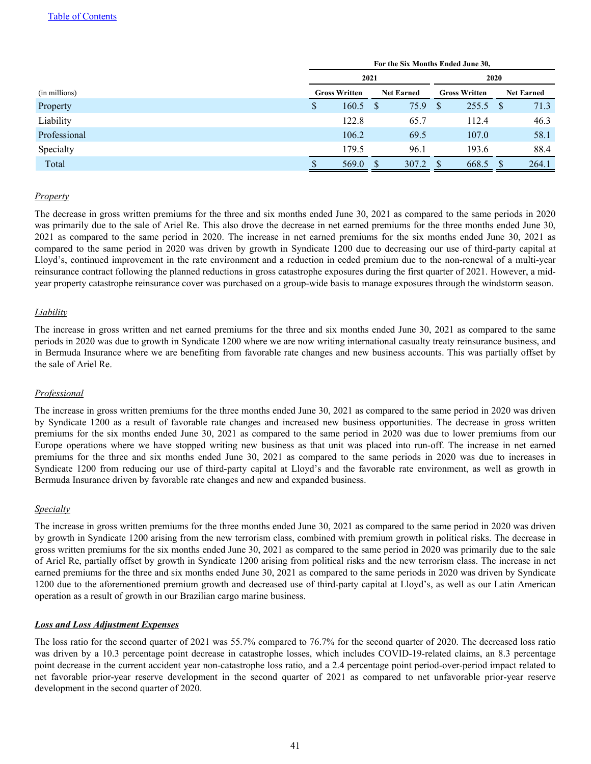|               | For the Six Months Ended June 30, |       |                   |       |                      |       |                   |       |  |  |  |
|---------------|-----------------------------------|-------|-------------------|-------|----------------------|-------|-------------------|-------|--|--|--|
|               | 2021                              |       |                   |       |                      |       | 2020              |       |  |  |  |
| (in millions) | <b>Gross Written</b>              |       | <b>Net Earned</b> |       | <b>Gross Written</b> |       | <b>Net Earned</b> |       |  |  |  |
| Property      | \$                                | 160.5 | - \$              | 75.9  | <sup>\$</sup>        | 255.5 | - \$              | 71.3  |  |  |  |
| Liability     |                                   | 122.8 |                   | 65.7  |                      | 112.4 |                   | 46.3  |  |  |  |
| Professional  |                                   | 106.2 |                   | 69.5  |                      | 107.0 |                   | 58.1  |  |  |  |
| Specialty     |                                   | 179.5 |                   | 96.1  |                      | 193.6 |                   | 88.4  |  |  |  |
| Total         |                                   | 569.0 | <sup>\$</sup>     | 307.2 | \$                   | 668.5 |                   | 264.1 |  |  |  |

## *Property*

The decrease in gross written premiums for the three and six months ended June 30, 2021 as compared to the same periods in 2020 was primarily due to the sale of Ariel Re. This also drove the decrease in net earned premiums for the three months ended June 30, 2021 as compared to the same period in 2020. The increase in net earned premiums for the six months ended June 30, 2021 as compared to the same period in 2020 was driven by growth in Syndicate 1200 due to decreasing our use of third-party capital at Lloyd's, continued improvement in the rate environment and a reduction in ceded premium due to the non-renewal of a multi-year reinsurance contract following the planned reductions in gross catastrophe exposures during the first quarter of 2021. However, a midyear property catastrophe reinsurance cover was purchased on a group-wide basis to manage exposures through the windstorm season.

## *Liability*

The increase in gross written and net earned premiums for the three and six months ended June 30, 2021 as compared to the same periods in 2020 was due to growth in Syndicate 1200 where we are now writing international casualty treaty reinsurance business, and in Bermuda Insurance where we are benefiting from favorable rate changes and new business accounts. This was partially offset by the sale of Ariel Re.

## *Professional*

The increase in gross written premiums for the three months ended June 30, 2021 as compared to the same period in 2020 was driven by Syndicate 1200 as a result of favorable rate changes and increased new business opportunities. The decrease in gross written premiums for the six months ended June 30, 2021 as compared to the same period in 2020 was due to lower premiums from our Europe operations where we have stopped writing new business as that unit was placed into run-off. The increase in net earned premiums for the three and six months ended June 30, 2021 as compared to the same periods in 2020 was due to increases in Syndicate 1200 from reducing our use of third-party capital at Lloyd's and the favorable rate environment, as well as growth in Bermuda Insurance driven by favorable rate changes and new and expanded business.

#### *Specialty*

The increase in gross written premiums for the three months ended June 30, 2021 as compared to the same period in 2020 was driven by growth in Syndicate 1200 arising from the new terrorism class, combined with premium growth in political risks. The decrease in gross written premiums for the six months ended June 30, 2021 as compared to the same period in 2020 was primarily due to the sale of Ariel Re, partially offset by growth in Syndicate 1200 arising from political risks and the new terrorism class. The increase in net earned premiums for the three and six months ended June 30, 2021 as compared to the same periods in 2020 was driven by Syndicate 1200 due to the aforementioned premium growth and decreased use of third-party capital at Lloyd's, as well as our Latin American operation as a result of growth in our Brazilian cargo marine business.

## *Loss and Loss Adjustment Expenses*

The loss ratio for the second quarter of 2021 was 55.7% compared to 76.7% for the second quarter of 2020. The decreased loss ratio was driven by a 10.3 percentage point decrease in catastrophe losses, which includes COVID-19-related claims, an 8.3 percentage point decrease in the current accident year non-catastrophe loss ratio, and a 2.4 percentage point period-over-period impact related to net favorable prior-year reserve development in the second quarter of 2021 as compared to net unfavorable prior-year reserve development in the second quarter of 2020.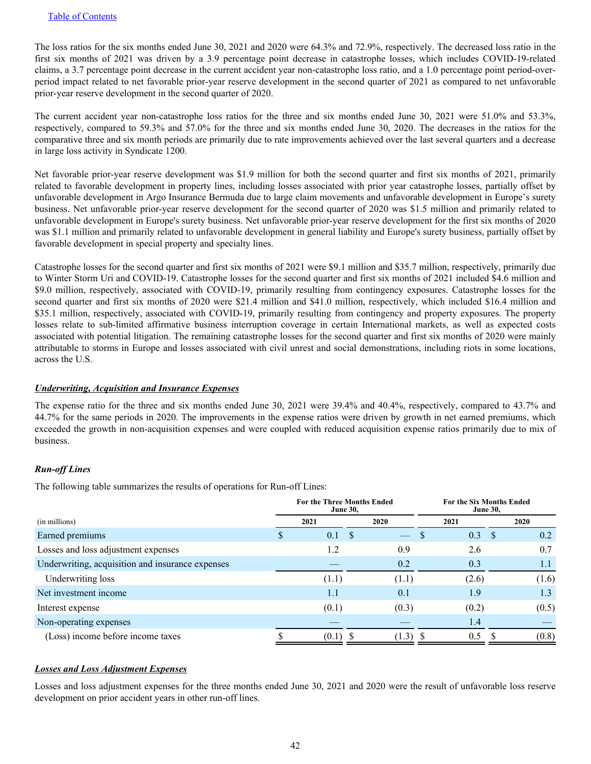The loss ratios for the six months ended June 30, 2021 and 2020 were 64.3% and 72.9%, respectively. The decreased loss ratio in the first six months of 2021 was driven by a 3.9 percentage point decrease in catastrophe losses, which includes COVID-19-related claims, a 3.7 percentage point decrease in the current accident year non-catastrophe loss ratio, and a 1.0 percentage point period-overperiod impact related to net favorable prior-year reserve development in the second quarter of 2021 as compared to net unfavorable prior-year reserve development in the second quarter of 2020.

The current accident year non-catastrophe loss ratios for the three and six months ended June 30, 2021 were 51.0% and 53.3%, respectively, compared to 59.3% and 57.0% for the three and six months ended June 30, 2020. The decreases in the ratios for the comparative three and six month periods are primarily due to rate improvements achieved over the last several quarters and a decrease in large loss activity in Syndicate 1200.

Net favorable prior-year reserve development was \$1.9 million for both the second quarter and first six months of 2021, primarily related to favorable development in property lines, including losses associated with prior year catastrophe losses, partially offset by unfavorable development in Argo Insurance Bermuda due to large claim movements and unfavorable development in Europe's surety business. Net unfavorable prior-year reserve development for the second quarter of 2020 was \$1.5 million and primarily related to unfavorable development in Europe's surety business. Net unfavorable prior-year reserve development for the first six months of 2020 was \$1.1 million and primarily related to unfavorable development in general liability and Europe's surety business, partially offset by favorable development in special property and specialty lines.

Catastrophe losses for the second quarter and first six months of 2021 were \$9.1 million and \$35.7 million, respectively, primarily due to Winter Storm Uri and COVID-19. Catastrophe losses for the second quarter and first six months of 2021 included \$4.6 million and \$9.0 million, respectively, associated with COVID-19, primarily resulting from contingency exposures. Catastrophe losses for the second quarter and first six months of 2020 were \$21.4 million and \$41.0 million, respectively, which included \$16.4 million and \$35.1 million, respectively, associated with COVID-19, primarily resulting from contingency and property exposures. The property losses relate to sub-limited affirmative business interruption coverage in certain International markets, as well as expected costs associated with potential litigation. The remaining catastrophe losses for the second quarter and first six months of 2020 were mainly attributable to storms in Europe and losses associated with civil unrest and social demonstrations, including riots in some locations, across the U.S.

## *Underwriting, Acquisition and Insurance Expenses*

The expense ratio for the three and six months ended June 30, 2021 were 39.4% and 40.4%, respectively, compared to 43.7% and 44.7% for the same periods in 2020. The improvements in the expense ratios were driven by growth in net earned premiums, which exceeded the growth in non-acquisition expenses and were coupled with reduced acquisition expense ratios primarily due to mix of business.

## *Run-off Lines*

The following table summarizes the results of operations for Run-off Lines:

|                                                  | <b>For the Three Months Ended</b><br><b>June 30,</b> |    |       | <b>For the Six Months Ended</b><br><b>June 30,</b> |       |    |       |  |  |
|--------------------------------------------------|------------------------------------------------------|----|-------|----------------------------------------------------|-------|----|-------|--|--|
| (in millions)                                    | 2021                                                 |    | 2020  |                                                    | 2021  |    | 2020  |  |  |
| Earned premiums                                  | 0.1                                                  | -S |       |                                                    | 0.3   | -S | 0.2   |  |  |
| Losses and loss adjustment expenses              | 1.2                                                  |    | 0.9   |                                                    | 2.6   |    | 0.7   |  |  |
| Underwriting, acquisition and insurance expenses |                                                      |    | 0.2   |                                                    | 0.3   |    | 1.1   |  |  |
| Underwriting loss                                | (1.1)                                                |    | (1.1) |                                                    | (2.6) |    | (1.6) |  |  |
| Net investment income                            | 1.1                                                  |    | 0.1   |                                                    | 1.9   |    | 1.3   |  |  |
| Interest expense                                 | (0.1)                                                |    | (0.3) |                                                    | (0.2) |    | (0.5) |  |  |
| Non-operating expenses                           |                                                      |    |       |                                                    | 1.4   |    |       |  |  |
| (Loss) income before income taxes                | (0.1)                                                |    | (1.3) |                                                    | 0.5   |    | (0.8) |  |  |

## *Losses and Loss Adjustment Expenses*

Losses and loss adjustment expenses for the three months ended June 30, 2021 and 2020 were the result of unfavorable loss reserve development on prior accident years in other run-off lines.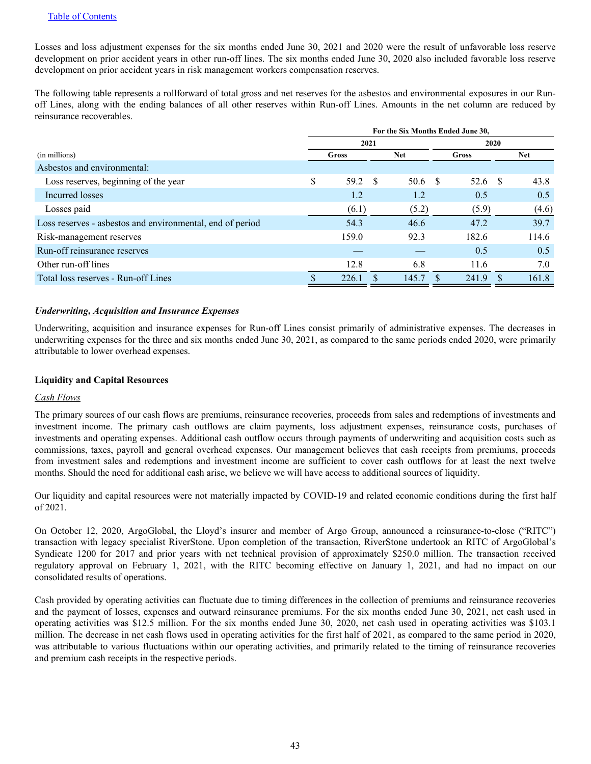## [Table of Contents](#page-1-0)

Losses and loss adjustment expenses for the six months ended June 30, 2021 and 2020 were the result of unfavorable loss reserve development on prior accident years in other run-off lines. The six months ended June 30, 2020 also included favorable loss reserve development on prior accident years in risk management workers compensation reserves.

The following table represents a rollforward of total gross and net reserves for the asbestos and environmental exposures in our Runoff Lines, along with the ending balances of all other reserves within Run-off Lines. Amounts in the net column are reduced by reinsurance recoverables.

|                                                           | For the Six Months Ended June 30, |         |  |            |      |         |  |            |  |  |  |
|-----------------------------------------------------------|-----------------------------------|---------|--|------------|------|---------|--|------------|--|--|--|
|                                                           |                                   | 2021    |  |            | 2020 |         |  |            |  |  |  |
| (in millions)                                             |                                   | Gross   |  | <b>Net</b> |      | Gross   |  | <b>Net</b> |  |  |  |
| Asbestos and environmental:                               |                                   |         |  |            |      |         |  |            |  |  |  |
| Loss reserves, beginning of the year                      | \$                                | 59.2 \$ |  | 50.6 \$    |      | 52.6 \$ |  | 43.8       |  |  |  |
| Incurred losses                                           |                                   | 1.2     |  | 1.2        |      | 0.5     |  | 0.5        |  |  |  |
| Losses paid                                               |                                   | (6.1)   |  | (5.2)      |      | (5.9)   |  | (4.6)      |  |  |  |
| Loss reserves - asbestos and environmental, end of period |                                   | 54.3    |  | 46.6       |      | 47.2    |  | 39.7       |  |  |  |
| Risk-management reserves                                  |                                   | 159.0   |  | 92.3       |      | 182.6   |  | 114.6      |  |  |  |
| Run-off reinsurance reserves                              |                                   |         |  |            |      | 0.5     |  | 0.5        |  |  |  |
| Other run-off lines                                       |                                   | 12.8    |  | 6.8        |      | 11.6    |  | 7.0        |  |  |  |
| Total loss reserves - Run-off Lines                       |                                   | 226.1   |  | 145.7      |      | 241.9   |  | 161.8      |  |  |  |

## *Underwriting, Acquisition and Insurance Expenses*

Underwriting, acquisition and insurance expenses for Run-off Lines consist primarily of administrative expenses. The decreases in underwriting expenses for the three and six months ended June 30, 2021, as compared to the same periods ended 2020, were primarily attributable to lower overhead expenses.

#### **Liquidity and Capital Resources**

#### *Cash Flows*

The primary sources of our cash flows are premiums, reinsurance recoveries, proceeds from sales and redemptions of investments and investment income. The primary cash outflows are claim payments, loss adjustment expenses, reinsurance costs, purchases of investments and operating expenses. Additional cash outflow occurs through payments of underwriting and acquisition costs such as commissions, taxes, payroll and general overhead expenses. Our management believes that cash receipts from premiums, proceeds from investment sales and redemptions and investment income are sufficient to cover cash outflows for at least the next twelve months. Should the need for additional cash arise, we believe we will have access to additional sources of liquidity.

Our liquidity and capital resources were not materially impacted by COVID-19 and related economic conditions during the first half of 2021.

On October 12, 2020, ArgoGlobal, the Lloyd's insurer and member of Argo Group, announced a reinsurance-to-close ("RITC") transaction with legacy specialist RiverStone. Upon completion of the transaction, RiverStone undertook an RITC of ArgoGlobal's Syndicate 1200 for 2017 and prior years with net technical provision of approximately \$250.0 million. The transaction received regulatory approval on February 1, 2021, with the RITC becoming effective on January 1, 2021, and had no impact on our consolidated results of operations.

Cash provided by operating activities can fluctuate due to timing differences in the collection of premiums and reinsurance recoveries and the payment of losses, expenses and outward reinsurance premiums. For the six months ended June 30, 2021, net cash used in operating activities was \$12.5 million. For the six months ended June 30, 2020, net cash used in operating activities was \$103.1 million. The decrease in net cash flows used in operating activities for the first half of 2021, as compared to the same period in 2020, was attributable to various fluctuations within our operating activities, and primarily related to the timing of reinsurance recoveries and premium cash receipts in the respective periods.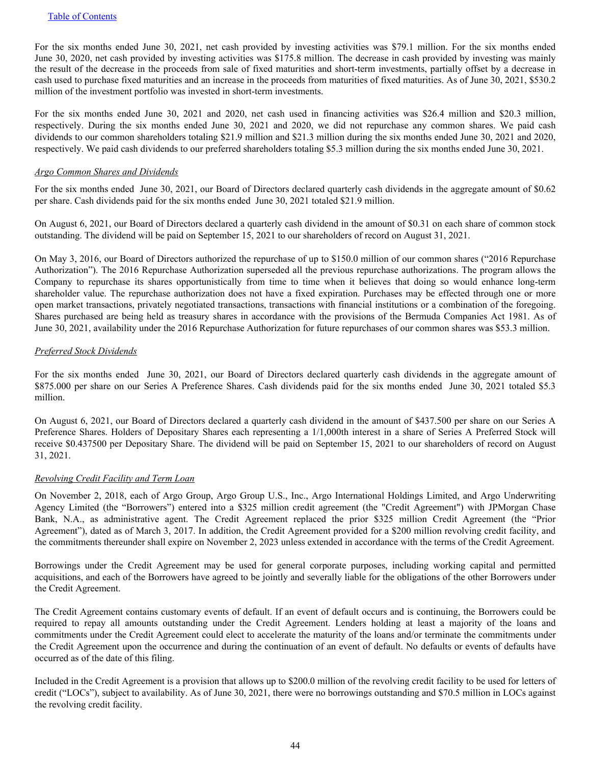For the six months ended June 30, 2021, net cash provided by investing activities was \$79.1 million. For the six months ended June 30, 2020, net cash provided by investing activities was \$175.8 million. The decrease in cash provided by investing was mainly the result of the decrease in the proceeds from sale of fixed maturities and short-term investments, partially offset by a decrease in cash used to purchase fixed maturities and an increase in the proceeds from maturities of fixed maturities. As of June 30, 2021, \$530.2 million of the investment portfolio was invested in short-term investments.

For the six months ended June 30, 2021 and 2020, net cash used in financing activities was \$26.4 million and \$20.3 million, respectively. During the six months ended June 30, 2021 and 2020, we did not repurchase any common shares. We paid cash dividends to our common shareholders totaling \$21.9 million and \$21.3 million during the six months ended June 30, 2021 and 2020, respectively. We paid cash dividends to our preferred shareholders totaling \$5.3 million during the six months ended June 30, 2021.

#### *Argo Common Shares and Dividends*

For the six months ended June 30, 2021, our Board of Directors declared quarterly cash dividends in the aggregate amount of \$0.62 per share. Cash dividends paid for the six months ended June 30, 2021 totaled \$21.9 million.

On August 6, 2021, our Board of Directors declared a quarterly cash dividend in the amount of \$0.31 on each share of common stock outstanding. The dividend will be paid on September 15, 2021 to our shareholders of record on August 31, 2021.

On May 3, 2016, our Board of Directors authorized the repurchase of up to \$150.0 million of our common shares ("2016 Repurchase Authorization"). The 2016 Repurchase Authorization superseded all the previous repurchase authorizations. The program allows the Company to repurchase its shares opportunistically from time to time when it believes that doing so would enhance long-term shareholder value. The repurchase authorization does not have a fixed expiration. Purchases may be effected through one or more open market transactions, privately negotiated transactions, transactions with financial institutions or a combination of the foregoing. Shares purchased are being held as treasury shares in accordance with the provisions of the Bermuda Companies Act 1981. As of June 30, 2021, availability under the 2016 Repurchase Authorization for future repurchases of our common shares was \$53.3 million.

#### *Preferred Stock Dividends*

For the six months ended June 30, 2021, our Board of Directors declared quarterly cash dividends in the aggregate amount of \$875.000 per share on our Series A Preference Shares. Cash dividends paid for the six months ended June 30, 2021 totaled \$5.3 million.

On August 6, 2021, our Board of Directors declared a quarterly cash dividend in the amount of \$437.500 per share on our Series A Preference Shares. Holders of Depositary Shares each representing a 1/1,000th interest in a share of Series A Preferred Stock will receive \$0.437500 per Depositary Share. The dividend will be paid on September 15, 2021 to our shareholders of record on August 31, 2021.

## *Revolving Credit Facility and Term Loan*

On November 2, 2018, each of Argo Group, Argo Group U.S., Inc., Argo International Holdings Limited, and Argo Underwriting Agency Limited (the "Borrowers") entered into a \$325 million credit agreement (the "Credit Agreement") with JPMorgan Chase Bank, N.A., as administrative agent. The Credit Agreement replaced the prior \$325 million Credit Agreement (the "Prior Agreement"), dated as of March 3, 2017. In addition, the Credit Agreement provided for a \$200 million revolving credit facility, and the commitments thereunder shall expire on November 2, 2023 unless extended in accordance with the terms of the Credit Agreement.

Borrowings under the Credit Agreement may be used for general corporate purposes, including working capital and permitted acquisitions, and each of the Borrowers have agreed to be jointly and severally liable for the obligations of the other Borrowers under the Credit Agreement.

The Credit Agreement contains customary events of default. If an event of default occurs and is continuing, the Borrowers could be required to repay all amounts outstanding under the Credit Agreement. Lenders holding at least a majority of the loans and commitments under the Credit Agreement could elect to accelerate the maturity of the loans and/or terminate the commitments under the Credit Agreement upon the occurrence and during the continuation of an event of default. No defaults or events of defaults have occurred as of the date of this filing.

Included in the Credit Agreement is a provision that allows up to \$200.0 million of the revolving credit facility to be used for letters of credit ("LOCs"), subject to availability. As of June 30, 2021, there were no borrowings outstanding and \$70.5 million in LOCs against the revolving credit facility.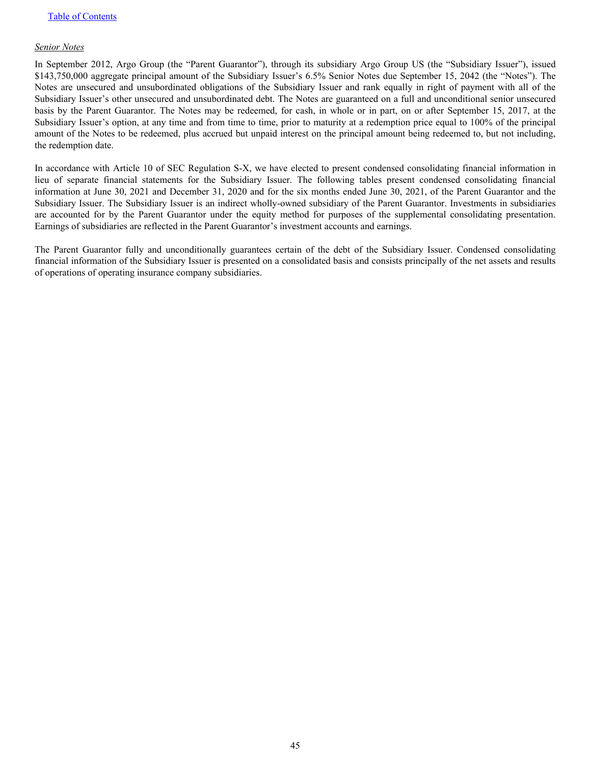# *Senior Notes*

In September 2012, Argo Group (the "Parent Guarantor"), through its subsidiary Argo Group US (the "Subsidiary Issuer"), issued \$143,750,000 aggregate principal amount of the Subsidiary Issuer's 6.5% Senior Notes due September 15, 2042 (the "Notes"). The Notes are unsecured and unsubordinated obligations of the Subsidiary Issuer and rank equally in right of payment with all of the Subsidiary Issuer's other unsecured and unsubordinated debt. The Notes are guaranteed on a full and unconditional senior unsecured basis by the Parent Guarantor. The Notes may be redeemed, for cash, in whole or in part, on or after September 15, 2017, at the Subsidiary Issuer's option, at any time and from time to time, prior to maturity at a redemption price equal to 100% of the principal amount of the Notes to be redeemed, plus accrued but unpaid interest on the principal amount being redeemed to, but not including, the redemption date.

In accordance with Article 10 of SEC Regulation S-X, we have elected to present condensed consolidating financial information in lieu of separate financial statements for the Subsidiary Issuer. The following tables present condensed consolidating financial information at June 30, 2021 and December 31, 2020 and for the six months ended June 30, 2021, of the Parent Guarantor and the Subsidiary Issuer. The Subsidiary Issuer is an indirect wholly-owned subsidiary of the Parent Guarantor. Investments in subsidiaries are accounted for by the Parent Guarantor under the equity method for purposes of the supplemental consolidating presentation. Earnings of subsidiaries are reflected in the Parent Guarantor's investment accounts and earnings.

The Parent Guarantor fully and unconditionally guarantees certain of the debt of the Subsidiary Issuer. Condensed consolidating financial information of the Subsidiary Issuer is presented on a consolidated basis and consists principally of the net assets and results of operations of operating insurance company subsidiaries.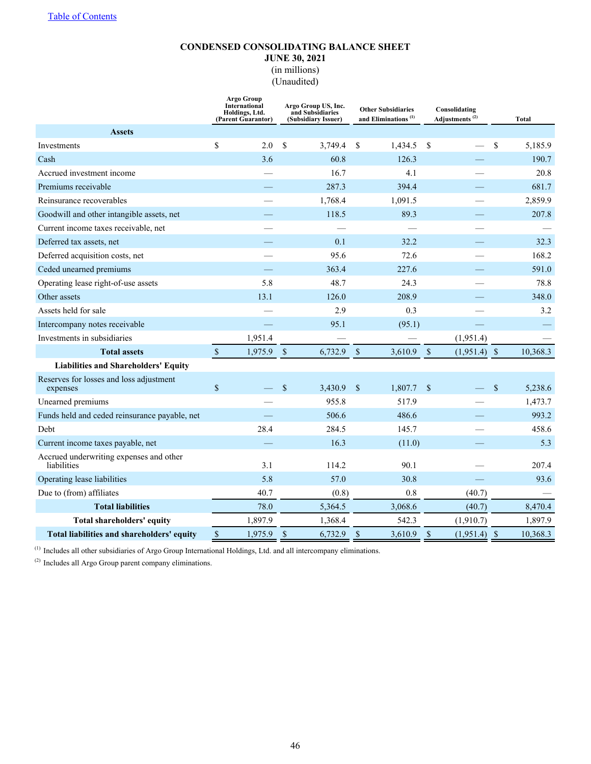# **CONDENSED CONSOLIDATING BALANCE SHEET JUNE 30, 2021** (in millions) (Unaudited)

|                                                        |      | Argo Group<br>International<br>Holdings, Ltd.<br>(Parent Guarantor) |              | Argo Group US, Inc.<br>and Subsidiaries<br>(Subsidiary Issuer) |               | <b>Other Subsidiaries</b><br>and Eliminations <sup>(1)</sup> |               | Consolidating<br>Adjustments <sup>(2)</sup> |             | <b>Total</b> |
|--------------------------------------------------------|------|---------------------------------------------------------------------|--------------|----------------------------------------------------------------|---------------|--------------------------------------------------------------|---------------|---------------------------------------------|-------------|--------------|
| <b>Assets</b>                                          |      |                                                                     |              |                                                                |               |                                                              |               |                                             |             |              |
| Investments                                            | \$   | 2.0                                                                 | \$           | 3,749.4                                                        | \$            | 1,434.5                                                      | \$            |                                             | \$          | 5,185.9      |
| Cash                                                   |      | 3.6                                                                 |              | 60.8                                                           |               | 126.3                                                        |               |                                             |             | 190.7        |
| Accrued investment income                              |      |                                                                     |              | 16.7                                                           |               | 4.1                                                          |               |                                             |             | 20.8         |
| Premiums receivable                                    |      |                                                                     |              | 287.3                                                          |               | 394.4                                                        |               |                                             |             | 681.7        |
| Reinsurance recoverables                               |      |                                                                     |              | 1,768.4                                                        |               | 1,091.5                                                      |               |                                             |             | 2,859.9      |
| Goodwill and other intangible assets, net              |      |                                                                     |              | 118.5                                                          |               | 89.3                                                         |               |                                             |             | 207.8        |
| Current income taxes receivable, net                   |      |                                                                     |              |                                                                |               |                                                              |               |                                             |             |              |
| Deferred tax assets, net                               |      |                                                                     |              | 0.1                                                            |               | 32.2                                                         |               |                                             |             | 32.3         |
| Deferred acquisition costs, net                        |      |                                                                     |              | 95.6                                                           |               | 72.6                                                         |               |                                             |             | 168.2        |
| Ceded unearned premiums                                |      |                                                                     |              | 363.4                                                          |               | 227.6                                                        |               |                                             |             | 591.0        |
| Operating lease right-of-use assets                    |      | 5.8                                                                 |              | 48.7                                                           |               | 24.3                                                         |               |                                             |             | 78.8         |
| Other assets                                           |      | 13.1                                                                |              | 126.0                                                          |               | 208.9                                                        |               |                                             |             | 348.0        |
| Assets held for sale                                   |      |                                                                     |              | 2.9                                                            |               | 0.3                                                          |               |                                             |             | 3.2          |
| Intercompany notes receivable                          |      |                                                                     |              | 95.1                                                           |               | (95.1)                                                       |               |                                             |             |              |
| Investments in subsidiaries                            |      | 1,951.4                                                             |              |                                                                |               |                                                              |               | (1,951.4)                                   |             |              |
| <b>Total assets</b>                                    | $\$$ | 1,975.9                                                             | $\sqrt{3}$   | 6,732.9                                                        | $\mathcal{S}$ | 3,610.9                                                      | $\sqrt{3}$    | $(1,951.4)$ \$                              |             | 10,368.3     |
| <b>Liabilities and Shareholders' Equity</b>            |      |                                                                     |              |                                                                |               |                                                              |               |                                             |             |              |
| Reserves for losses and loss adjustment<br>expenses    | \$   |                                                                     | $\mathbf S$  | 3.430.9                                                        | <sup>\$</sup> | 1,807.7                                                      | $\mathbf{s}$  |                                             | $\mathbf S$ | 5.238.6      |
| Unearned premiums                                      |      |                                                                     |              | 955.8                                                          |               | 517.9                                                        |               |                                             |             | 1,473.7      |
| Funds held and ceded reinsurance payable, net          |      |                                                                     |              | 506.6                                                          |               | 486.6                                                        |               |                                             |             | 993.2        |
| Debt                                                   |      | 28.4                                                                |              | 284.5                                                          |               | 145.7                                                        |               |                                             |             | 458.6        |
| Current income taxes payable, net                      |      |                                                                     |              | 16.3                                                           |               | (11.0)                                                       |               |                                             |             | 5.3          |
| Accrued underwriting expenses and other<br>liabilities |      | 3.1                                                                 |              | 114.2                                                          |               | 90.1                                                         |               |                                             |             | 207.4        |
| Operating lease liabilities                            |      | 5.8                                                                 |              | 57.0                                                           |               | 30.8                                                         |               |                                             |             | 93.6         |
| Due to (from) affiliates                               |      | 40.7                                                                |              | (0.8)                                                          |               | 0.8                                                          |               | (40.7)                                      |             |              |
| <b>Total liabilities</b>                               |      | 78.0                                                                |              | 5,364.5                                                        |               | 3,068.6                                                      |               | (40.7)                                      |             | 8,470.4      |
| Total shareholders' equity                             |      | 1,897.9                                                             |              | 1,368.4                                                        |               | 542.3                                                        |               | (1,910.7)                                   |             | 1,897.9      |
| Total liabilities and shareholders' equity             | \$   | 1,975.9                                                             | $\mathbb{S}$ | 6,732.9                                                        | $\mathbb{S}$  | 3,610.9                                                      | $\mathsf{\$}$ | $(1,951.4)$ \$                              |             | 10,368.3     |

(1) Includes all other subsidiaries of Argo Group International Holdings, Ltd. and all intercompany eliminations.

(2) Includes all Argo Group parent company eliminations.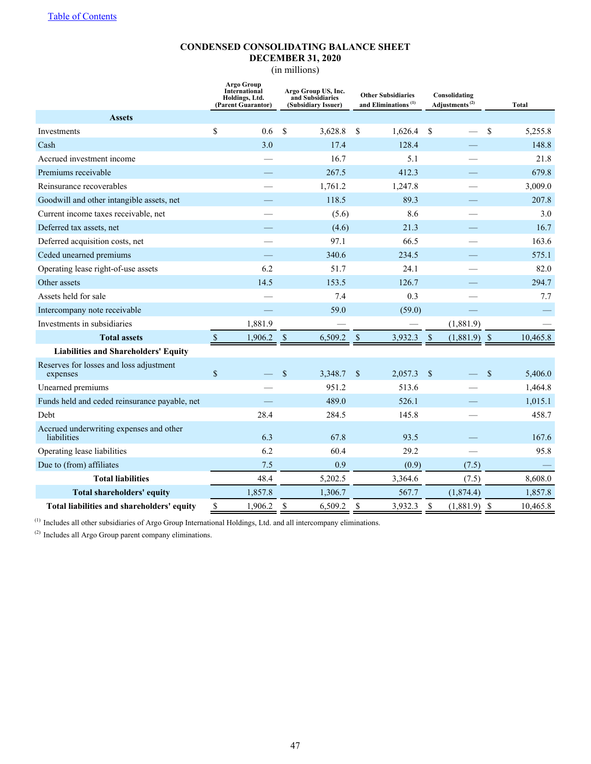# **CONDENSED CONSOLIDATING BALANCE SHEET DECEMBER 31, 2020**

(in millions)

|                                                        |                           | Argo Group<br><b>International</b><br>Holdings, Ltd.<br>(Parent Guarantor) | Argo Group US, Inc.<br>and Subsidiaries<br>(Subsidiary Issuer) |         |                    |         |               |                |                    |          | <b>Other Subsidiaries</b><br>and Eliminations <sup>(1)</sup> |  | Consolidating<br>Adjustments <sup>(2)</sup> |  |  |  |  | <b>Total</b> |
|--------------------------------------------------------|---------------------------|----------------------------------------------------------------------------|----------------------------------------------------------------|---------|--------------------|---------|---------------|----------------|--------------------|----------|--------------------------------------------------------------|--|---------------------------------------------|--|--|--|--|--------------|
| <b>Assets</b>                                          |                           |                                                                            |                                                                |         |                    |         |               |                |                    |          |                                                              |  |                                             |  |  |  |  |              |
| Investments                                            | \$                        | 0.6                                                                        | <sup>\$</sup>                                                  | 3,628.8 | \$                 | 1,626.4 | \$            |                | \$                 | 5,255.8  |                                                              |  |                                             |  |  |  |  |              |
| Cash                                                   |                           | 3.0                                                                        |                                                                | 17.4    |                    | 128.4   |               |                |                    | 148.8    |                                                              |  |                                             |  |  |  |  |              |
| Accrued investment income                              |                           |                                                                            |                                                                | 16.7    |                    | 5.1     |               |                |                    | 21.8     |                                                              |  |                                             |  |  |  |  |              |
| Premiums receivable                                    |                           |                                                                            |                                                                | 267.5   |                    | 412.3   |               |                |                    | 679.8    |                                                              |  |                                             |  |  |  |  |              |
| Reinsurance recoverables                               |                           |                                                                            |                                                                | 1,761.2 |                    | 1,247.8 |               |                |                    | 3,009.0  |                                                              |  |                                             |  |  |  |  |              |
| Goodwill and other intangible assets, net              |                           |                                                                            |                                                                | 118.5   |                    | 89.3    |               |                |                    | 207.8    |                                                              |  |                                             |  |  |  |  |              |
| Current income taxes receivable, net                   |                           |                                                                            |                                                                | (5.6)   |                    | 8.6     |               |                |                    | 3.0      |                                                              |  |                                             |  |  |  |  |              |
| Deferred tax assets, net                               |                           |                                                                            |                                                                | (4.6)   |                    | 21.3    |               |                |                    | 16.7     |                                                              |  |                                             |  |  |  |  |              |
| Deferred acquisition costs, net                        |                           |                                                                            |                                                                | 97.1    |                    | 66.5    |               |                |                    | 163.6    |                                                              |  |                                             |  |  |  |  |              |
| Ceded unearned premiums                                |                           |                                                                            |                                                                | 340.6   |                    | 234.5   |               |                |                    | 575.1    |                                                              |  |                                             |  |  |  |  |              |
| Operating lease right-of-use assets                    |                           | 6.2                                                                        |                                                                | 51.7    |                    | 24.1    |               |                |                    | 82.0     |                                                              |  |                                             |  |  |  |  |              |
| Other assets                                           |                           | 14.5                                                                       |                                                                | 153.5   |                    | 126.7   |               |                |                    | 294.7    |                                                              |  |                                             |  |  |  |  |              |
| Assets held for sale                                   |                           |                                                                            |                                                                | 7.4     |                    | 0.3     |               |                |                    | 7.7      |                                                              |  |                                             |  |  |  |  |              |
| Intercompany note receivable                           |                           |                                                                            |                                                                | 59.0    |                    | (59.0)  |               |                |                    |          |                                                              |  |                                             |  |  |  |  |              |
| Investments in subsidiaries                            |                           | 1,881.9                                                                    |                                                                |         |                    |         |               | (1,881.9)      |                    |          |                                                              |  |                                             |  |  |  |  |              |
| <b>Total assets</b>                                    | $\boldsymbol{\mathsf{S}}$ | 1,906.2                                                                    | $\sqrt{\frac{2}{5}}$                                           | 6,509.2 | $\mathbf{\hat{S}}$ | 3,932.3 | $\mathsf{\$}$ | (1,881.9)      | $\mathbf{\hat{s}}$ | 10,465.8 |                                                              |  |                                             |  |  |  |  |              |
| <b>Liabilities and Shareholders' Equity</b>            |                           |                                                                            |                                                                |         |                    |         |               |                |                    |          |                                                              |  |                                             |  |  |  |  |              |
| Reserves for losses and loss adjustment<br>expenses    | \$                        |                                                                            | $\mathbf S$                                                    | 3,348.7 | <sup>\$</sup>      | 2,057.3 | <sup>\$</sup> |                | \$                 | 5,406.0  |                                                              |  |                                             |  |  |  |  |              |
| Unearned premiums                                      |                           |                                                                            |                                                                | 951.2   |                    | 513.6   |               |                |                    | 1,464.8  |                                                              |  |                                             |  |  |  |  |              |
| Funds held and ceded reinsurance payable, net          |                           |                                                                            |                                                                | 489.0   |                    | 526.1   |               |                |                    | 1,015.1  |                                                              |  |                                             |  |  |  |  |              |
| Debt                                                   |                           | 28.4                                                                       |                                                                | 284.5   |                    | 145.8   |               |                |                    | 458.7    |                                                              |  |                                             |  |  |  |  |              |
| Accrued underwriting expenses and other<br>liabilities |                           | 6.3                                                                        |                                                                | 67.8    |                    | 93.5    |               |                |                    | 167.6    |                                                              |  |                                             |  |  |  |  |              |
| Operating lease liabilities                            |                           | 6.2                                                                        |                                                                | 60.4    |                    | 29.2    |               |                |                    | 95.8     |                                                              |  |                                             |  |  |  |  |              |
| Due to (from) affiliates                               |                           | 7.5                                                                        |                                                                | 0.9     |                    | (0.9)   |               | (7.5)          |                    |          |                                                              |  |                                             |  |  |  |  |              |
| <b>Total liabilities</b>                               |                           | 48.4                                                                       |                                                                | 5,202.5 |                    | 3,364.6 |               | (7.5)          |                    | 8,608.0  |                                                              |  |                                             |  |  |  |  |              |
| <b>Total shareholders' equity</b>                      |                           | 1,857.8                                                                    |                                                                | 1,306.7 |                    | 567.7   |               | (1,874.4)      |                    | 1,857.8  |                                                              |  |                                             |  |  |  |  |              |
| Total liabilities and shareholders' equity             | \$                        | 1,906.2                                                                    | \$                                                             | 6,509.2 | \$                 | 3,932.3 | $\mathsf{\$}$ | $(1,881.9)$ \$ |                    | 10,465.8 |                                                              |  |                                             |  |  |  |  |              |

(1) Includes all other subsidiaries of Argo Group International Holdings, Ltd. and all intercompany eliminations.

(2) Includes all Argo Group parent company eliminations.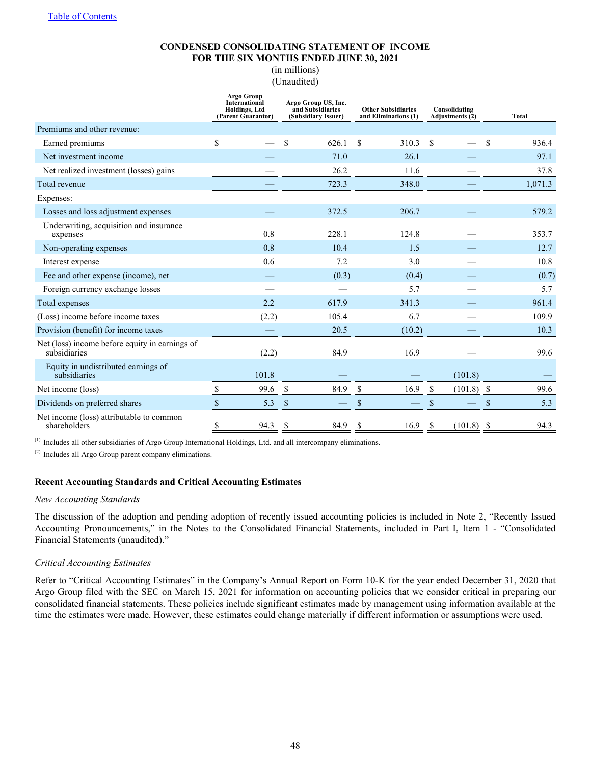# **CONDENSED CONSOLIDATING STATEMENT OF INCOME FOR THE SIX MONTHS ENDED JUNE 30, 2021**

#### (in millions) (Unaudited)

|                                                                | Argo Group<br><b>International</b><br><b>Holdings</b> , Ltd<br>(Parent Guarantor) | Argo Group US, Inc.<br>and Subsidiaries<br>(Subsidiary Issuer) |             | <b>Other Subsidiaries</b><br>and Eliminations (1) | Consolidating<br>Adjustments (2) |              |             |         |  | Total |
|----------------------------------------------------------------|-----------------------------------------------------------------------------------|----------------------------------------------------------------|-------------|---------------------------------------------------|----------------------------------|--------------|-------------|---------|--|-------|
| Premiums and other revenue:                                    |                                                                                   |                                                                |             |                                                   |                                  |              |             |         |  |       |
| Earned premiums                                                | \$                                                                                | \$<br>626.1                                                    | $\mathbf S$ | 310.3                                             | \$                               |              | \$          | 936.4   |  |       |
| Net investment income                                          |                                                                                   | 71.0                                                           |             | 26.1                                              |                                  |              |             | 97.1    |  |       |
| Net realized investment (losses) gains                         |                                                                                   | 26.2                                                           |             | 11.6                                              |                                  |              |             | 37.8    |  |       |
| Total revenue                                                  |                                                                                   | 723.3                                                          |             | 348.0                                             |                                  |              |             | 1,071.3 |  |       |
| Expenses:                                                      |                                                                                   |                                                                |             |                                                   |                                  |              |             |         |  |       |
| Losses and loss adjustment expenses                            |                                                                                   | 372.5                                                          |             | 206.7                                             |                                  |              |             | 579.2   |  |       |
| Underwriting, acquisition and insurance<br>expenses            | 0.8                                                                               | 228.1                                                          |             | 124.8                                             |                                  |              |             | 353.7   |  |       |
| Non-operating expenses                                         | 0.8                                                                               | 10.4                                                           |             | 1.5                                               |                                  |              |             | 12.7    |  |       |
| Interest expense                                               | 0.6                                                                               | 7.2                                                            |             | 3.0                                               |                                  |              |             | 10.8    |  |       |
| Fee and other expense (income), net                            |                                                                                   | (0.3)                                                          |             | (0.4)                                             |                                  |              |             | (0.7)   |  |       |
| Foreign currency exchange losses                               |                                                                                   |                                                                |             | 5.7                                               |                                  |              |             | 5.7     |  |       |
| Total expenses                                                 | 2.2                                                                               | 617.9                                                          |             | 341.3                                             |                                  |              |             | 961.4   |  |       |
| (Loss) income before income taxes                              | (2.2)                                                                             | 105.4                                                          |             | 6.7                                               |                                  |              |             | 109.9   |  |       |
| Provision (benefit) for income taxes                           |                                                                                   | 20.5                                                           |             | (10.2)                                            |                                  |              |             | 10.3    |  |       |
| Net (loss) income before equity in earnings of<br>subsidiaries | (2.2)                                                                             | 84.9                                                           |             | 16.9                                              |                                  |              |             | 99.6    |  |       |
| Equity in undistributed earnings of<br>subsidiaries            | 101.8                                                                             |                                                                |             |                                                   |                                  | (101.8)      |             |         |  |       |
| Net income (loss)                                              | 99.6<br>S                                                                         | \$<br>84.9                                                     | \$          | 16.9                                              | \$                               | $(101.8)$ \$ |             | 99.6    |  |       |
| Dividends on preferred shares                                  | $\mathbf S$<br>5.3                                                                | $\mathcal{S}$                                                  | \$          |                                                   |                                  |              | $\mathbf S$ | 5.3     |  |       |
| Net income (loss) attributable to common<br>shareholders       | \$<br>94.3                                                                        | <sup>\$</sup><br>84.9                                          | S           | 16.9                                              | \$                               | $(101.8)$ \$ |             | 94.3    |  |       |

(1) Includes all other subsidiaries of Argo Group International Holdings, Ltd. and all intercompany eliminations.

(2) Includes all Argo Group parent company eliminations.

#### **Recent Accounting Standards and Critical Accounting Estimates**

#### *New Accounting Standards*

The discussion of the adoption and pending adoption of recently issued accounting policies is included in Note 2, "Recently Issued Accounting Pronouncements," in the Notes to the Consolidated Financial Statements, included in Part I, Item 1 - "Consolidated Financial Statements (unaudited)."

#### *Critical Accounting Estimates*

Refer to "Critical Accounting Estimates" in the Company's Annual Report on Form 10-K for the year ended December 31, 2020 that Argo Group filed with the SEC on March 15, 2021 for information on accounting policies that we consider critical in preparing our consolidated financial statements. These policies include significant estimates made by management using information available at the time the estimates were made. However, these estimates could change materially if different information or assumptions were used.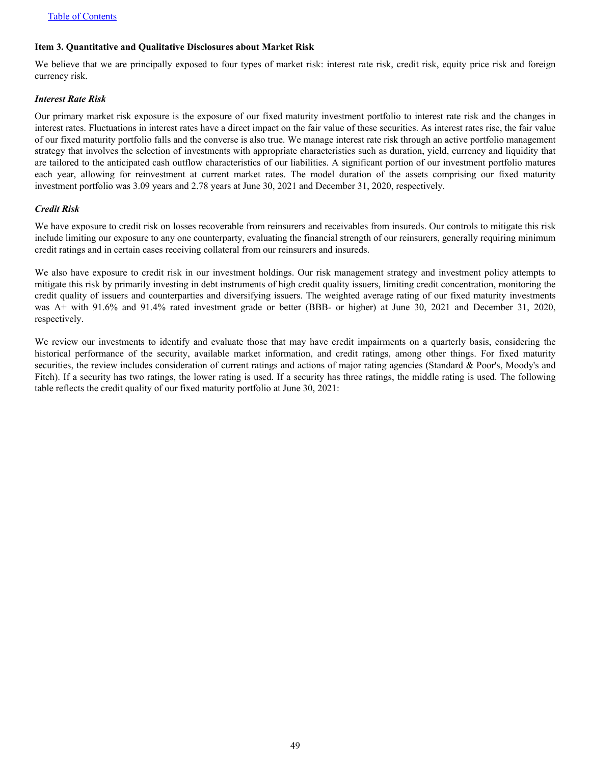## **Item 3. Quantitative and Qualitative Disclosures about Market Risk**

We believe that we are principally exposed to four types of market risk: interest rate risk, credit risk, equity price risk and foreign currency risk.

## *Interest Rate Risk*

Our primary market risk exposure is the exposure of our fixed maturity investment portfolio to interest rate risk and the changes in interest rates. Fluctuations in interest rates have a direct impact on the fair value of these securities. As interest rates rise, the fair value of our fixed maturity portfolio falls and the converse is also true. We manage interest rate risk through an active portfolio management strategy that involves the selection of investments with appropriate characteristics such as duration, yield, currency and liquidity that are tailored to the anticipated cash outflow characteristics of our liabilities. A significant portion of our investment portfolio matures each year, allowing for reinvestment at current market rates. The model duration of the assets comprising our fixed maturity investment portfolio was 3.09 years and 2.78 years at June 30, 2021 and December 31, 2020, respectively.

# *Credit Risk*

We have exposure to credit risk on losses recoverable from reinsurers and receivables from insureds. Our controls to mitigate this risk include limiting our exposure to any one counterparty, evaluating the financial strength of our reinsurers, generally requiring minimum credit ratings and in certain cases receiving collateral from our reinsurers and insureds.

We also have exposure to credit risk in our investment holdings. Our risk management strategy and investment policy attempts to mitigate this risk by primarily investing in debt instruments of high credit quality issuers, limiting credit concentration, monitoring the credit quality of issuers and counterparties and diversifying issuers. The weighted average rating of our fixed maturity investments was A+ with 91.6% and 91.4% rated investment grade or better (BBB- or higher) at June 30, 2021 and December 31, 2020, respectively.

We review our investments to identify and evaluate those that may have credit impairments on a quarterly basis, considering the historical performance of the security, available market information, and credit ratings, among other things. For fixed maturity securities, the review includes consideration of current ratings and actions of major rating agencies (Standard & Poor's, Moody's and Fitch). If a security has two ratings, the lower rating is used. If a security has three ratings, the middle rating is used. The following table reflects the credit quality of our fixed maturity portfolio at June 30, 2021: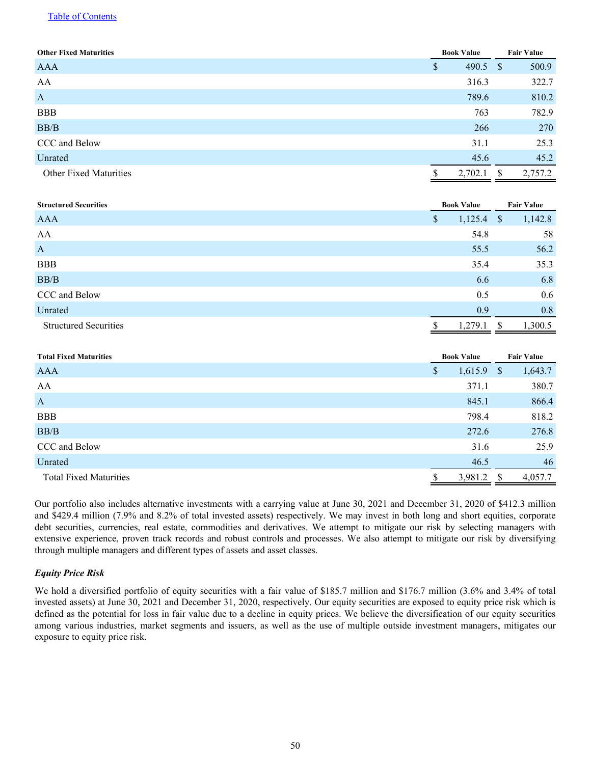## [Table of Contents](#page-1-0)

| <b>Other Fixed Maturities</b> | <b>Book Value</b> |     | <b>Fair Value</b> |
|-------------------------------|-------------------|-----|-------------------|
| AAA                           | \$<br>490.5       | S S | 500.9             |
| AA                            | 316.3             |     | 322.7             |
| $\mathbf{A}$                  | 789.6             |     | 810.2             |
| <b>BBB</b>                    | 763               |     | 782.9             |
| BB/B                          | 266               |     | 270               |
| CCC and Below                 | 31.1              |     | 25.3              |
| Unrated                       | 45.6              |     | 45.2              |
| <b>Other Fixed Maturities</b> | 2,702.1           |     | 2,757.2           |

| <b>Structured Securities</b> | <b>Book Value</b> |         | <b>Fair Value</b> |         |
|------------------------------|-------------------|---------|-------------------|---------|
| <b>AAA</b>                   | \$                | 1,125.4 | -\$               | 1,142.8 |
| AA                           |                   | 54.8    |                   | 58      |
| $\mathbf{A}$                 |                   | 55.5    |                   | 56.2    |
| <b>BBB</b>                   |                   | 35.4    |                   | 35.3    |
| BB/B                         |                   | 6.6     |                   | 6.8     |
| CCC and Below                |                   | 0.5     |                   | 0.6     |
| Unrated                      |                   | 0.9     |                   | 0.8     |
| <b>Structured Securities</b> |                   | 1,279.1 |                   | 1,300.5 |

| <b>Total Fixed Maturities</b> | <b>Book Value</b> |         | <b>Fair Value</b> |         |
|-------------------------------|-------------------|---------|-------------------|---------|
| AAA                           | \$                | 1,615.9 | - \$              | 1,643.7 |
| AA                            |                   | 371.1   |                   | 380.7   |
| $\mathbf{A}$                  |                   | 845.1   |                   | 866.4   |
| <b>BBB</b>                    |                   | 798.4   |                   | 818.2   |
| BB/B                          |                   | 272.6   |                   | 276.8   |
| CCC and Below                 |                   | 31.6    |                   | 25.9    |
| Unrated                       |                   | 46.5    |                   | 46      |
| <b>Total Fixed Maturities</b> |                   | 3,981.2 |                   | 4,057.7 |

Our portfolio also includes alternative investments with a carrying value at June 30, 2021 and December 31, 2020 of \$412.3 million and \$429.4 million (7.9% and 8.2% of total invested assets) respectively. We may invest in both long and short equities, corporate debt securities, currencies, real estate, commodities and derivatives. We attempt to mitigate our risk by selecting managers with extensive experience, proven track records and robust controls and processes. We also attempt to mitigate our risk by diversifying through multiple managers and different types of assets and asset classes.

# *Equity Price Risk*

We hold a diversified portfolio of equity securities with a fair value of \$185.7 million and \$176.7 million (3.6% and 3.4% of total invested assets) at June 30, 2021 and December 31, 2020, respectively. Our equity securities are exposed to equity price risk which is defined as the potential for loss in fair value due to a decline in equity prices. We believe the diversification of our equity securities among various industries, market segments and issuers, as well as the use of multiple outside investment managers, mitigates our exposure to equity price risk.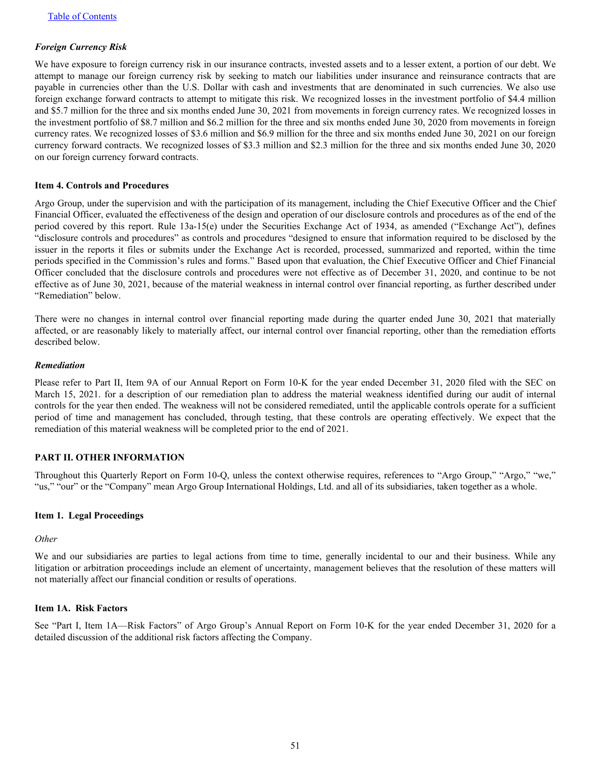## *Foreign Currency Risk*

We have exposure to foreign currency risk in our insurance contracts, invested assets and to a lesser extent, a portion of our debt. We attempt to manage our foreign currency risk by seeking to match our liabilities under insurance and reinsurance contracts that are payable in currencies other than the U.S. Dollar with cash and investments that are denominated in such currencies. We also use foreign exchange forward contracts to attempt to mitigate this risk. We recognized losses in the investment portfolio of \$4.4 million and \$5.7 million for the three and six months ended June 30, 2021 from movements in foreign currency rates. We recognized losses in the investment portfolio of \$8.7 million and \$6.2 million for the three and six months ended June 30, 2020 from movements in foreign currency rates. We recognized losses of \$3.6 million and \$6.9 million for the three and six months ended June 30, 2021 on our foreign currency forward contracts. We recognized losses of \$3.3 million and \$2.3 million for the three and six months ended June 30, 2020 on our foreign currency forward contracts.

#### **Item 4. Controls and Procedures**

Argo Group, under the supervision and with the participation of its management, including the Chief Executive Officer and the Chief Financial Officer, evaluated the effectiveness of the design and operation of our disclosure controls and procedures as of the end of the period covered by this report. Rule 13a-15(e) under the Securities Exchange Act of 1934, as amended ("Exchange Act"), defines "disclosure controls and procedures" as controls and procedures "designed to ensure that information required to be disclosed by the issuer in the reports it files or submits under the Exchange Act is recorded, processed, summarized and reported, within the time periods specified in the Commission's rules and forms." Based upon that evaluation, the Chief Executive Officer and Chief Financial Officer concluded that the disclosure controls and procedures were not effective as of December 31, 2020, and continue to be not effective as of June 30, 2021, because of the material weakness in internal control over financial reporting, as further described under "Remediation" below.

There were no changes in internal control over financial reporting made during the quarter ended June 30, 2021 that materially affected, or are reasonably likely to materially affect, our internal control over financial reporting, other than the remediation efforts described below.

#### *Remediation*

Please refer to Part II, Item 9A of our Annual Report on Form 10-K for the year ended December 31, 2020 filed with the SEC on March 15, 2021. for a description of our remediation plan to address the material weakness identified during our audit of internal controls for the year then ended. The weakness will not be considered remediated, until the applicable controls operate for a sufficient period of time and management has concluded, through testing, that these controls are operating effectively. We expect that the remediation of this material weakness will be completed prior to the end of 2021.

## **PART II. OTHER INFORMATION**

Throughout this Quarterly Report on Form 10-Q, unless the context otherwise requires, references to "Argo Group," "Argo," "we," "us," "our" or the "Company" mean Argo Group International Holdings, Ltd. and all of its subsidiaries, taken together as a whole.

#### **Item 1. Legal Proceedings**

#### *Other*

We and our subsidiaries are parties to legal actions from time to time, generally incidental to our and their business. While any litigation or arbitration proceedings include an element of uncertainty, management believes that the resolution of these matters will not materially affect our financial condition or results of operations.

#### **Item 1A. Risk Factors**

See "Part I, Item 1A—Risk Factors" of Argo Group's Annual Report on Form 10-K for the year ended December 31, 2020 for a detailed discussion of the additional risk factors affecting the Company.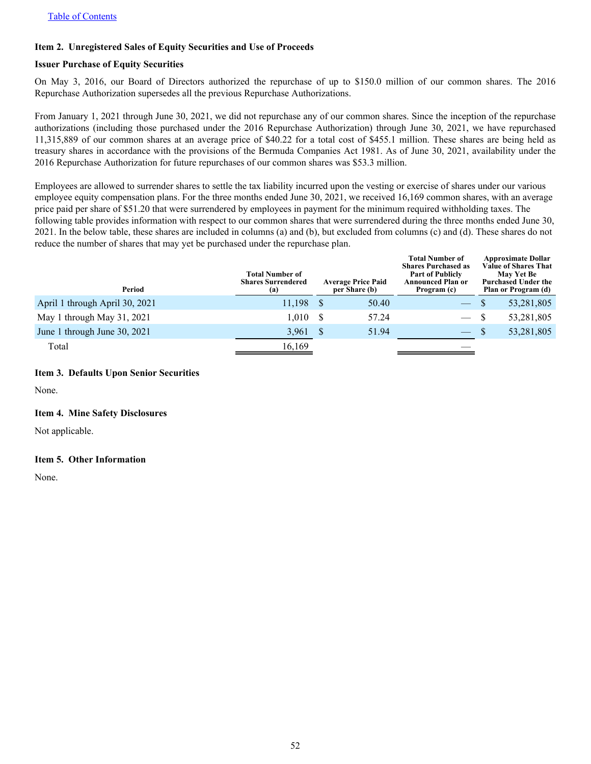## **Item 2. Unregistered Sales of Equity Securities and Use of Proceeds**

## **Issuer Purchase of Equity Securities**

On May 3, 2016, our Board of Directors authorized the repurchase of up to \$150.0 million of our common shares. The 2016 Repurchase Authorization supersedes all the previous Repurchase Authorizations.

From January 1, 2021 through June 30, 2021, we did not repurchase any of our common shares. Since the inception of the repurchase authorizations (including those purchased under the 2016 Repurchase Authorization) through June 30, 2021, we have repurchased 11,315,889 of our common shares at an average price of \$40.22 for a total cost of \$455.1 million. These shares are being held as treasury shares in accordance with the provisions of the Bermuda Companies Act 1981. As of June 30, 2021, availability under the 2016 Repurchase Authorization for future repurchases of our common shares was \$53.3 million.

Employees are allowed to surrender shares to settle the tax liability incurred upon the vesting or exercise of shares under our various employee equity compensation plans. For the three months ended June 30, 2021, we received 16,169 common shares, with an average price paid per share of \$51.20 that were surrendered by employees in payment for the minimum required withholding taxes. The following table provides information with respect to our common shares that were surrendered during the three months ended June 30, 2021. In the below table, these shares are included in columns (a) and (b), but excluded from columns (c) and (d). These shares do not reduce the number of shares that may yet be purchased under the repurchase plan.

| Period                         | Total Number of<br><b>Shares Surrendered</b><br>(a) | <b>Average Price Paid</b><br>per Share (b) | <b>Total Number of</b><br><b>Shares Purchased as</b><br><b>Part of Publicly</b><br>Announced Plan or<br>Program (c) | <b>Approximate Dollar</b><br><b>Value of Shares That</b><br><b>May Yet Be</b><br><b>Purchased Under the</b><br>Plan or Program (d) |            |  |
|--------------------------------|-----------------------------------------------------|--------------------------------------------|---------------------------------------------------------------------------------------------------------------------|------------------------------------------------------------------------------------------------------------------------------------|------------|--|
| April 1 through April 30, 2021 | 11,198                                              | 50.40                                      |                                                                                                                     | S                                                                                                                                  | 53,281,805 |  |
| May 1 through May 31, 2021     | 1,010                                               | 57.24                                      | $\overline{\phantom{a}}$                                                                                            |                                                                                                                                    | 53,281,805 |  |
| June 1 through June 30, 2021   | 3,961                                               | 51.94                                      |                                                                                                                     | - \$                                                                                                                               | 53,281,805 |  |
| Total                          | 16,169                                              |                                            |                                                                                                                     |                                                                                                                                    |            |  |

## **Item 3. Defaults Upon Senior Securities**

None.

## **Item 4. Mine Safety Disclosures**

Not applicable.

## **Item 5. Other Information**

None.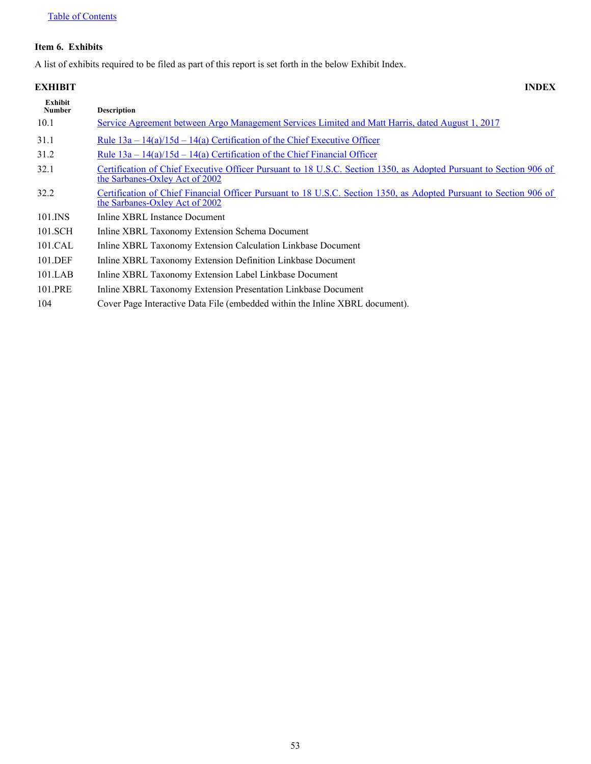# **Item 6. Exhibits**

A list of exhibits required to be filed as part of this report is set forth in the below Exhibit Index.

# **EXHIBIT INDEX**

| Exhibit<br><b>Number</b> | <b>Description</b>                                                                                                                                   |
|--------------------------|------------------------------------------------------------------------------------------------------------------------------------------------------|
| 10.1                     | Service Agreement between Argo Management Services Limited and Matt Harris, dated August 1, 2017                                                     |
| 31.1                     | Rule $13a - 14(a)/15d - 14(a)$ Certification of the Chief Executive Officer                                                                          |
| 31.2                     | Rule $13a - 14(a)/15d - 14(a)$ Certification of the Chief Financial Officer                                                                          |
| 32.1                     | Certification of Chief Executive Officer Pursuant to 18 U.S.C. Section 1350, as Adopted Pursuant to Section 906 of<br>the Sarbanes-Oxley Act of 2002 |
| 32.2                     | Certification of Chief Financial Officer Pursuant to 18 U.S.C. Section 1350, as Adopted Pursuant to Section 906 of<br>the Sarbanes-Oxley Act of 2002 |
| 101.INS                  | Inline XBRL Instance Document                                                                                                                        |
| 101.SCH                  | Inline XBRL Taxonomy Extension Schema Document                                                                                                       |
| 101.CAL                  | Inline XBRL Taxonomy Extension Calculation Linkbase Document                                                                                         |
| 101.DEF                  | Inline XBRL Taxonomy Extension Definition Linkbase Document                                                                                          |
| 101.LAB                  | Inline XBRL Taxonomy Extension Label Linkbase Document                                                                                               |
| 101.PRE                  | Inline XBRL Taxonomy Extension Presentation Linkbase Document                                                                                        |
| 104                      | Cover Page Interactive Data File (embedded within the Inline XBRL document).                                                                         |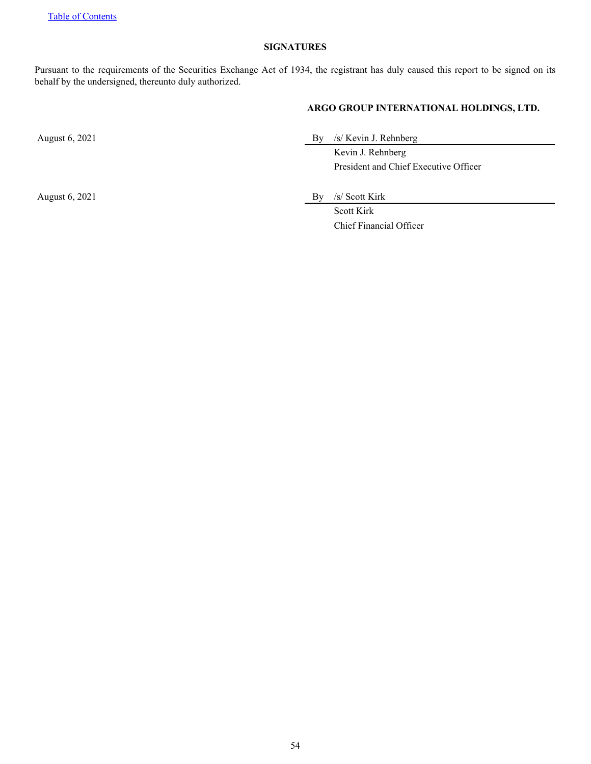[Table of Contents](#page-1-0)

## **SIGNATURES**

Pursuant to the requirements of the Securities Exchange Act of 1934, the registrant has duly caused this report to be signed on its behalf by the undersigned, thereunto duly authorized.

# **ARGO GROUP INTERNATIONAL HOLDINGS, LTD.**

August 6, 2021 By /s/ Kevin J. Rehnberg

Kevin J. Rehnberg President and Chief Executive Officer

August 6, 2021 By /s/ Scott Kirk

Scott Kirk Chief Financial Officer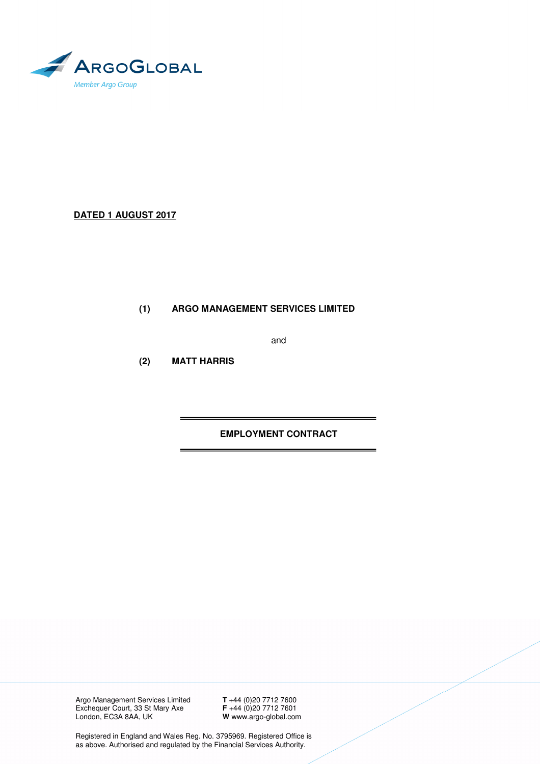

**DATED 1 AUGUST 2017**

# **(1) ARGO MANAGEMENT SERVICES LIMITED**

and

**(2) MATT HARRIS**

**EMPLOYMENT CONTRACT**

 $\overline{a}$ 

Argo Management Services Limited Exchequer Court, 33 St Mary Axe London, EC3A 8AA, UK

**T** +44 (0)20 7712 7600 **F** +44 (0)20 7712 7601 **W** www.argo-global.com

Registered in England and Wales Reg. No. 3795969. Registered Office is as above. Authorised and regulated by the Financial Services Authority.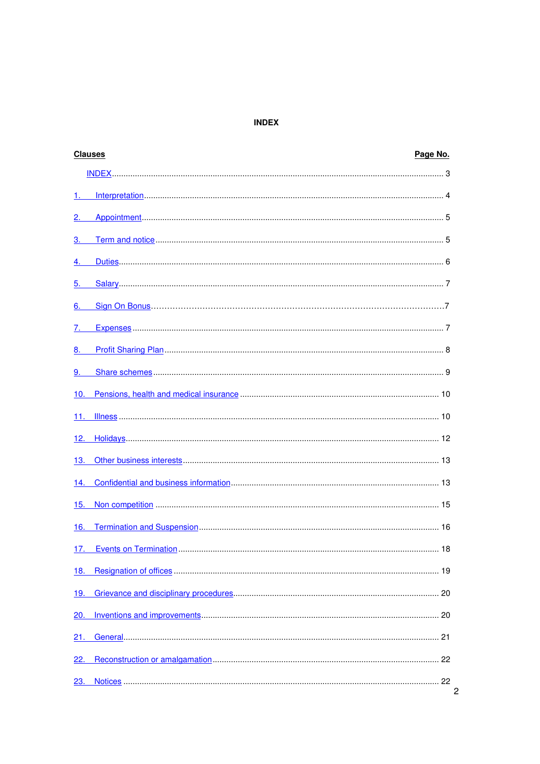# **INDEX**

| <b>Clauses</b> | Page No. |
|----------------|----------|
|                |          |
|                |          |
| <u>2. </u>     |          |
| 3.             |          |
| <u>4. </u>     |          |
| 5.             |          |
| 6.             |          |
| 7.             |          |
| 8 <sub>1</sub> |          |
| 9.             |          |
| 10.            |          |
|                |          |
| 12.            |          |
| 13.            |          |
| 14.            |          |
| 15.            |          |
| 16.            |          |
| 17.            |          |
| 18.            |          |
| 19.            |          |
| 20.            |          |
| 21.            |          |
| 22.            |          |
| 23.            |          |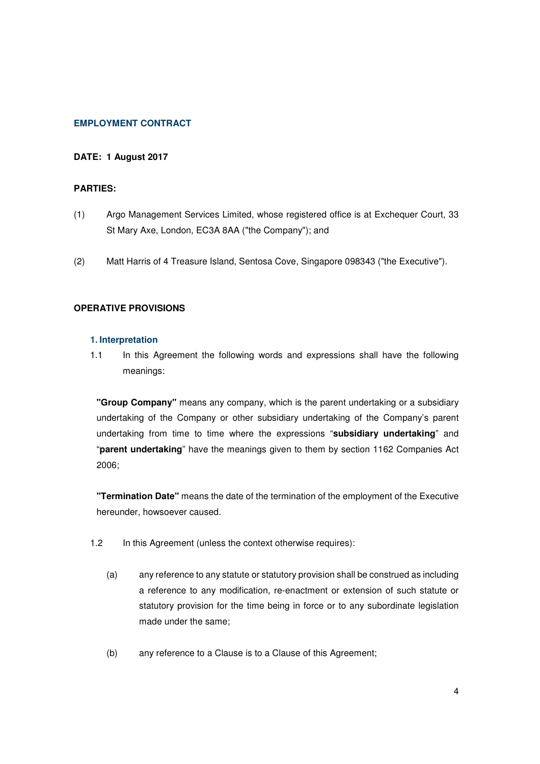# **EMPLOYMENT CONTRACT**

# **DATE: 1 August 2017**

# **PARTIES:**

- (1) Argo Management Services Limited, whose registered office is at Exchequer Court, 33 St Mary Axe, London, EC3A 8AA ("the Company"); and
- (2) Matt Harris of 4 Treasure Island, Sentosa Cove, Singapore 098343 ("the Executive").

## **OPERATIVE PROVISIONS**

## **1. Interpretation**

1.1 In this Agreement the following words and expressions shall have the following meanings:

**"Group Company"** means any company, which is the parent undertaking or a subsidiary undertaking of the Company or other subsidiary undertaking of the Company's parent undertaking from time to time where the expressions "**subsidiary undertaking**" and "**parent undertaking**" have the meanings given to them by section 1162 Companies Act 2006;

**"Termination Date"** means the date of the termination of the employment of the Executive hereunder, howsoever caused.

- 1.2 In this Agreement (unless the context otherwise requires):
	- (a) any reference to any statute or statutory provision shall be construed as including a reference to any modification, re-enactment or extension of such statute or statutory provision for the time being in force or to any subordinate legislation made under the same;
	- (b) any reference to a Clause is to a Clause of this Agreement;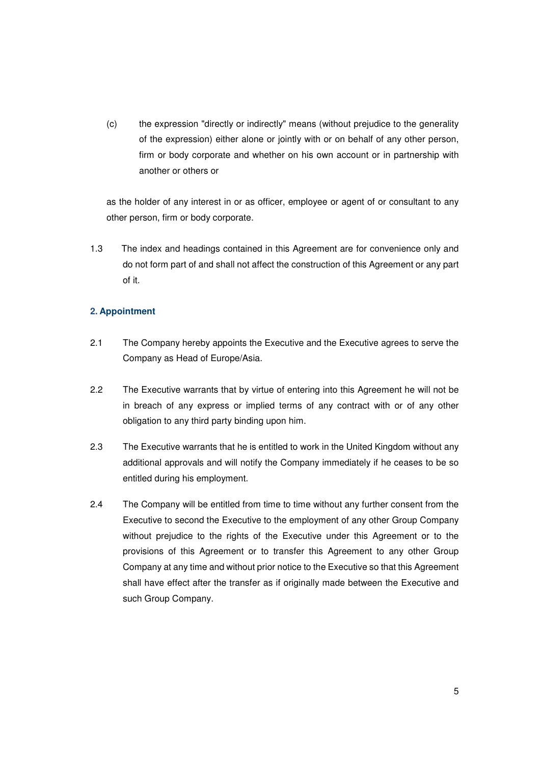(c) the expression "directly or indirectly" means (without prejudice to the generality of the expression) either alone or jointly with or on behalf of any other person, firm or body corporate and whether on his own account or in partnership with another or others or

as the holder of any interest in or as officer, employee or agent of or consultant to any other person, firm or body corporate.

1.3 The index and headings contained in this Agreement are for convenience only and do not form part of and shall not affect the construction of this Agreement or any part of it.

# **2. Appointment**

- 2.1 The Company hereby appoints the Executive and the Executive agrees to serve the Company as Head of Europe/Asia.
- 2.2 The Executive warrants that by virtue of entering into this Agreement he will not be in breach of any express or implied terms of any contract with or of any other obligation to any third party binding upon him.
- 2.3 The Executive warrants that he is entitled to work in the United Kingdom without any additional approvals and will notify the Company immediately if he ceases to be so entitled during his employment.
- 2.4 The Company will be entitled from time to time without any further consent from the Executive to second the Executive to the employment of any other Group Company without prejudice to the rights of the Executive under this Agreement or to the provisions of this Agreement or to transfer this Agreement to any other Group Company at any time and without prior notice to the Executive so that this Agreement shall have effect after the transfer as if originally made between the Executive and such Group Company.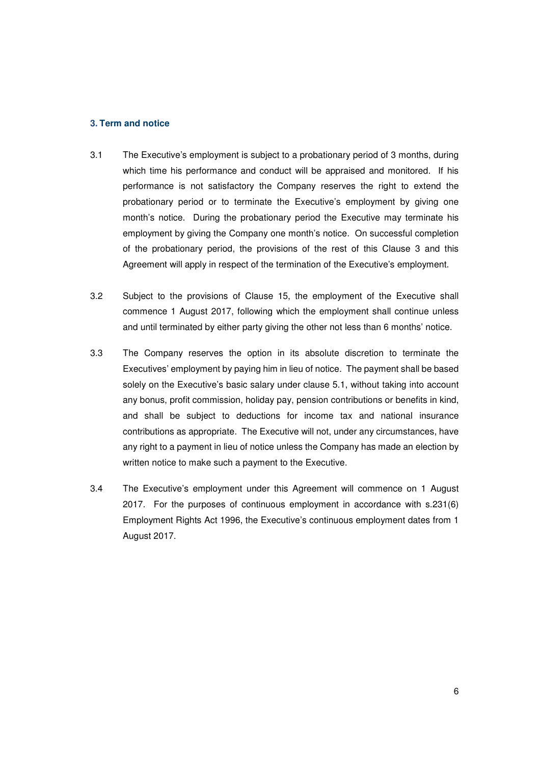# **3. Term and notice**

- 3.1 The Executive's employment is subject to a probationary period of 3 months, during which time his performance and conduct will be appraised and monitored. If his performance is not satisfactory the Company reserves the right to extend the probationary period or to terminate the Executive's employment by giving one month's notice. During the probationary period the Executive may terminate his employment by giving the Company one month's notice. On successful completion of the probationary period, the provisions of the rest of this Clause 3 and this Agreement will apply in respect of the termination of the Executive's employment.
- 3.2 Subject to the provisions of Clause 15, the employment of the Executive shall commence 1 August 2017, following which the employment shall continue unless and until terminated by either party giving the other not less than 6 months' notice.
- 3.3 The Company reserves the option in its absolute discretion to terminate the Executives' employment by paying him in lieu of notice. The payment shall be based solely on the Executive's basic salary under clause 5.1, without taking into account any bonus, profit commission, holiday pay, pension contributions or benefits in kind, and shall be subject to deductions for income tax and national insurance contributions as appropriate. The Executive will not, under any circumstances, have any right to a payment in lieu of notice unless the Company has made an election by written notice to make such a payment to the Executive.
- 3.4 The Executive's employment under this Agreement will commence on 1 August 2017. For the purposes of continuous employment in accordance with s.231(6) Employment Rights Act 1996, the Executive's continuous employment dates from 1 August 2017.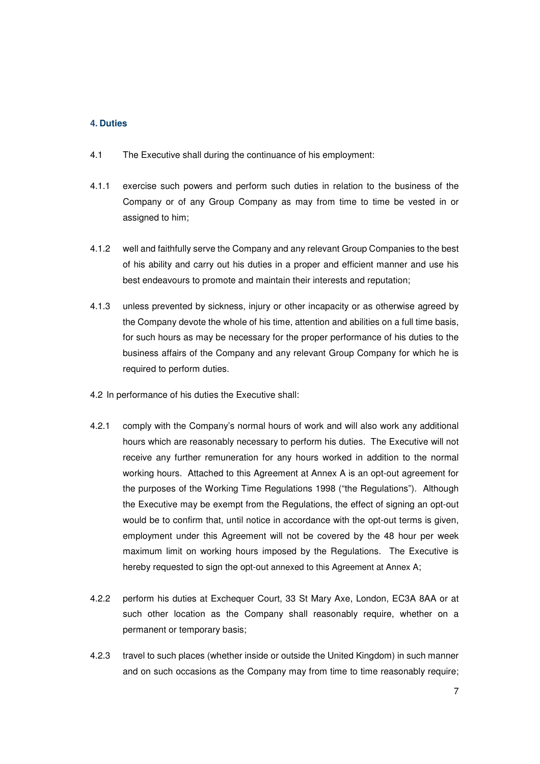# **4. Duties**

- 4.1 The Executive shall during the continuance of his employment:
- 4.1.1 exercise such powers and perform such duties in relation to the business of the Company or of any Group Company as may from time to time be vested in or assigned to him:
- 4.1.2 well and faithfully serve the Company and any relevant Group Companies to the best of his ability and carry out his duties in a proper and efficient manner and use his best endeavours to promote and maintain their interests and reputation;
- 4.1.3 unless prevented by sickness, injury or other incapacity or as otherwise agreed by the Company devote the whole of his time, attention and abilities on a full time basis, for such hours as may be necessary for the proper performance of his duties to the business affairs of the Company and any relevant Group Company for which he is required to perform duties.
- 4.2 In performance of his duties the Executive shall:
- 4.2.1 comply with the Company's normal hours of work and will also work any additional hours which are reasonably necessary to perform his duties. The Executive will not receive any further remuneration for any hours worked in addition to the normal working hours. Attached to this Agreement at Annex A is an opt-out agreement for the purposes of the Working Time Regulations 1998 ("the Regulations"). Although the Executive may be exempt from the Regulations, the effect of signing an opt-out would be to confirm that, until notice in accordance with the opt-out terms is given, employment under this Agreement will not be covered by the 48 hour per week maximum limit on working hours imposed by the Regulations. The Executive is hereby requested to sign the opt-out annexed to this Agreement at Annex A;
- 4.2.2 perform his duties at Exchequer Court, 33 St Mary Axe, London, EC3A 8AA or at such other location as the Company shall reasonably require, whether on a permanent or temporary basis;
- 4.2.3 travel to such places (whether inside or outside the United Kingdom) in such manner and on such occasions as the Company may from time to time reasonably require;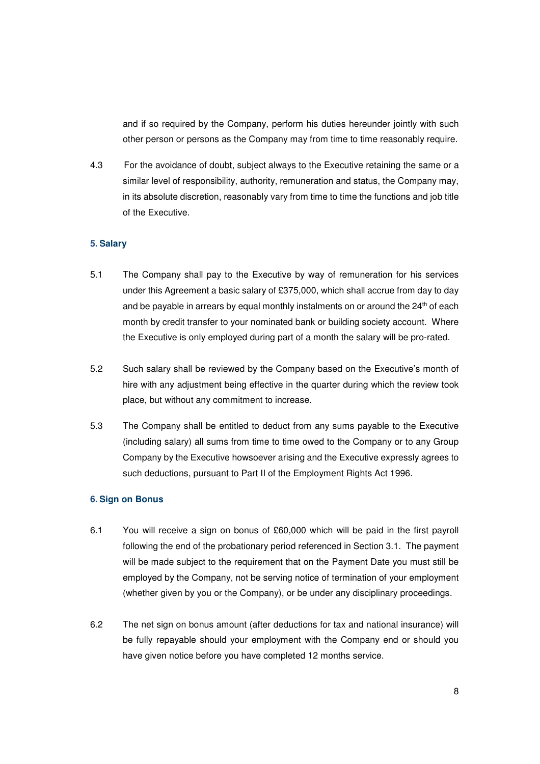and if so required by the Company, perform his duties hereunder jointly with such other person or persons as the Company may from time to time reasonably require.

4.3 For the avoidance of doubt, subject always to the Executive retaining the same or a similar level of responsibility, authority, remuneration and status, the Company may, in its absolute discretion, reasonably vary from time to time the functions and job title of the Executive.

# **5. Salary**

- 5.1 The Company shall pay to the Executive by way of remuneration for his services under this Agreement a basic salary of £375,000, which shall accrue from day to day and be payable in arrears by equal monthly instalments on or around the 24<sup>th</sup> of each month by credit transfer to your nominated bank or building society account. Where the Executive is only employed during part of a month the salary will be pro-rated.
- 5.2 Such salary shall be reviewed by the Company based on the Executive's month of hire with any adjustment being effective in the quarter during which the review took place, but without any commitment to increase.
- 5.3 The Company shall be entitled to deduct from any sums payable to the Executive (including salary) all sums from time to time owed to the Company or to any Group Company by the Executive howsoever arising and the Executive expressly agrees to such deductions, pursuant to Part II of the Employment Rights Act 1996.

## **6. Sign on Bonus**

- 6.1 You will receive a sign on bonus of £60,000 which will be paid in the first payroll following the end of the probationary period referenced in Section 3.1. The payment will be made subject to the requirement that on the Payment Date you must still be employed by the Company, not be serving notice of termination of your employment (whether given by you or the Company), or be under any disciplinary proceedings.
- 6.2 The net sign on bonus amount (after deductions for tax and national insurance) will be fully repayable should your employment with the Company end or should you have given notice before you have completed 12 months service.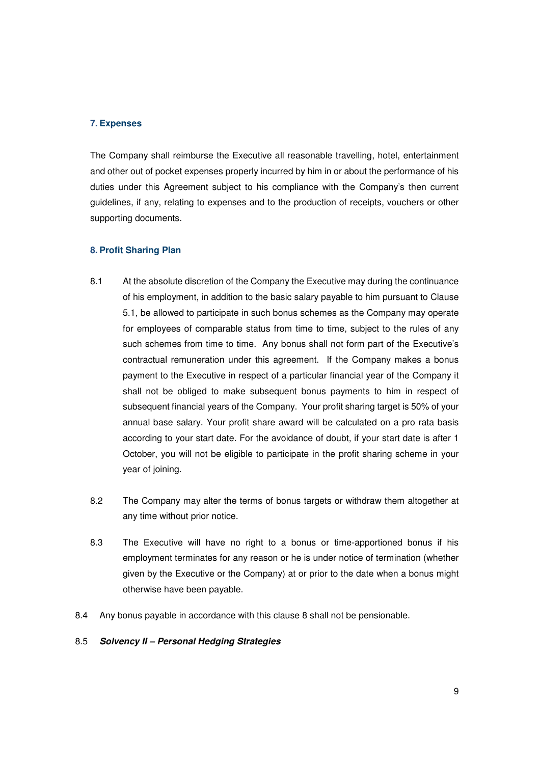# **7. Expenses**

The Company shall reimburse the Executive all reasonable travelling, hotel, entertainment and other out of pocket expenses properly incurred by him in or about the performance of his duties under this Agreement subject to his compliance with the Company's then current guidelines, if any, relating to expenses and to the production of receipts, vouchers or other supporting documents.

## **8. Profit Sharing Plan**

- 8.1 At the absolute discretion of the Company the Executive may during the continuance of his employment, in addition to the basic salary payable to him pursuant to Clause 5.1, be allowed to participate in such bonus schemes as the Company may operate for employees of comparable status from time to time, subject to the rules of any such schemes from time to time. Any bonus shall not form part of the Executive's contractual remuneration under this agreement. If the Company makes a bonus payment to the Executive in respect of a particular financial year of the Company it shall not be obliged to make subsequent bonus payments to him in respect of subsequent financial years of the Company. Your profit sharing target is 50% of your annual base salary. Your profit share award will be calculated on a pro rata basis according to your start date. For the avoidance of doubt, if your start date is after 1 October, you will not be eligible to participate in the profit sharing scheme in your year of joining.
- 8.2 The Company may alter the terms of bonus targets or withdraw them altogether at any time without prior notice.
- 8.3 The Executive will have no right to a bonus or time-apportioned bonus if his employment terminates for any reason or he is under notice of termination (whether given by the Executive or the Company) at or prior to the date when a bonus might otherwise have been payable.
- 8.4 Any bonus payable in accordance with this clause 8 shall not be pensionable.

## 8.5 **Solvency II – Personal Hedging Strategies**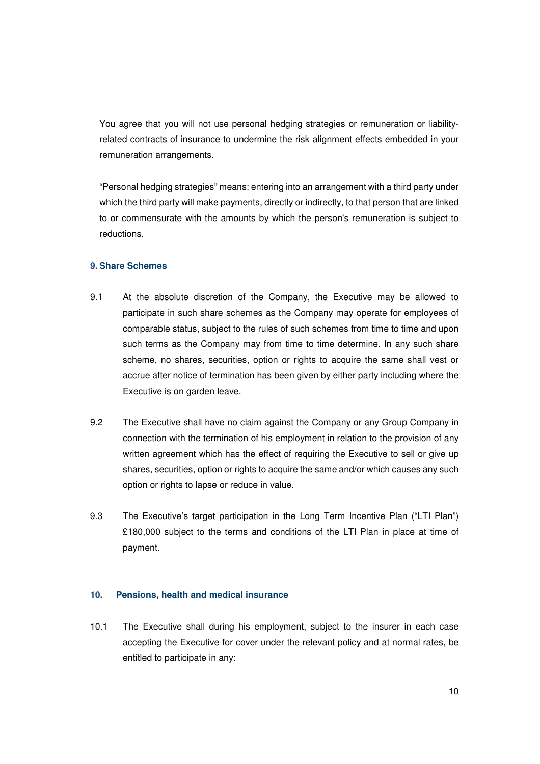You agree that you will not use personal hedging strategies or remuneration or liabilityrelated contracts of insurance to undermine the risk alignment effects embedded in your remuneration arrangements.

"Personal hedging strategies" means: entering into an arrangement with a third party under which the third party will make payments, directly or indirectly, to that person that are linked to or commensurate with the amounts by which the person's remuneration is subject to reductions.

# **9. Share Schemes**

- 9.1 At the absolute discretion of the Company, the Executive may be allowed to participate in such share schemes as the Company may operate for employees of comparable status, subject to the rules of such schemes from time to time and upon such terms as the Company may from time to time determine. In any such share scheme, no shares, securities, option or rights to acquire the same shall vest or accrue after notice of termination has been given by either party including where the Executive is on garden leave.
- 9.2 The Executive shall have no claim against the Company or any Group Company in connection with the termination of his employment in relation to the provision of any written agreement which has the effect of requiring the Executive to sell or give up shares, securities, option or rights to acquire the same and/or which causes any such option or rights to lapse or reduce in value.
- 9.3 The Executive's target participation in the Long Term Incentive Plan ("LTI Plan") £180,000 subject to the terms and conditions of the LTI Plan in place at time of payment.

## **10. Pensions, health and medical insurance**

10.1 The Executive shall during his employment, subject to the insurer in each case accepting the Executive for cover under the relevant policy and at normal rates, be entitled to participate in any: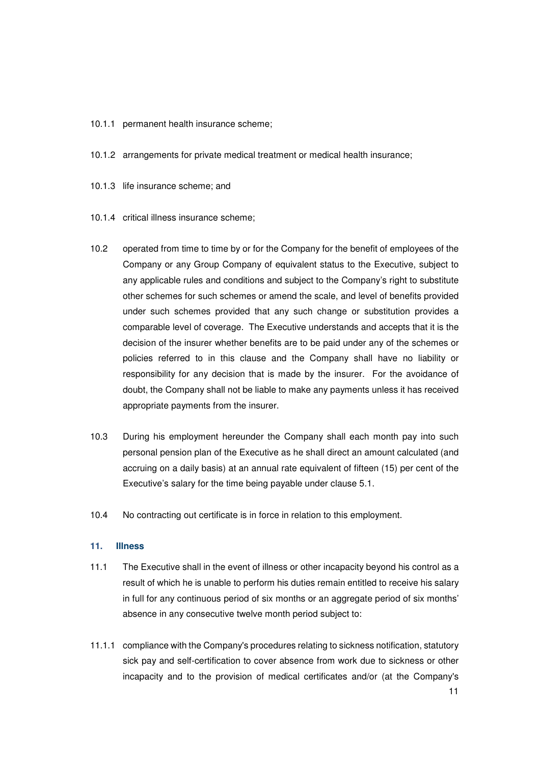- 10.1.1 permanent health insurance scheme;
- 10.1.2 arrangements for private medical treatment or medical health insurance;
- 10.1.3 life insurance scheme; and
- 10.1.4 critical illness insurance scheme;
- 10.2 operated from time to time by or for the Company for the benefit of employees of the Company or any Group Company of equivalent status to the Executive, subject to any applicable rules and conditions and subject to the Company's right to substitute other schemes for such schemes or amend the scale, and level of benefits provided under such schemes provided that any such change or substitution provides a comparable level of coverage. The Executive understands and accepts that it is the decision of the insurer whether benefits are to be paid under any of the schemes or policies referred to in this clause and the Company shall have no liability or responsibility for any decision that is made by the insurer. For the avoidance of doubt, the Company shall not be liable to make any payments unless it has received appropriate payments from the insurer.
- 10.3 During his employment hereunder the Company shall each month pay into such personal pension plan of the Executive as he shall direct an amount calculated (and accruing on a daily basis) at an annual rate equivalent of fifteen (15) per cent of the Executive's salary for the time being payable under clause 5.1.
- 10.4 No contracting out certificate is in force in relation to this employment.

# **11. Illness**

- 11.1 The Executive shall in the event of illness or other incapacity beyond his control as a result of which he is unable to perform his duties remain entitled to receive his salary in full for any continuous period of six months or an aggregate period of six months' absence in any consecutive twelve month period subject to:
- 11.1.1 compliance with the Company's procedures relating to sickness notification, statutory sick pay and self-certification to cover absence from work due to sickness or other incapacity and to the provision of medical certificates and/or (at the Company's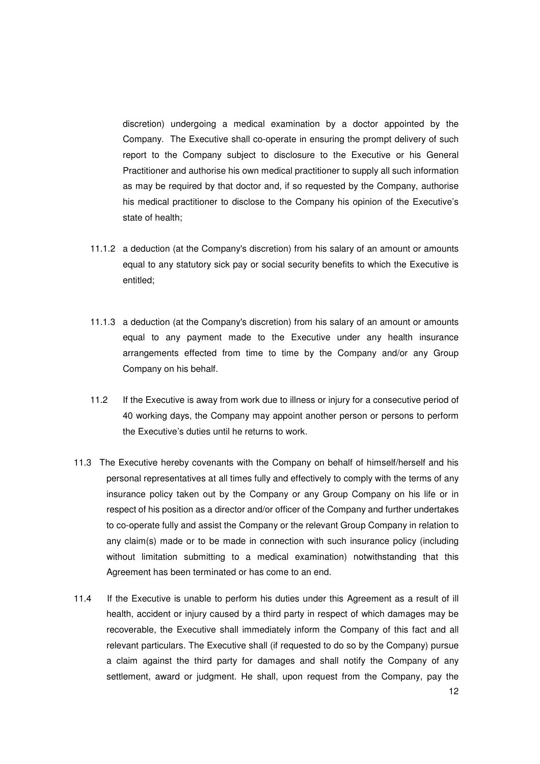discretion) undergoing a medical examination by a doctor appointed by the Company. The Executive shall co-operate in ensuring the prompt delivery of such report to the Company subject to disclosure to the Executive or his General Practitioner and authorise his own medical practitioner to supply all such information as may be required by that doctor and, if so requested by the Company, authorise his medical practitioner to disclose to the Company his opinion of the Executive's state of health;

- 11.1.2 a deduction (at the Company's discretion) from his salary of an amount or amounts equal to any statutory sick pay or social security benefits to which the Executive is entitled;
- 11.1.3 a deduction (at the Company's discretion) from his salary of an amount or amounts equal to any payment made to the Executive under any health insurance arrangements effected from time to time by the Company and/or any Group Company on his behalf.
- 11.2 If the Executive is away from work due to illness or injury for a consecutive period of 40 working days, the Company may appoint another person or persons to perform the Executive's duties until he returns to work.
- 11.3 The Executive hereby covenants with the Company on behalf of himself/herself and his personal representatives at all times fully and effectively to comply with the terms of any insurance policy taken out by the Company or any Group Company on his life or in respect of his position as a director and/or officer of the Company and further undertakes to co-operate fully and assist the Company or the relevant Group Company in relation to any claim(s) made or to be made in connection with such insurance policy (including without limitation submitting to a medical examination) notwithstanding that this Agreement has been terminated or has come to an end.
- 11.4 If the Executive is unable to perform his duties under this Agreement as a result of ill health, accident or injury caused by a third party in respect of which damages may be recoverable, the Executive shall immediately inform the Company of this fact and all relevant particulars. The Executive shall (if requested to do so by the Company) pursue a claim against the third party for damages and shall notify the Company of any settlement, award or judgment. He shall, upon request from the Company, pay the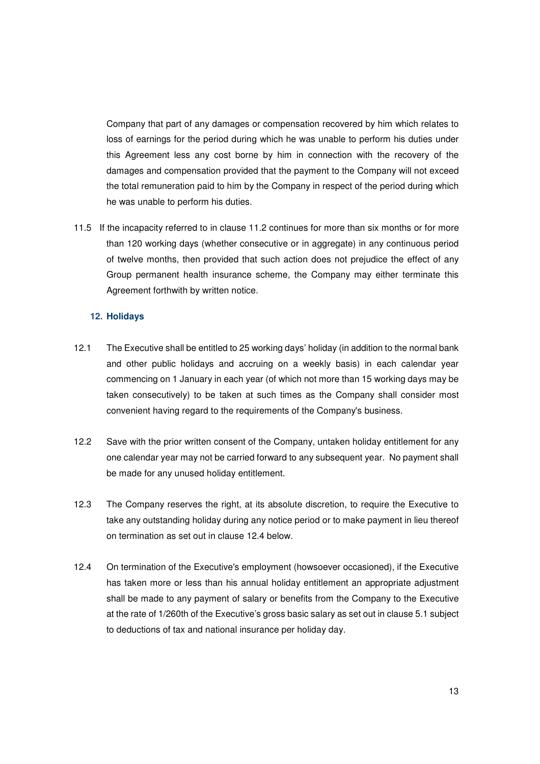Company that part of any damages or compensation recovered by him which relates to loss of earnings for the period during which he was unable to perform his duties under this Agreement less any cost borne by him in connection with the recovery of the damages and compensation provided that the payment to the Company will not exceed the total remuneration paid to him by the Company in respect of the period during which he was unable to perform his duties.

11.5 If the incapacity referred to in clause 11.2 continues for more than six months or for more than 120 working days (whether consecutive or in aggregate) in any continuous period of twelve months, then provided that such action does not prejudice the effect of any Group permanent health insurance scheme, the Company may either terminate this Agreement forthwith by written notice.

## **12. Holidays**

- 12.1 The Executive shall be entitled to 25 working days' holiday (in addition to the normal bank and other public holidays and accruing on a weekly basis) in each calendar year commencing on 1 January in each year (of which not more than 15 working days may be taken consecutively) to be taken at such times as the Company shall consider most convenient having regard to the requirements of the Company's business.
- 12.2 Save with the prior written consent of the Company, untaken holiday entitlement for any one calendar year may not be carried forward to any subsequent year. No payment shall be made for any unused holiday entitlement.
- 12.3 The Company reserves the right, at its absolute discretion, to require the Executive to take any outstanding holiday during any notice period or to make payment in lieu thereof on termination as set out in clause 12.4 below.
- 12.4 On termination of the Executive's employment (howsoever occasioned), if the Executive has taken more or less than his annual holiday entitlement an appropriate adjustment shall be made to any payment of salary or benefits from the Company to the Executive at the rate of 1/260th of the Executive's gross basic salary as set out in clause 5.1 subject to deductions of tax and national insurance per holiday day.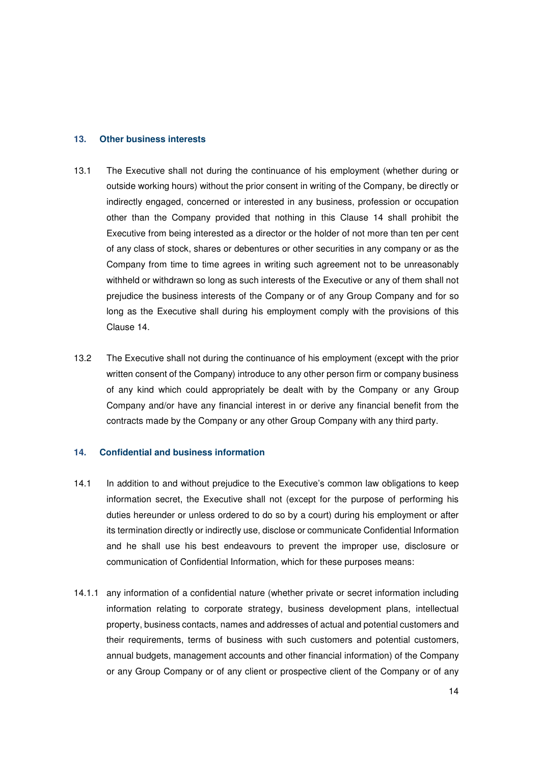#### **13. Other business interests**

- 13.1 The Executive shall not during the continuance of his employment (whether during or outside working hours) without the prior consent in writing of the Company, be directly or indirectly engaged, concerned or interested in any business, profession or occupation other than the Company provided that nothing in this Clause 14 shall prohibit the Executive from being interested as a director or the holder of not more than ten per cent of any class of stock, shares or debentures or other securities in any company or as the Company from time to time agrees in writing such agreement not to be unreasonably withheld or withdrawn so long as such interests of the Executive or any of them shall not prejudice the business interests of the Company or of any Group Company and for so long as the Executive shall during his employment comply with the provisions of this Clause 14.
- 13.2 The Executive shall not during the continuance of his employment (except with the prior written consent of the Company) introduce to any other person firm or company business of any kind which could appropriately be dealt with by the Company or any Group Company and/or have any financial interest in or derive any financial benefit from the contracts made by the Company or any other Group Company with any third party.

# **14. Confidential and business information**

- 14.1 In addition to and without prejudice to the Executive's common law obligations to keep information secret, the Executive shall not (except for the purpose of performing his duties hereunder or unless ordered to do so by a court) during his employment or after its termination directly or indirectly use, disclose or communicate Confidential Information and he shall use his best endeavours to prevent the improper use, disclosure or communication of Confidential Information, which for these purposes means:
- 14.1.1 any information of a confidential nature (whether private or secret information including information relating to corporate strategy, business development plans, intellectual property, business contacts, names and addresses of actual and potential customers and their requirements, terms of business with such customers and potential customers, annual budgets, management accounts and other financial information) of the Company or any Group Company or of any client or prospective client of the Company or of any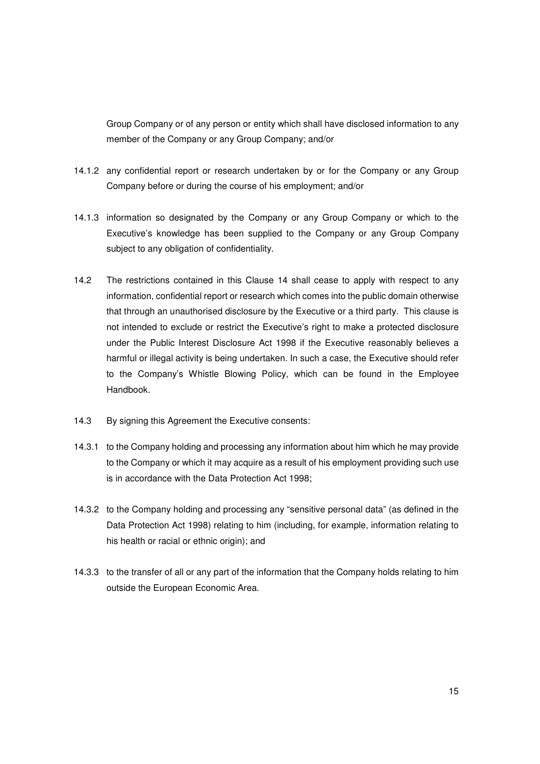Group Company or of any person or entity which shall have disclosed information to any member of the Company or any Group Company; and/or

- 14.1.2 any confidential report or research undertaken by or for the Company or any Group Company before or during the course of his employment; and/or
- 14.1.3 information so designated by the Company or any Group Company or which to the Executive's knowledge has been supplied to the Company or any Group Company subject to any obligation of confidentiality.
- 14.2 The restrictions contained in this Clause 14 shall cease to apply with respect to any information, confidential report or research which comes into the public domain otherwise that through an unauthorised disclosure by the Executive or a third party. This clause is not intended to exclude or restrict the Executive's right to make a protected disclosure under the Public Interest Disclosure Act 1998 if the Executive reasonably believes a harmful or illegal activity is being undertaken. In such a case, the Executive should refer to the Company's Whistle Blowing Policy, which can be found in the Employee Handbook.
- 14.3 By signing this Agreement the Executive consents:
- 14.3.1 to the Company holding and processing any information about him which he may provide to the Company or which it may acquire as a result of his employment providing such use is in accordance with the Data Protection Act 1998;
- 14.3.2 to the Company holding and processing any "sensitive personal data" (as defined in the Data Protection Act 1998) relating to him (including, for example, information relating to his health or racial or ethnic origin); and
- 14.3.3 to the transfer of all or any part of the information that the Company holds relating to him outside the European Economic Area.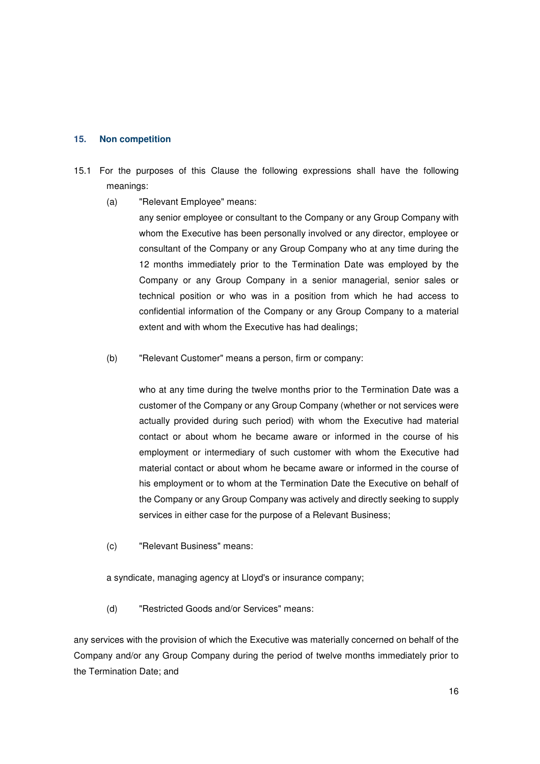## **15. Non competition**

- 15.1 For the purposes of this Clause the following expressions shall have the following meanings:
	- (a) "Relevant Employee" means:

any senior employee or consultant to the Company or any Group Company with whom the Executive has been personally involved or any director, employee or consultant of the Company or any Group Company who at any time during the 12 months immediately prior to the Termination Date was employed by the Company or any Group Company in a senior managerial, senior sales or technical position or who was in a position from which he had access to confidential information of the Company or any Group Company to a material extent and with whom the Executive has had dealings;

(b) "Relevant Customer" means a person, firm or company:

who at any time during the twelve months prior to the Termination Date was a customer of the Company or any Group Company (whether or not services were actually provided during such period) with whom the Executive had material contact or about whom he became aware or informed in the course of his employment or intermediary of such customer with whom the Executive had material contact or about whom he became aware or informed in the course of his employment or to whom at the Termination Date the Executive on behalf of the Company or any Group Company was actively and directly seeking to supply services in either case for the purpose of a Relevant Business;

(c) "Relevant Business" means:

a syndicate, managing agency at Lloyd's or insurance company;

(d) "Restricted Goods and/or Services" means:

any services with the provision of which the Executive was materially concerned on behalf of the Company and/or any Group Company during the period of twelve months immediately prior to the Termination Date; and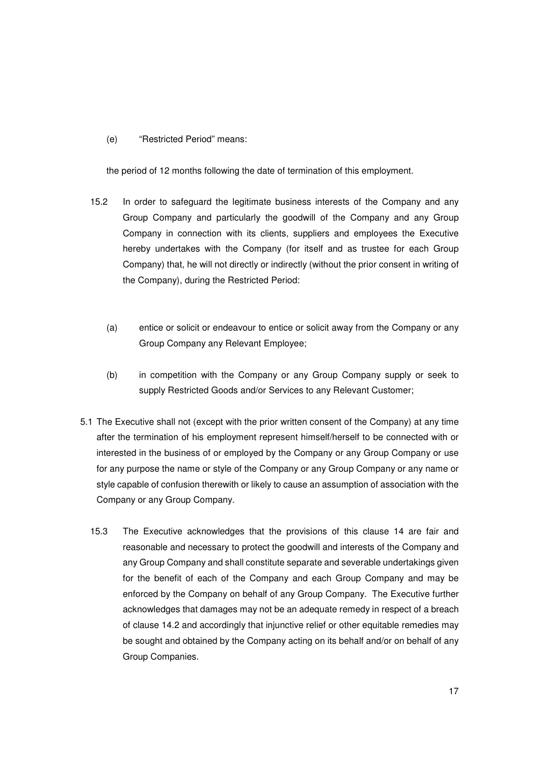(e) "Restricted Period" means:

the period of 12 months following the date of termination of this employment.

- 15.2 In order to safeguard the legitimate business interests of the Company and any Group Company and particularly the goodwill of the Company and any Group Company in connection with its clients, suppliers and employees the Executive hereby undertakes with the Company (for itself and as trustee for each Group Company) that, he will not directly or indirectly (without the prior consent in writing of the Company), during the Restricted Period:
	- (a) entice or solicit or endeavour to entice or solicit away from the Company or any Group Company any Relevant Employee;
	- (b) in competition with the Company or any Group Company supply or seek to supply Restricted Goods and/or Services to any Relevant Customer;
- 5.1 The Executive shall not (except with the prior written consent of the Company) at any time after the termination of his employment represent himself/herself to be connected with or interested in the business of or employed by the Company or any Group Company or use for any purpose the name or style of the Company or any Group Company or any name or style capable of confusion therewith or likely to cause an assumption of association with the Company or any Group Company.
	- 15.3 The Executive acknowledges that the provisions of this clause 14 are fair and reasonable and necessary to protect the goodwill and interests of the Company and any Group Company and shall constitute separate and severable undertakings given for the benefit of each of the Company and each Group Company and may be enforced by the Company on behalf of any Group Company. The Executive further acknowledges that damages may not be an adequate remedy in respect of a breach of clause 14.2 and accordingly that injunctive relief or other equitable remedies may be sought and obtained by the Company acting on its behalf and/or on behalf of any Group Companies.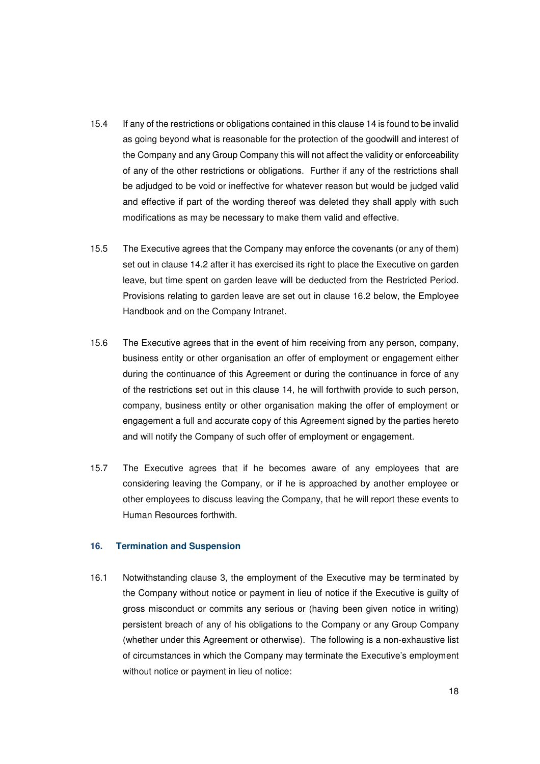- 15.4 If any of the restrictions or obligations contained in this clause 14 is found to be invalid as going beyond what is reasonable for the protection of the goodwill and interest of the Company and any Group Company this will not affect the validity or enforceability of any of the other restrictions or obligations. Further if any of the restrictions shall be adjudged to be void or ineffective for whatever reason but would be judged valid and effective if part of the wording thereof was deleted they shall apply with such modifications as may be necessary to make them valid and effective.
- 15.5 The Executive agrees that the Company may enforce the covenants (or any of them) set out in clause 14.2 after it has exercised its right to place the Executive on garden leave, but time spent on garden leave will be deducted from the Restricted Period. Provisions relating to garden leave are set out in clause 16.2 below, the Employee Handbook and on the Company Intranet.
- 15.6 The Executive agrees that in the event of him receiving from any person, company, business entity or other organisation an offer of employment or engagement either during the continuance of this Agreement or during the continuance in force of any of the restrictions set out in this clause 14, he will forthwith provide to such person, company, business entity or other organisation making the offer of employment or engagement a full and accurate copy of this Agreement signed by the parties hereto and will notify the Company of such offer of employment or engagement.
- 15.7 The Executive agrees that if he becomes aware of any employees that are considering leaving the Company, or if he is approached by another employee or other employees to discuss leaving the Company, that he will report these events to Human Resources forthwith.

## **16. Termination and Suspension**

16.1 Notwithstanding clause 3, the employment of the Executive may be terminated by the Company without notice or payment in lieu of notice if the Executive is guilty of gross misconduct or commits any serious or (having been given notice in writing) persistent breach of any of his obligations to the Company or any Group Company (whether under this Agreement or otherwise). The following is a non-exhaustive list of circumstances in which the Company may terminate the Executive's employment without notice or payment in lieu of notice: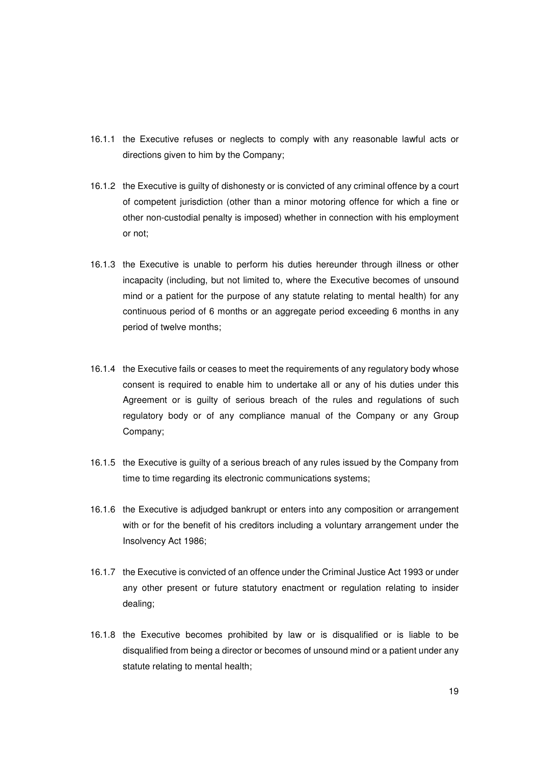- 16.1.1 the Executive refuses or neglects to comply with any reasonable lawful acts or directions given to him by the Company;
- 16.1.2 the Executive is guilty of dishonesty or is convicted of any criminal offence by a court of competent jurisdiction (other than a minor motoring offence for which a fine or other non-custodial penalty is imposed) whether in connection with his employment or not;
- 16.1.3 the Executive is unable to perform his duties hereunder through illness or other incapacity (including, but not limited to, where the Executive becomes of unsound mind or a patient for the purpose of any statute relating to mental health) for any continuous period of 6 months or an aggregate period exceeding 6 months in any period of twelve months;
- 16.1.4 the Executive fails or ceases to meet the requirements of any regulatory body whose consent is required to enable him to undertake all or any of his duties under this Agreement or is guilty of serious breach of the rules and regulations of such regulatory body or of any compliance manual of the Company or any Group Company;
- 16.1.5 the Executive is guilty of a serious breach of any rules issued by the Company from time to time regarding its electronic communications systems;
- 16.1.6 the Executive is adjudged bankrupt or enters into any composition or arrangement with or for the benefit of his creditors including a voluntary arrangement under the Insolvency Act 1986;
- 16.1.7 the Executive is convicted of an offence under the Criminal Justice Act 1993 or under any other present or future statutory enactment or regulation relating to insider dealing;
- 16.1.8 the Executive becomes prohibited by law or is disqualified or is liable to be disqualified from being a director or becomes of unsound mind or a patient under any statute relating to mental health;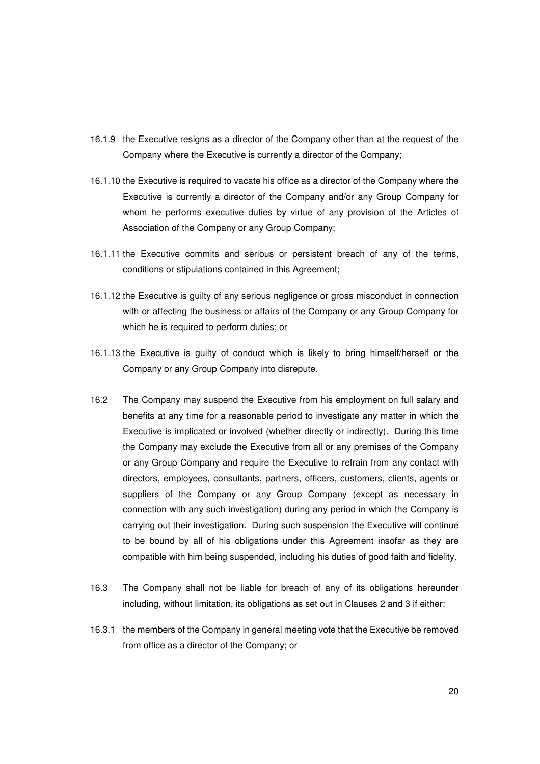- 16.1.9 the Executive resigns as a director of the Company other than at the request of the Company where the Executive is currently a director of the Company;
- 16.1.10 the Executive is required to vacate his office as a director of the Company where the Executive is currently a director of the Company and/or any Group Company for whom he performs executive duties by virtue of any provision of the Articles of Association of the Company or any Group Company;
- 16.1.11 the Executive commits and serious or persistent breach of any of the terms, conditions or stipulations contained in this Agreement;
- 16.1.12 the Executive is guilty of any serious negligence or gross misconduct in connection with or affecting the business or affairs of the Company or any Group Company for which he is required to perform duties; or
- 16.1.13 the Executive is guilty of conduct which is likely to bring himself/herself or the Company or any Group Company into disrepute.
- 16.2 The Company may suspend the Executive from his employment on full salary and benefits at any time for a reasonable period to investigate any matter in which the Executive is implicated or involved (whether directly or indirectly). During this time the Company may exclude the Executive from all or any premises of the Company or any Group Company and require the Executive to refrain from any contact with directors, employees, consultants, partners, officers, customers, clients, agents or suppliers of the Company or any Group Company (except as necessary in connection with any such investigation) during any period in which the Company is carrying out their investigation. During such suspension the Executive will continue to be bound by all of his obligations under this Agreement insofar as they are compatible with him being suspended, including his duties of good faith and fidelity.
- 16.3 The Company shall not be liable for breach of any of its obligations hereunder including, without limitation, its obligations as set out in Clauses 2 and 3 if either:
- 16.3.1 the members of the Company in general meeting vote that the Executive be removed from office as a director of the Company; or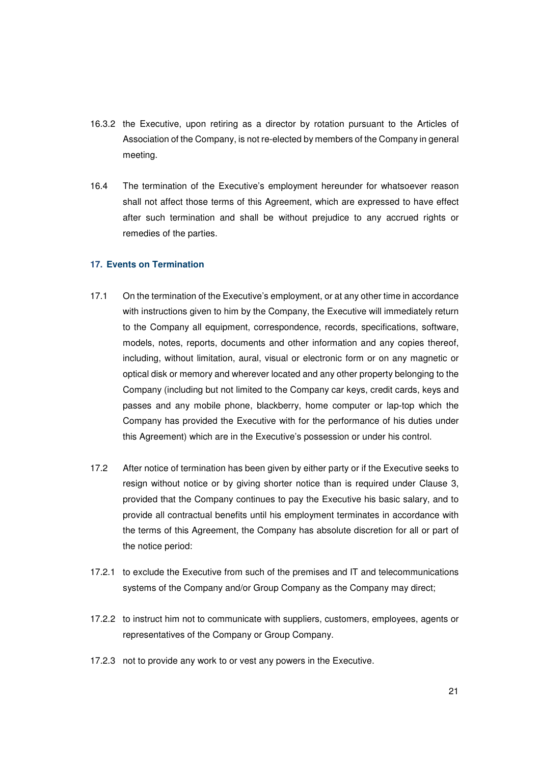- 16.3.2 the Executive, upon retiring as a director by rotation pursuant to the Articles of Association of the Company, is not re-elected by members of the Company in general meeting.
- 16.4 The termination of the Executive's employment hereunder for whatsoever reason shall not affect those terms of this Agreement, which are expressed to have effect after such termination and shall be without prejudice to any accrued rights or remedies of the parties.

## **17. Events on Termination**

- 17.1 On the termination of the Executive's employment, or at any other time in accordance with instructions given to him by the Company, the Executive will immediately return to the Company all equipment, correspondence, records, specifications, software, models, notes, reports, documents and other information and any copies thereof, including, without limitation, aural, visual or electronic form or on any magnetic or optical disk or memory and wherever located and any other property belonging to the Company (including but not limited to the Company car keys, credit cards, keys and passes and any mobile phone, blackberry, home computer or lap-top which the Company has provided the Executive with for the performance of his duties under this Agreement) which are in the Executive's possession or under his control.
- 17.2 After notice of termination has been given by either party or if the Executive seeks to resign without notice or by giving shorter notice than is required under Clause 3, provided that the Company continues to pay the Executive his basic salary, and to provide all contractual benefits until his employment terminates in accordance with the terms of this Agreement, the Company has absolute discretion for all or part of the notice period:
- 17.2.1 to exclude the Executive from such of the premises and IT and telecommunications systems of the Company and/or Group Company as the Company may direct;
- 17.2.2 to instruct him not to communicate with suppliers, customers, employees, agents or representatives of the Company or Group Company.
- 17.2.3 not to provide any work to or vest any powers in the Executive.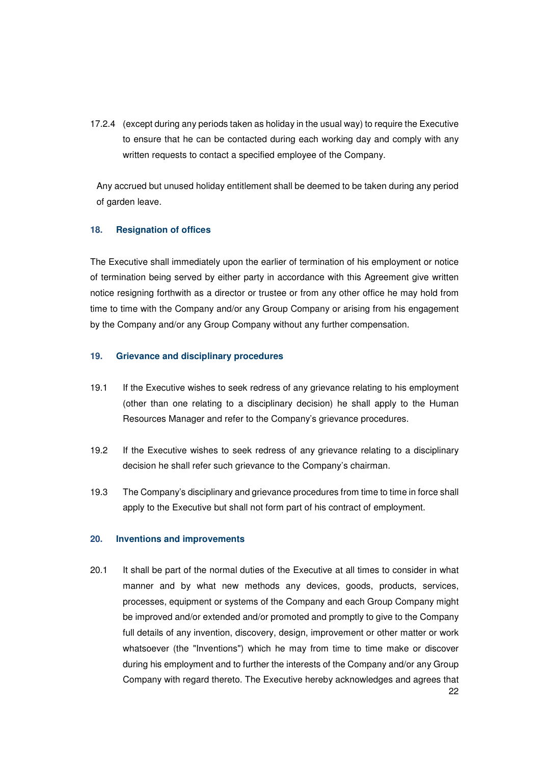17.2.4 (except during any periods taken as holiday in the usual way) to require the Executive to ensure that he can be contacted during each working day and comply with any written requests to contact a specified employee of the Company.

Any accrued but unused holiday entitlement shall be deemed to be taken during any period of garden leave.

## **18. Resignation of offices**

The Executive shall immediately upon the earlier of termination of his employment or notice of termination being served by either party in accordance with this Agreement give written notice resigning forthwith as a director or trustee or from any other office he may hold from time to time with the Company and/or any Group Company or arising from his engagement by the Company and/or any Group Company without any further compensation.

#### **19. Grievance and disciplinary procedures**

- 19.1 If the Executive wishes to seek redress of any grievance relating to his employment (other than one relating to a disciplinary decision) he shall apply to the Human Resources Manager and refer to the Company's grievance procedures.
- 19.2 If the Executive wishes to seek redress of any grievance relating to a disciplinary decision he shall refer such grievance to the Company's chairman.
- 19.3 The Company's disciplinary and grievance procedures from time to time in force shall apply to the Executive but shall not form part of his contract of employment.

### **20. Inventions and improvements**

22 20.1 It shall be part of the normal duties of the Executive at all times to consider in what manner and by what new methods any devices, goods, products, services, processes, equipment or systems of the Company and each Group Company might be improved and/or extended and/or promoted and promptly to give to the Company full details of any invention, discovery, design, improvement or other matter or work whatsoever (the "Inventions") which he may from time to time make or discover during his employment and to further the interests of the Company and/or any Group Company with regard thereto. The Executive hereby acknowledges and agrees that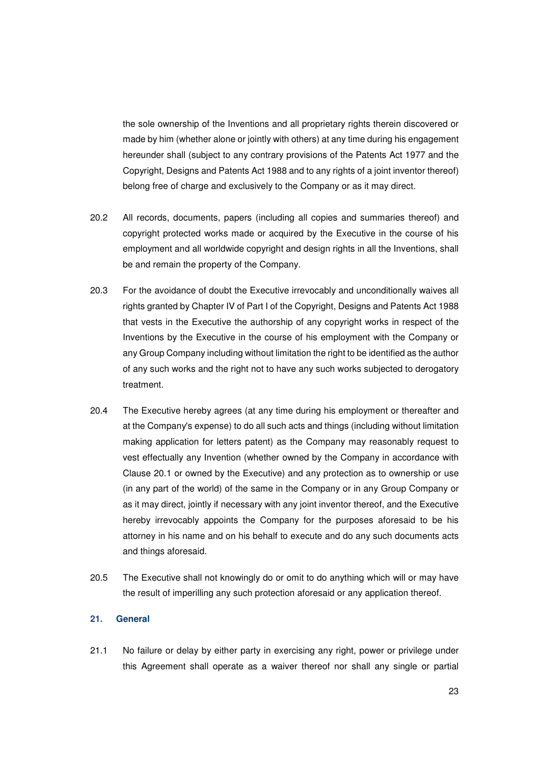the sole ownership of the Inventions and all proprietary rights therein discovered or made by him (whether alone or jointly with others) at any time during his engagement hereunder shall (subject to any contrary provisions of the Patents Act 1977 and the Copyright, Designs and Patents Act 1988 and to any rights of a joint inventor thereof) belong free of charge and exclusively to the Company or as it may direct.

- 20.2 All records, documents, papers (including all copies and summaries thereof) and copyright protected works made or acquired by the Executive in the course of his employment and all worldwide copyright and design rights in all the Inventions, shall be and remain the property of the Company.
- 20.3 For the avoidance of doubt the Executive irrevocably and unconditionally waives all rights granted by Chapter IV of Part I of the Copyright, Designs and Patents Act 1988 that vests in the Executive the authorship of any copyright works in respect of the Inventions by the Executive in the course of his employment with the Company or any Group Company including without limitation the right to be identified as the author of any such works and the right not to have any such works subjected to derogatory treatment.
- 20.4 The Executive hereby agrees (at any time during his employment or thereafter and at the Company's expense) to do all such acts and things (including without limitation making application for letters patent) as the Company may reasonably request to vest effectually any Invention (whether owned by the Company in accordance with Clause 20.1 or owned by the Executive) and any protection as to ownership or use (in any part of the world) of the same in the Company or in any Group Company or as it may direct, jointly if necessary with any joint inventor thereof, and the Executive hereby irrevocably appoints the Company for the purposes aforesaid to be his attorney in his name and on his behalf to execute and do any such documents acts and things aforesaid.
- 20.5 The Executive shall not knowingly do or omit to do anything which will or may have the result of imperilling any such protection aforesaid or any application thereof.

## **21. General**

21.1 No failure or delay by either party in exercising any right, power or privilege under this Agreement shall operate as a waiver thereof nor shall any single or partial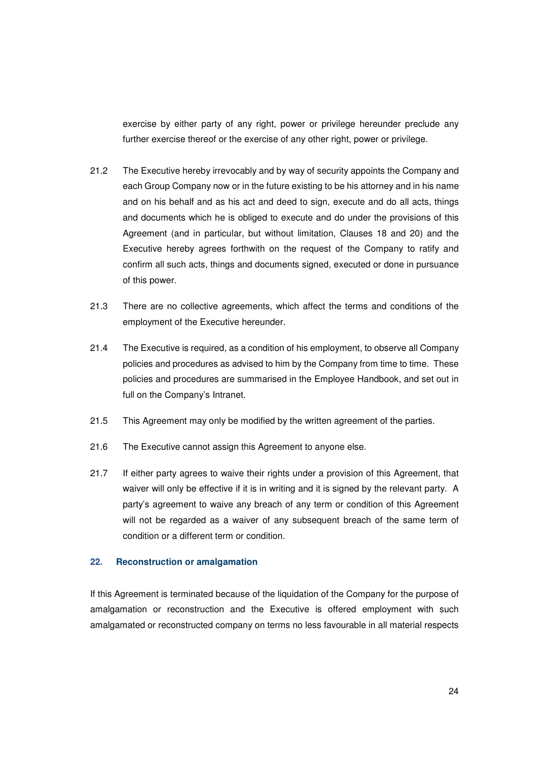exercise by either party of any right, power or privilege hereunder preclude any further exercise thereof or the exercise of any other right, power or privilege.

- 21.2 The Executive hereby irrevocably and by way of security appoints the Company and each Group Company now or in the future existing to be his attorney and in his name and on his behalf and as his act and deed to sign, execute and do all acts, things and documents which he is obliged to execute and do under the provisions of this Agreement (and in particular, but without limitation, Clauses 18 and 20) and the Executive hereby agrees forthwith on the request of the Company to ratify and confirm all such acts, things and documents signed, executed or done in pursuance of this power.
- 21.3 There are no collective agreements, which affect the terms and conditions of the employment of the Executive hereunder.
- 21.4 The Executive is required, as a condition of his employment, to observe all Company policies and procedures as advised to him by the Company from time to time. These policies and procedures are summarised in the Employee Handbook, and set out in full on the Company's Intranet.
- 21.5 This Agreement may only be modified by the written agreement of the parties.
- 21.6 The Executive cannot assign this Agreement to anyone else.
- 21.7 If either party agrees to waive their rights under a provision of this Agreement, that waiver will only be effective if it is in writing and it is signed by the relevant party. A party's agreement to waive any breach of any term or condition of this Agreement will not be regarded as a waiver of any subsequent breach of the same term of condition or a different term or condition.

# **22. Reconstruction or amalgamation**

If this Agreement is terminated because of the liquidation of the Company for the purpose of amalgamation or reconstruction and the Executive is offered employment with such amalgamated or reconstructed company on terms no less favourable in all material respects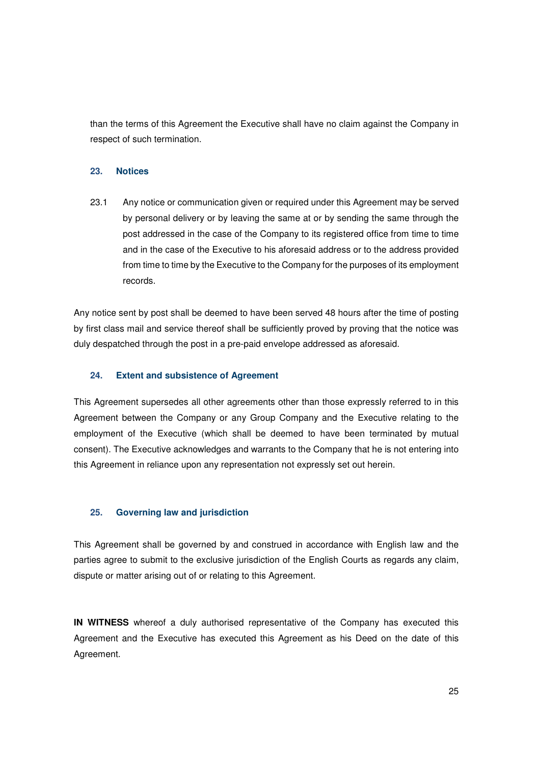than the terms of this Agreement the Executive shall have no claim against the Company in respect of such termination.

# **23. Notices**

23.1 Any notice or communication given or required under this Agreement may be served by personal delivery or by leaving the same at or by sending the same through the post addressed in the case of the Company to its registered office from time to time and in the case of the Executive to his aforesaid address or to the address provided from time to time by the Executive to the Company for the purposes of its employment records.

Any notice sent by post shall be deemed to have been served 48 hours after the time of posting by first class mail and service thereof shall be sufficiently proved by proving that the notice was duly despatched through the post in a pre-paid envelope addressed as aforesaid.

## **24. Extent and subsistence of Agreement**

This Agreement supersedes all other agreements other than those expressly referred to in this Agreement between the Company or any Group Company and the Executive relating to the employment of the Executive (which shall be deemed to have been terminated by mutual consent). The Executive acknowledges and warrants to the Company that he is not entering into this Agreement in reliance upon any representation not expressly set out herein.

# **25. Governing law and jurisdiction**

This Agreement shall be governed by and construed in accordance with English law and the parties agree to submit to the exclusive jurisdiction of the English Courts as regards any claim, dispute or matter arising out of or relating to this Agreement.

**IN WITNESS** whereof a duly authorised representative of the Company has executed this Agreement and the Executive has executed this Agreement as his Deed on the date of this Agreement.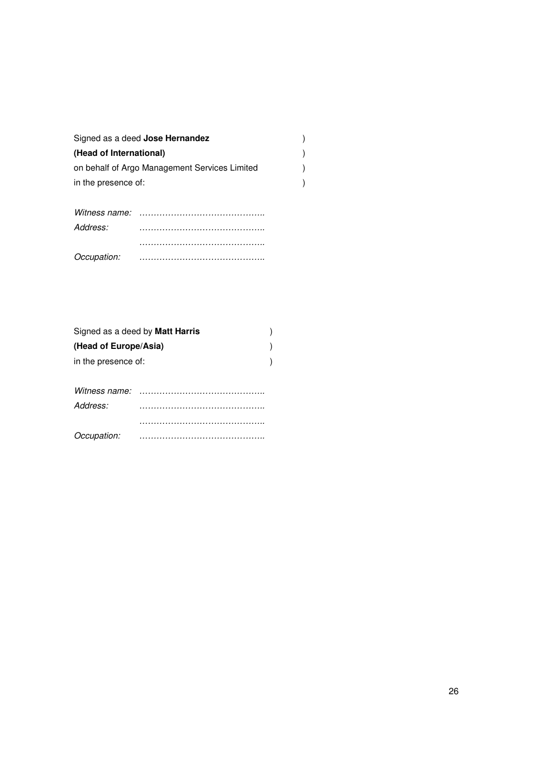| Signed as a deed <b>Jose Hernandez</b>        |  |
|-----------------------------------------------|--|
| (Head of International)                       |  |
| on behalf of Argo Management Services Limited |  |
| in the presence of:                           |  |
|                                               |  |

| Address: |  |
|----------|--|
|          |  |
|          |  |

| Signed as a deed by Matt Harris |  |
|---------------------------------|--|
| (Head of Europe/Asia)           |  |
| in the presence of:             |  |
| Mithoee nama                    |  |

| <i>Address:</i> |  |
|-----------------|--|
|                 |  |
|                 |  |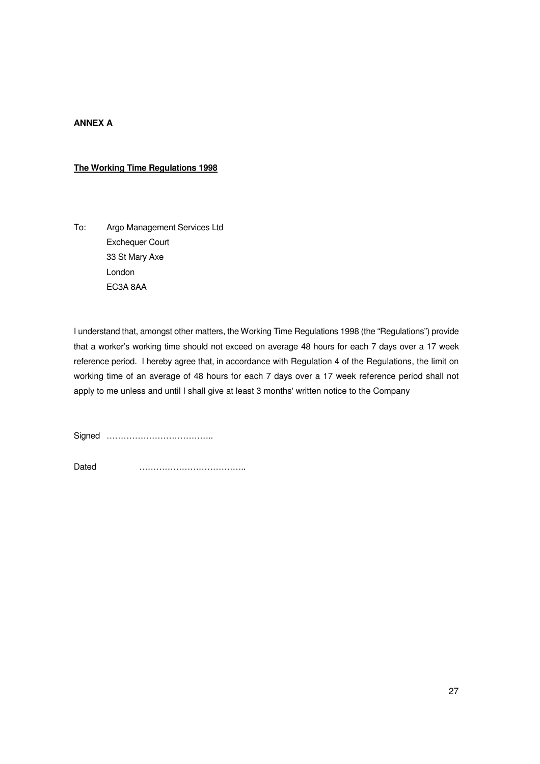## **ANNEX A**

## **The Working Time Regulations 1998**

To: Argo Management Services Ltd Exchequer Court 33 St Mary Axe London EC3A 8AA

I understand that, amongst other matters, the Working Time Regulations 1998 (the "Regulations") provide that a worker's working time should not exceed on average 48 hours for each 7 days over a 17 week reference period. I hereby agree that, in accordance with Regulation 4 of the Regulations, the limit on working time of an average of 48 hours for each 7 days over a 17 week reference period shall not apply to me unless and until I shall give at least 3 months' written notice to the Company

Signed ………………………………..

Dated ………………………………..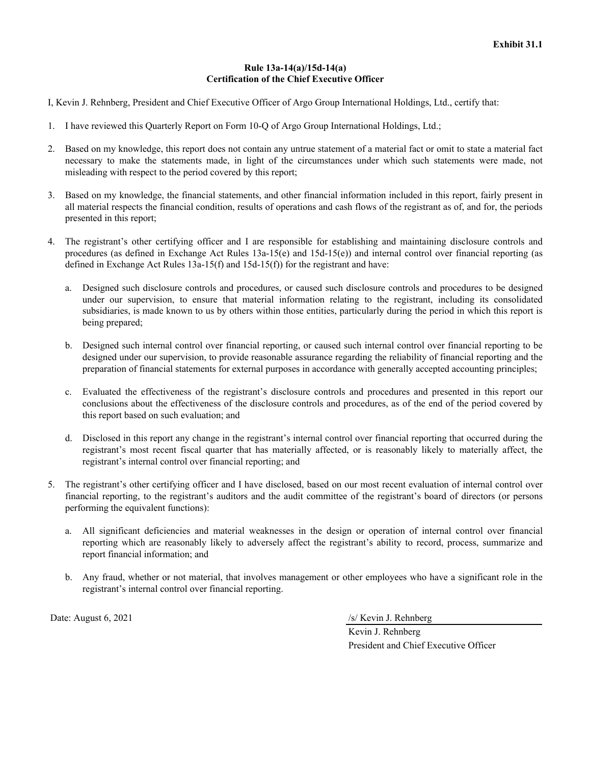## **Rule 13a-14(a)/15d-14(a) Certification of the Chief Executive Officer**

- I, Kevin J. Rehnberg, President and Chief Executive Officer of Argo Group International Holdings, Ltd., certify that:
- 1. I have reviewed this Quarterly Report on Form 10-Q of Argo Group International Holdings, Ltd.;
- 2. Based on my knowledge, this report does not contain any untrue statement of a material fact or omit to state a material fact necessary to make the statements made, in light of the circumstances under which such statements were made, not misleading with respect to the period covered by this report;
- 3. Based on my knowledge, the financial statements, and other financial information included in this report, fairly present in all material respects the financial condition, results of operations and cash flows of the registrant as of, and for, the periods presented in this report;
- 4. The registrant's other certifying officer and I are responsible for establishing and maintaining disclosure controls and procedures (as defined in Exchange Act Rules 13a-15(e) and 15d-15(e)) and internal control over financial reporting (as defined in Exchange Act Rules 13a-15(f) and 15d-15(f)) for the registrant and have:
	- a. Designed such disclosure controls and procedures, or caused such disclosure controls and procedures to be designed under our supervision, to ensure that material information relating to the registrant, including its consolidated subsidiaries, is made known to us by others within those entities, particularly during the period in which this report is being prepared;
	- b. Designed such internal control over financial reporting, or caused such internal control over financial reporting to be designed under our supervision, to provide reasonable assurance regarding the reliability of financial reporting and the preparation of financial statements for external purposes in accordance with generally accepted accounting principles;
	- c. Evaluated the effectiveness of the registrant's disclosure controls and procedures and presented in this report our conclusions about the effectiveness of the disclosure controls and procedures, as of the end of the period covered by this report based on such evaluation; and
	- d. Disclosed in this report any change in the registrant's internal control over financial reporting that occurred during the registrant's most recent fiscal quarter that has materially affected, or is reasonably likely to materially affect, the registrant's internal control over financial reporting; and
- 5. The registrant's other certifying officer and I have disclosed, based on our most recent evaluation of internal control over financial reporting, to the registrant's auditors and the audit committee of the registrant's board of directors (or persons performing the equivalent functions):
	- a. All significant deficiencies and material weaknesses in the design or operation of internal control over financial reporting which are reasonably likely to adversely affect the registrant's ability to record, process, summarize and report financial information; and
	- b. Any fraud, whether or not material, that involves management or other employees who have a significant role in the registrant's internal control over financial reporting.

Date: August 6, 2021 /s/ Kevin J. Rehnberg

Kevin J. Rehnberg President and Chief Executive Officer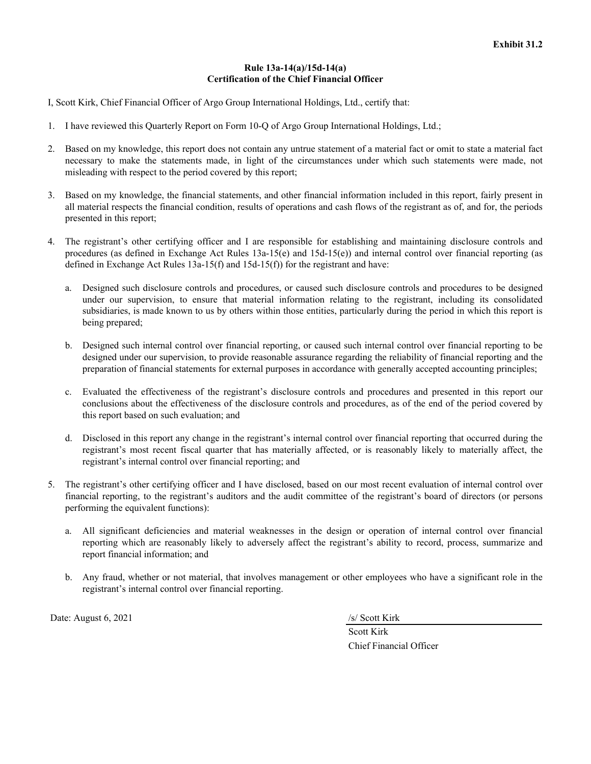#### **Rule 13a-14(a)/15d-14(a) Certification of the Chief Financial Officer**

- I, Scott Kirk, Chief Financial Officer of Argo Group International Holdings, Ltd., certify that:
- 1. I have reviewed this Quarterly Report on Form 10-Q of Argo Group International Holdings, Ltd.;
- 2. Based on my knowledge, this report does not contain any untrue statement of a material fact or omit to state a material fact necessary to make the statements made, in light of the circumstances under which such statements were made, not misleading with respect to the period covered by this report;
- 3. Based on my knowledge, the financial statements, and other financial information included in this report, fairly present in all material respects the financial condition, results of operations and cash flows of the registrant as of, and for, the periods presented in this report;
- 4. The registrant's other certifying officer and I are responsible for establishing and maintaining disclosure controls and procedures (as defined in Exchange Act Rules 13a-15(e) and 15d-15(e)) and internal control over financial reporting (as defined in Exchange Act Rules 13a-15(f) and 15d-15(f)) for the registrant and have:
	- a. Designed such disclosure controls and procedures, or caused such disclosure controls and procedures to be designed under our supervision, to ensure that material information relating to the registrant, including its consolidated subsidiaries, is made known to us by others within those entities, particularly during the period in which this report is being prepared;
	- b. Designed such internal control over financial reporting, or caused such internal control over financial reporting to be designed under our supervision, to provide reasonable assurance regarding the reliability of financial reporting and the preparation of financial statements for external purposes in accordance with generally accepted accounting principles;
	- c. Evaluated the effectiveness of the registrant's disclosure controls and procedures and presented in this report our conclusions about the effectiveness of the disclosure controls and procedures, as of the end of the period covered by this report based on such evaluation; and
	- d. Disclosed in this report any change in the registrant's internal control over financial reporting that occurred during the registrant's most recent fiscal quarter that has materially affected, or is reasonably likely to materially affect, the registrant's internal control over financial reporting; and
- 5. The registrant's other certifying officer and I have disclosed, based on our most recent evaluation of internal control over financial reporting, to the registrant's auditors and the audit committee of the registrant's board of directors (or persons performing the equivalent functions):
	- a. All significant deficiencies and material weaknesses in the design or operation of internal control over financial reporting which are reasonably likely to adversely affect the registrant's ability to record, process, summarize and report financial information; and
	- b. Any fraud, whether or not material, that involves management or other employees who have a significant role in the registrant's internal control over financial reporting.

Date: August 6, 2021 /s/ Scott Kirk

Scott Kirk Chief Financial Officer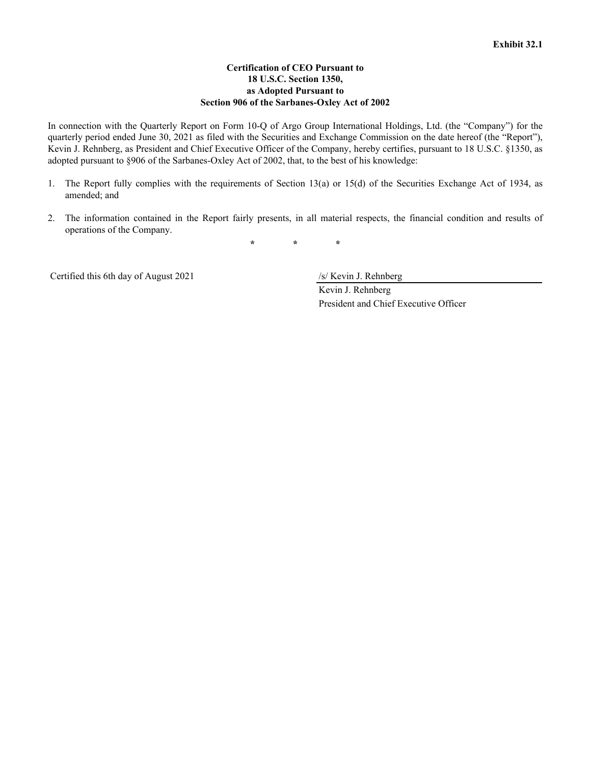### **Certification of CEO Pursuant to 18 U.S.C. Section 1350, as Adopted Pursuant to Section 906 of the Sarbanes-Oxley Act of 2002**

In connection with the Quarterly Report on Form 10-Q of Argo Group International Holdings, Ltd. (the "Company") for the quarterly period ended June 30, 2021 as filed with the Securities and Exchange Commission on the date hereof (the "Report"), Kevin J. Rehnberg, as President and Chief Executive Officer of the Company, hereby certifies, pursuant to 18 U.S.C. §1350, as adopted pursuant to §906 of the Sarbanes-Oxley Act of 2002, that, to the best of his knowledge:

- 1. The Report fully complies with the requirements of Section 13(a) or 15(d) of the Securities Exchange Act of 1934, as amended; and
- 2. The information contained in the Report fairly presents, in all material respects, the financial condition and results of operations of the Company.

**\* \* \***

Certified this 6th day of August 2021 /s/ Kevin J. Rehnberg

Kevin J. Rehnberg President and Chief Executive Officer